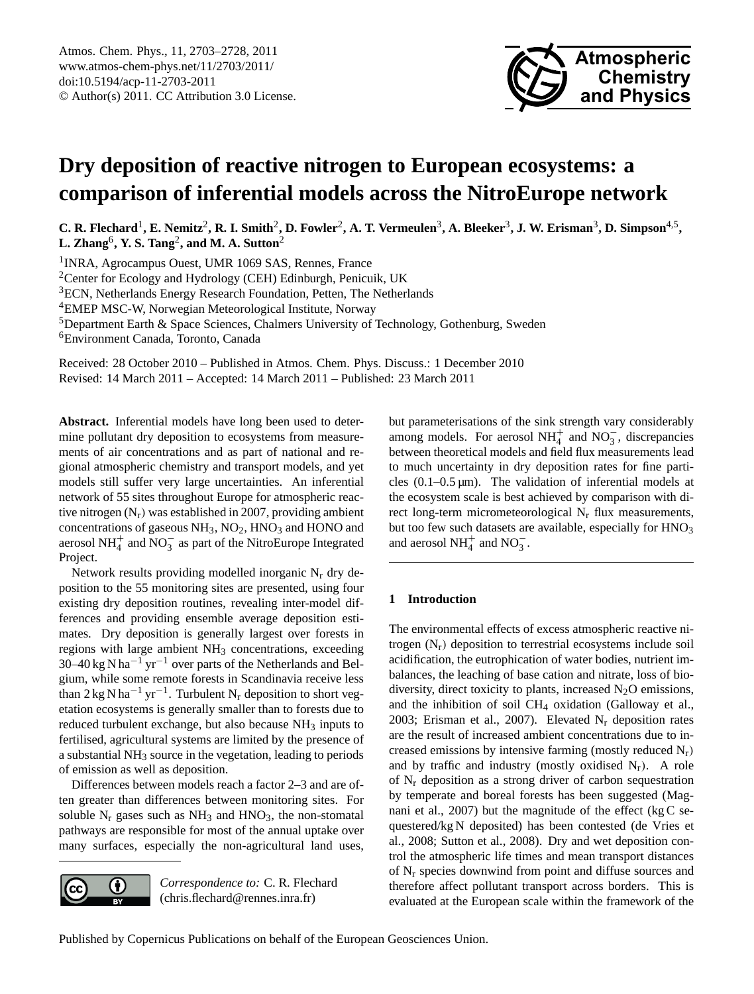

# <span id="page-0-0"></span>**Dry deposition of reactive nitrogen to European ecosystems: a comparison of inferential models across the NitroEurope network**

C. R. Flechard<sup>1</sup>, E. Nemitz<sup>2</sup>, R. I. Smith<sup>2</sup>, D. Fowler<sup>2</sup>, A. T. Vermeulen<sup>3</sup>, A. Bleeker<sup>3</sup>, J. W. Erisman<sup>3</sup>, D. Simpson<sup>4,5</sup>, L. Zhang<sup>6</sup>, Y. S. Tang<sup>2</sup>, and M. A. Sutton<sup>2</sup>

<sup>1</sup> INRA, Agrocampus Ouest, UMR 1069 SAS, Rennes, France <sup>2</sup>Center for Ecology and Hydrology (CEH) Edinburgh, Penicuik, UK <sup>3</sup>ECN, Netherlands Energy Research Foundation, Petten, The Netherlands <sup>4</sup>EMEP MSC-W, Norwegian Meteorological Institute, Norway <sup>5</sup>Department Earth & Space Sciences, Chalmers University of Technology, Gothenburg, Sweden <sup>6</sup>Environment Canada, Toronto, Canada

Received: 28 October 2010 – Published in Atmos. Chem. Phys. Discuss.: 1 December 2010 Revised: 14 March 2011 – Accepted: 14 March 2011 – Published: 23 March 2011

**Abstract.** Inferential models have long been used to determine pollutant dry deposition to ecosystems from measurements of air concentrations and as part of national and regional atmospheric chemistry and transport models, and yet models still suffer very large uncertainties. An inferential network of 55 sites throughout Europe for atmospheric reactive nitrogen  $(N_r)$  was established in 2007, providing ambient concentrations of gaseous  $NH_3$ ,  $NO_2$ ,  $HNO_3$  and  $HONO$  and aerosol NH<sub>4</sub><sup>+</sup> and NO<sub>3</sub><sup>-</sup> as part of the NitroEurope Integrated Project.

Network results providing modelled inorganic  $N_r$  dry deposition to the 55 monitoring sites are presented, using four existing dry deposition routines, revealing inter-model differences and providing ensemble average deposition estimates. Dry deposition is generally largest over forests in regions with large ambient NH<sub>3</sub> concentrations, exceeding 30–40 kg N ha−<sup>1</sup> yr−<sup>1</sup> over parts of the Netherlands and Belgium, while some remote forests in Scandinavia receive less than 2 kg N ha<sup>-1</sup> yr<sup>-1</sup>. Turbulent N<sub>r</sub> deposition to short vegetation ecosystems is generally smaller than to forests due to reduced turbulent exchange, but also because NH<sub>3</sub> inputs to fertilised, agricultural systems are limited by the presence of a substantial  $NH_3$  source in the vegetation, leading to periods of emission as well as deposition.

Differences between models reach a factor 2–3 and are often greater than differences between monitoring sites. For soluble  $N_r$  gases such as  $NH_3$  and  $HNO_3$ , the non-stomatal pathways are responsible for most of the annual uptake over many surfaces, especially the non-agricultural land uses,



*Correspondence to:* C. R. Flechard (chris.flechard@rennes.inra.fr)

but parameterisations of the sink strength vary considerably among models. For aerosol  $NH_4^+$  and  $NO_3^-$ , discrepancies between theoretical models and field flux measurements lead to much uncertainty in dry deposition rates for fine particles  $(0.1-0.5 \,\text{\mu m})$ . The validation of inferential models at the ecosystem scale is best achieved by comparison with direct long-term micrometeorological  $N_r$  flux measurements, but too few such datasets are available, especially for HNO<sub>3</sub> and aerosol  $NH_4^+$  and  $NO_3^-$ .

# **1 Introduction**

The environmental effects of excess atmospheric reactive nitrogen  $(N_r)$  deposition to terrestrial ecosystems include soil acidification, the eutrophication of water bodies, nutrient imbalances, the leaching of base cation and nitrate, loss of biodiversity, direct toxicity to plants, increased  $N_2O$  emissions, and the inhibition of soil CH<sup>4</sup> oxidation (Galloway et al., 2003; Erisman et al., 2007). Elevated  $N_r$  deposition rates are the result of increased ambient concentrations due to increased emissions by intensive farming (mostly reduced  $N_r$ ) and by traffic and industry (mostly oxidised  $N_r$ ). A role of  $N_r$  deposition as a strong driver of carbon sequestration by temperate and boreal forests has been suggested (Magnani et al., 2007) but the magnitude of the effect  $(kgC)$  sequestered/kg N deposited) has been contested (de Vries et al., 2008; Sutton et al., 2008). Dry and wet deposition control the atmospheric life times and mean transport distances of  $N_r$  species downwind from point and diffuse sources and therefore affect pollutant transport across borders. This is evaluated at the European scale within the framework of the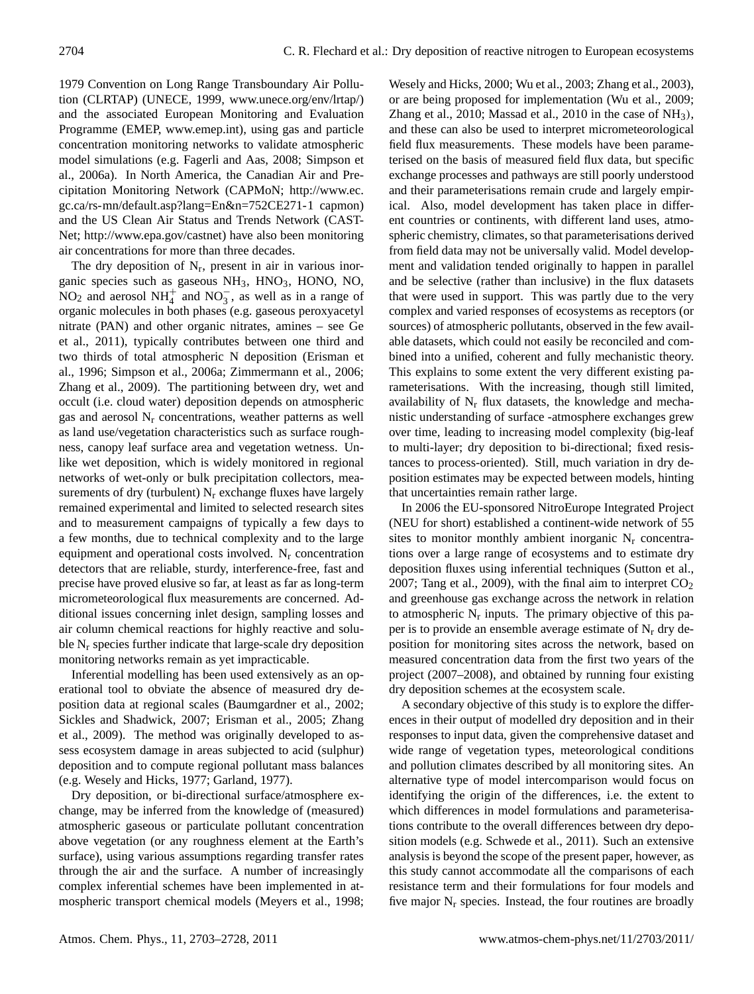1979 Convention on Long Range Transboundary Air Pollution (CLRTAP) (UNECE, 1999, [www.unece.org/env/lrtap/\)](www.unece.org/env/lrtap/) and the associated European Monitoring and Evaluation Programme (EMEP, [www.emep.int\)](www.emep.int), using gas and particle concentration monitoring networks to validate atmospheric model simulations (e.g. Fagerli and Aas, 2008; Simpson et al., 2006a). In North America, the Canadian Air and Precipitation Monitoring Network (CAPMoN; [http://www.ec.](http://www.ec.gc.ca/rs-mn/default.asp?lang=En&n=752CE271-1) [gc.ca/rs-mn/default.asp?lang=En&n=752CE271-1](http://www.ec.gc.ca/rs-mn/default.asp?lang=En&n=752CE271-1) capmon) and the US Clean Air Status and Trends Network (CAST-Net; [http://www.epa.gov/castnet\)](http://www.epa.gov/castnet) have also been monitoring air concentrations for more than three decades.

The dry deposition of  $N_r$ , present in air in various inorganic species such as gaseous NH<sub>3</sub>, HNO<sub>3</sub>, HONO, NO,  $NO<sub>2</sub>$  and aerosol  $NH<sub>4</sub><sup>+</sup>$  and  $NO<sub>3</sub><sup>-</sup>$ , as well as in a range of organic molecules in both phases (e.g. gaseous peroxyacetyl nitrate (PAN) and other organic nitrates, amines – see Ge et al., 2011), typically contributes between one third and two thirds of total atmospheric N deposition (Erisman et al., 1996; Simpson et al., 2006a; Zimmermann et al., 2006; Zhang et al., 2009). The partitioning between dry, wet and occult (i.e. cloud water) deposition depends on atmospheric gas and aerosol  $N_r$  concentrations, weather patterns as well as land use/vegetation characteristics such as surface roughness, canopy leaf surface area and vegetation wetness. Unlike wet deposition, which is widely monitored in regional networks of wet-only or bulk precipitation collectors, measurements of dry (turbulent)  $N_r$  exchange fluxes have largely remained experimental and limited to selected research sites and to measurement campaigns of typically a few days to a few months, due to technical complexity and to the large equipment and operational costs involved.  $N_r$  concentration detectors that are reliable, sturdy, interference-free, fast and precise have proved elusive so far, at least as far as long-term micrometeorological flux measurements are concerned. Additional issues concerning inlet design, sampling losses and air column chemical reactions for highly reactive and soluble  $N_r$  species further indicate that large-scale dry deposition monitoring networks remain as yet impracticable.

Inferential modelling has been used extensively as an operational tool to obviate the absence of measured dry deposition data at regional scales (Baumgardner et al., 2002; Sickles and Shadwick, 2007; Erisman et al., 2005; Zhang et al., 2009). The method was originally developed to assess ecosystem damage in areas subjected to acid (sulphur) deposition and to compute regional pollutant mass balances (e.g. Wesely and Hicks, 1977; Garland, 1977).

Dry deposition, or bi-directional surface/atmosphere exchange, may be inferred from the knowledge of (measured) atmospheric gaseous or particulate pollutant concentration above vegetation (or any roughness element at the Earth's surface), using various assumptions regarding transfer rates through the air and the surface. A number of increasingly complex inferential schemes have been implemented in atmospheric transport chemical models (Meyers et al., 1998;

Wesely and Hicks, 2000; Wu et al., 2003; Zhang et al., 2003), or are being proposed for implementation (Wu et al., 2009; Zhang et al., 2010; Massad et al., 2010 in the case of NH3), and these can also be used to interpret micrometeorological field flux measurements. These models have been parameterised on the basis of measured field flux data, but specific exchange processes and pathways are still poorly understood and their parameterisations remain crude and largely empirical. Also, model development has taken place in different countries or continents, with different land uses, atmospheric chemistry, climates, so that parameterisations derived from field data may not be universally valid. Model development and validation tended originally to happen in parallel and be selective (rather than inclusive) in the flux datasets that were used in support. This was partly due to the very complex and varied responses of ecosystems as receptors (or sources) of atmospheric pollutants, observed in the few available datasets, which could not easily be reconciled and combined into a unified, coherent and fully mechanistic theory. This explains to some extent the very different existing parameterisations. With the increasing, though still limited, availability of  $N_r$  flux datasets, the knowledge and mechanistic understanding of surface -atmosphere exchanges grew over time, leading to increasing model complexity (big-leaf to multi-layer; dry deposition to bi-directional; fixed resistances to process-oriented). Still, much variation in dry deposition estimates may be expected between models, hinting that uncertainties remain rather large.

In 2006 the EU-sponsored NitroEurope Integrated Project (NEU for short) established a continent-wide network of 55 sites to monitor monthly ambient inorganic  $N_r$  concentrations over a large range of ecosystems and to estimate dry deposition fluxes using inferential techniques (Sutton et al., 2007; Tang et al., 2009), with the final aim to interpret  $CO<sub>2</sub>$ and greenhouse gas exchange across the network in relation to atmospheric  $N_r$  inputs. The primary objective of this paper is to provide an ensemble average estimate of  $N_r$  dry deposition for monitoring sites across the network, based on measured concentration data from the first two years of the project (2007–2008), and obtained by running four existing dry deposition schemes at the ecosystem scale.

A secondary objective of this study is to explore the differences in their output of modelled dry deposition and in their responses to input data, given the comprehensive dataset and wide range of vegetation types, meteorological conditions and pollution climates described by all monitoring sites. An alternative type of model intercomparison would focus on identifying the origin of the differences, i.e. the extent to which differences in model formulations and parameterisations contribute to the overall differences between dry deposition models (e.g. Schwede et al., 2011). Such an extensive analysis is beyond the scope of the present paper, however, as this study cannot accommodate all the comparisons of each resistance term and their formulations for four models and five major  $N_r$  species. Instead, the four routines are broadly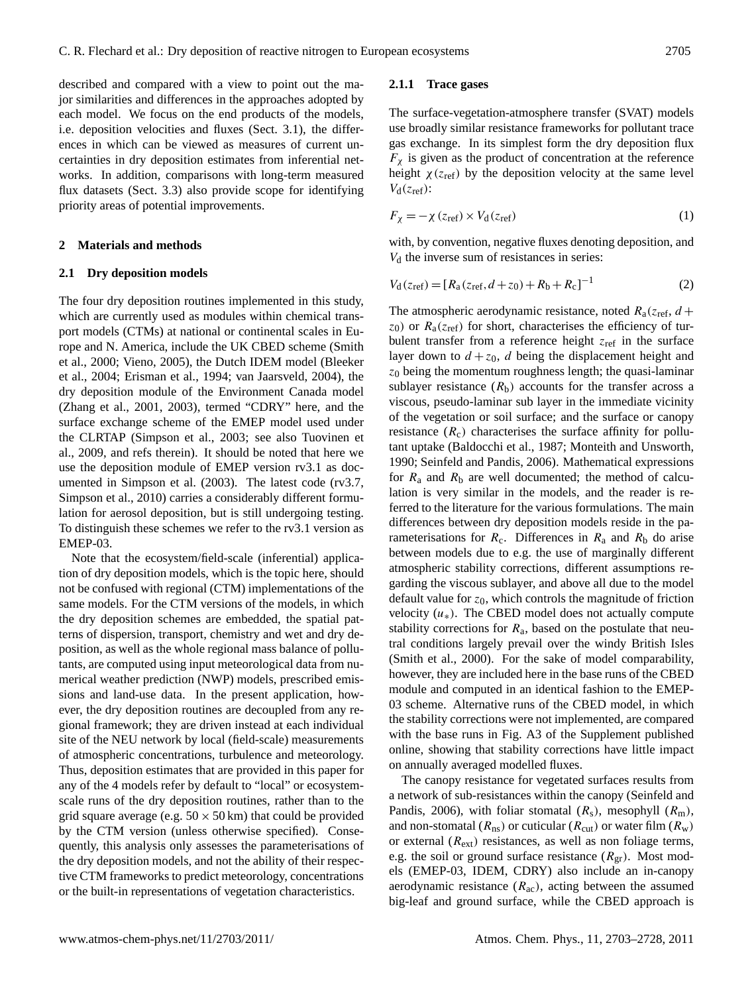described and compared with a view to point out the major similarities and differences in the approaches adopted by each model. We focus on the end products of the models, i.e. deposition velocities and fluxes (Sect. 3.1), the differences in which can be viewed as measures of current uncertainties in dry deposition estimates from inferential networks. In addition, comparisons with long-term measured flux datasets (Sect. 3.3) also provide scope for identifying priority areas of potential improvements.

## **2 Materials and methods**

#### **2.1 Dry deposition models**

The four dry deposition routines implemented in this study, which are currently used as modules within chemical transport models (CTMs) at national or continental scales in Europe and N. America, include the UK CBED scheme (Smith et al., 2000; Vieno, 2005), the Dutch IDEM model (Bleeker et al., 2004; Erisman et al., 1994; van Jaarsveld, 2004), the dry deposition module of the Environment Canada model (Zhang et al., 2001, 2003), termed "CDRY" here, and the surface exchange scheme of the EMEP model used under the CLRTAP (Simpson et al., 2003; see also Tuovinen et al., 2009, and refs therein). It should be noted that here we use the deposition module of EMEP version rv3.1 as documented in Simpson et al. (2003). The latest code (rv3.7, Simpson et al., 2010) carries a considerably different formulation for aerosol deposition, but is still undergoing testing. To distinguish these schemes we refer to the rv3.1 version as EMEP-03.

Note that the ecosystem/field-scale (inferential) application of dry deposition models, which is the topic here, should not be confused with regional (CTM) implementations of the same models. For the CTM versions of the models, in which the dry deposition schemes are embedded, the spatial patterns of dispersion, transport, chemistry and wet and dry deposition, as well as the whole regional mass balance of pollutants, are computed using input meteorological data from numerical weather prediction (NWP) models, prescribed emissions and land-use data. In the present application, however, the dry deposition routines are decoupled from any regional framework; they are driven instead at each individual site of the NEU network by local (field-scale) measurements of atmospheric concentrations, turbulence and meteorology. Thus, deposition estimates that are provided in this paper for any of the 4 models refer by default to "local" or ecosystemscale runs of the dry deposition routines, rather than to the grid square average (e.g.  $50 \times 50$  km) that could be provided by the CTM version (unless otherwise specified). Consequently, this analysis only assesses the parameterisations of the dry deposition models, and not the ability of their respective CTM frameworks to predict meteorology, concentrations or the built-in representations of vegetation characteristics.

#### **2.1.1 Trace gases**

The surface-vegetation-atmosphere transfer (SVAT) models use broadly similar resistance frameworks for pollutant trace gas exchange. In its simplest form the dry deposition flux  $F_{\chi}$  is given as the product of concentration at the reference height  $\chi$ ( $z_{ref}$ ) by the deposition velocity at the same level  $V_{d}(z_{\text{ref}})$ :

$$
F_{\chi} = -\chi \left( z_{\text{ref}} \right) \times V_{\text{d}} \left( z_{\text{ref}} \right) \tag{1}
$$

with, by convention, negative fluxes denoting deposition, and  $V<sub>d</sub>$  the inverse sum of resistances in series:

$$
V_{\rm d}(z_{\rm ref}) = [R_{\rm a}(z_{\rm ref}, d+z_0) + R_{\rm b} + R_{\rm c}]^{-1}
$$
 (2)

The atmospheric aerodynamic resistance, noted  $R_a(z_{\text{ref}}, d+)$  $z_0$ ) or  $R_a(z_{ref})$  for short, characterises the efficiency of turbulent transfer from a reference height  $z_{ref}$  in the surface layer down to  $d + z_0$ , d being the displacement height and  $z_0$  being the momentum roughness length; the quasi-laminar sublayer resistance  $(R_b)$  accounts for the transfer across a viscous, pseudo-laminar sub layer in the immediate vicinity of the vegetation or soil surface; and the surface or canopy resistance  $(R_c)$  characterises the surface affinity for pollutant uptake (Baldocchi et al., 1987; Monteith and Unsworth, 1990; Seinfeld and Pandis, 2006). Mathematical expressions for  $R_a$  and  $R_b$  are well documented; the method of calculation is very similar in the models, and the reader is referred to the literature for the various formulations. The main differences between dry deposition models reside in the parameterisations for  $R_c$ . Differences in  $R_a$  and  $R_b$  do arise between models due to e.g. the use of marginally different atmospheric stability corrections, different assumptions regarding the viscous sublayer, and above all due to the model default value for  $z_0$ , which controls the magnitude of friction velocity  $(u_*)$ . The CBED model does not actually compute stability corrections for  $R_a$ , based on the postulate that neutral conditions largely prevail over the windy British Isles (Smith et al., 2000). For the sake of model comparability, however, they are included here in the base runs of the CBED module and computed in an identical fashion to the EMEP-03 scheme. Alternative runs of the CBED model, in which the stability corrections were not implemented, are compared with the base runs in Fig. A3 of the Supplement published online, showing that stability corrections have little impact on annually averaged modelled fluxes.

The canopy resistance for vegetated surfaces results from a network of sub-resistances within the canopy (Seinfeld and Pandis, 2006), with foliar stomatal  $(R_s)$ , mesophyll  $(R_m)$ , and non-stomatal  $(R_{ns})$  or cuticular  $(R_{cut})$  or water film  $(R_w)$ or external  $(R_{\text{ext}})$  resistances, as well as non foliage terms, e.g. the soil or ground surface resistance  $(R_{gr})$ . Most models (EMEP-03, IDEM, CDRY) also include an in-canopy aerodynamic resistance  $(R<sub>ac</sub>)$ , acting between the assumed big-leaf and ground surface, while the CBED approach is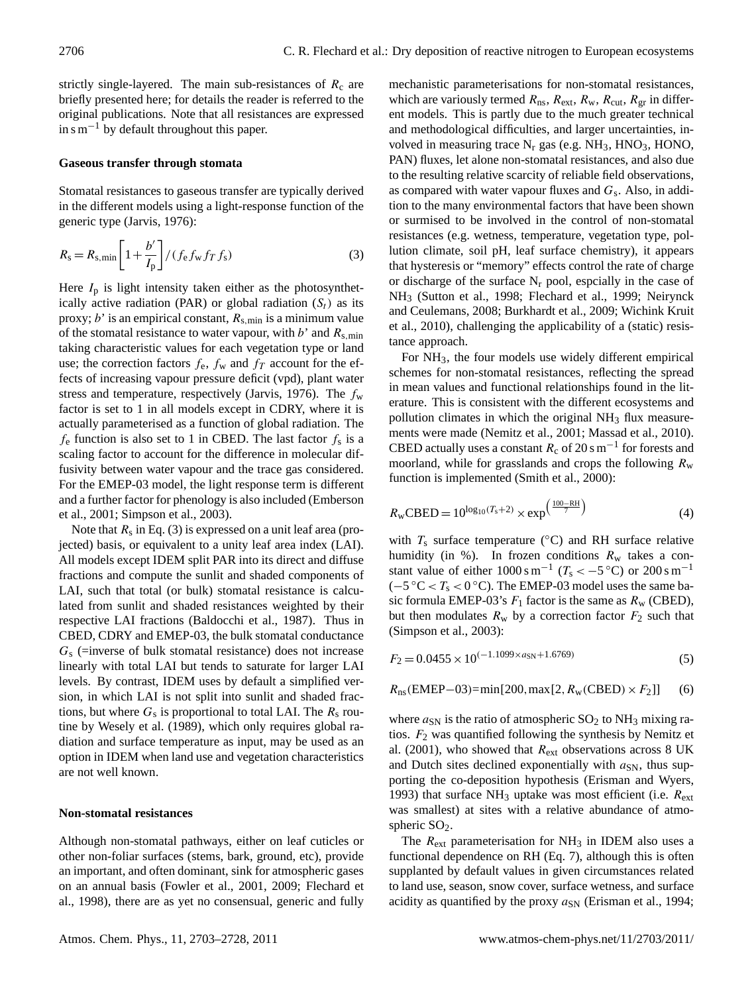strictly single-layered. The main sub-resistances of  $R_c$  are briefly presented here; for details the reader is referred to the original publications. Note that all resistances are expressed  $\sin$  s m<sup>-1</sup> by default throughout this paper.

## **Gaseous transfer through stomata**

Stomatal resistances to gaseous transfer are typically derived in the different models using a light-response function of the generic type (Jarvis, 1976):

$$
R_{\rm s} = R_{\rm s,min} \left[ 1 + \frac{b'}{I_{\rm p}} \right] / (f_{\rm e} f_{\rm w} f_T f_{\rm s}) \tag{3}
$$

Here  $I_p$  is light intensity taken either as the photosynthetically active radiation (PAR) or global radiation  $(S_t)$  as its proxy;  $b'$  is an empirical constant,  $R_{s,min}$  is a minimum value of the stomatal resistance to water vapour, with b' and  $R_{\rm s,min}$ taking characteristic values for each vegetation type or land use; the correction factors  $f_e$ ,  $f_w$  and  $f_T$  account for the effects of increasing vapour pressure deficit (vpd), plant water stress and temperature, respectively (Jarvis, 1976). The  $f_w$ factor is set to 1 in all models except in CDRY, where it is actually parameterised as a function of global radiation. The  $f_e$  function is also set to 1 in CBED. The last factor  $f_s$  is a scaling factor to account for the difference in molecular diffusivity between water vapour and the trace gas considered. For the EMEP-03 model, the light response term is different and a further factor for phenology is also included (Emberson et al., 2001; Simpson et al., 2003).

Note that  $R_s$  in Eq. (3) is expressed on a unit leaf area (projected) basis, or equivalent to a unity leaf area index (LAI). All models except IDEM split PAR into its direct and diffuse fractions and compute the sunlit and shaded components of LAI, such that total (or bulk) stomatal resistance is calculated from sunlit and shaded resistances weighted by their respective LAI fractions (Baldocchi et al., 1987). Thus in CBED, CDRY and EMEP-03, the bulk stomatal conductance  $G_s$  (=inverse of bulk stomatal resistance) does not increase linearly with total LAI but tends to saturate for larger LAI levels. By contrast, IDEM uses by default a simplified version, in which LAI is not split into sunlit and shaded fractions, but where  $G_s$  is proportional to total LAI. The  $R_s$  routine by Wesely et al. (1989), which only requires global radiation and surface temperature as input, may be used as an option in IDEM when land use and vegetation characteristics are not well known.

#### **Non-stomatal resistances**

Although non-stomatal pathways, either on leaf cuticles or other non-foliar surfaces (stems, bark, ground, etc), provide an important, and often dominant, sink for atmospheric gases on an annual basis (Fowler et al., 2001, 2009; Flechard et al., 1998), there are as yet no consensual, generic and fully mechanistic parameterisations for non-stomatal resistances, which are variously termed  $R_{ns}$ ,  $R_{ext}$ ,  $R_w$ ,  $R_{cut}$ ,  $R_{gr}$  in different models. This is partly due to the much greater technical and methodological difficulties, and larger uncertainties, involved in measuring trace  $N_r$  gas (e.g.  $NH_3$ ,  $HNO_3$ ,  $HONO$ ), PAN) fluxes, let alone non-stomatal resistances, and also due to the resulting relative scarcity of reliable field observations, as compared with water vapour fluxes and  $G_s$ . Also, in addition to the many environmental factors that have been shown or surmised to be involved in the control of non-stomatal resistances (e.g. wetness, temperature, vegetation type, pollution climate, soil pH, leaf surface chemistry), it appears that hysteresis or "memory" effects control the rate of charge or discharge of the surface  $N_r$  pool, espcially in the case of NH<sup>3</sup> (Sutton et al., 1998; Flechard et al., 1999; Neirynck and Ceulemans, 2008; Burkhardt et al., 2009; Wichink Kruit et al., 2010), challenging the applicability of a (static) resistance approach.

For NH3, the four models use widely different empirical schemes for non-stomatal resistances, reflecting the spread in mean values and functional relationships found in the literature. This is consistent with the different ecosystems and pollution climates in which the original  $NH<sub>3</sub>$  flux measurements were made (Nemitz et al., 2001; Massad et al., 2010). CBED actually uses a constant  $R_c$  of 20 s m<sup>-1</sup> for forests and moorland, while for grasslands and crops the following  $R_w$ function is implemented (Smith et al., 2000):

$$
R_{\rm w} \text{CBED} = 10^{\log_{10}(T_{\rm s}+2)} \times \exp\left(\frac{100 - \text{RH}}{7}\right) \tag{4}
$$

with  $T_s$  surface temperature ( ${}^{\circ}$ C) and RH surface relative humidity (in %). In frozen conditions  $R_w$  takes a constant value of either  $1000 \text{ s m}^{-1}$  ( $T_s < -5 \degree \text{C}$ ) or  $200 \text{ s m}^{-1}$ ( $-5$  °C <  $T_s$  < 0 °C). The EMEP-03 model uses the same basic formula EMEP-03's  $F_1$  factor is the same as  $R_w$  (CBED), but then modulates  $R_w$  by a correction factor  $F_2$  such that (Simpson et al., 2003):

$$
F_2 = 0.0455 \times 10^{(-1.1099 \times a_{\rm SN} + 1.6769)}
$$
\n<sup>(5)</sup>

$$
R_{\text{ns}}(\text{EMEP}-03)=\min[200,\max[2,R_{\text{w}}(\text{CBED})\times F_2]]
$$
 (6)

where  $a_{SN}$  is the ratio of atmospheric  $SO_2$  to  $NH_3$  mixing ratios.  $F_2$  was quantified following the synthesis by Nemitz et al. (2001), who showed that  $R_{\text{ext}}$  observations across 8 UK and Dutch sites declined exponentially with  $a_{SN}$ , thus supporting the co-deposition hypothesis (Erisman and Wyers, 1993) that surface NH<sub>3</sub> uptake was most efficient (i.e.  $R_{\text{ext}}$ was smallest) at sites with a relative abundance of atmospheric SO<sub>2</sub>.

The  $R_{\text{ext}}$  parameterisation for NH<sub>3</sub> in IDEM also uses a functional dependence on RH (Eq. 7), although this is often supplanted by default values in given circumstances related to land use, season, snow cover, surface wetness, and surface acidity as quantified by the proxy  $a_{SN}$  (Erisman et al., 1994;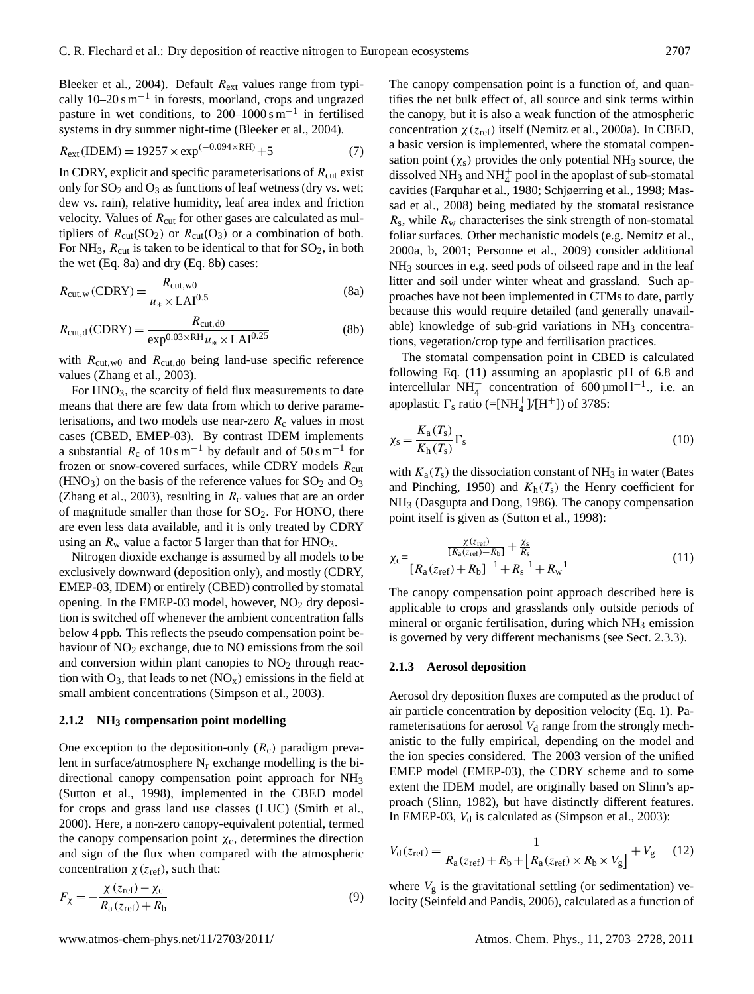Bleeker et al., 2004). Default  $R_{ext}$  values range from typically  $10-20$  s m<sup>-1</sup> in forests, moorland, crops and ungrazed pasture in wet conditions, to 200–1000 s m<sup>-1</sup> in fertilised systems in dry summer night-time (Bleeker et al., 2004).

$$
R_{\rm ext}(\text{IDEM}) = 19257 \times \exp^{(-0.094 \times \text{RH})} + 5 \tag{7}
$$

In CDRY, explicit and specific parameterisations of  $R_{\text{cut}}$  exist only for  $SO_2$  and  $O_3$  as functions of leaf wetness (dry vs. wet; dew vs. rain), relative humidity, leaf area index and friction velocity. Values of  $R_{\text{cut}}$  for other gases are calculated as multipliers of  $R_{\text{cut}}(\text{SO}_2)$  or  $R_{\text{cut}}(\text{O}_3)$  or a combination of both. For NH<sub>3</sub>,  $R_{\text{cut}}$  is taken to be identical to that for  $SO_2$ , in both the wet (Eq. 8a) and dry (Eq. 8b) cases:

$$
R_{\text{cut,w}}(\text{CDRY}) = \frac{R_{\text{cut,w0}}}{u_* \times \text{LAI}^{0.5}}\tag{8a}
$$

$$
R_{\text{cut,d}}(\text{CDRY}) = \frac{R_{\text{cut,d0}}}{\exp^{0.03 \times \text{RH}} u_* \times \text{LAI}^{0.25}} \tag{8b}
$$

with  $R_{\text{cut},w0}$  and  $R_{\text{cut},d0}$  being land-use specific reference values (Zhang et al., 2003).

For  $HNO<sub>3</sub>$ , the scarcity of field flux measurements to date means that there are few data from which to derive parameterisations, and two models use near-zero  $R_c$  values in most cases (CBED, EMEP-03). By contrast IDEM implements a substantial  $R_c$  of  $10 \text{ s m}^{-1}$  by default and of  $50 \text{ s m}^{-1}$  for frozen or snow-covered surfaces, while CDRY models  $R_{\text{cut}}$  $(HNO<sub>3</sub>)$  on the basis of the reference values for  $SO<sub>2</sub>$  and  $O<sub>3</sub>$ (Zhang et al., 2003), resulting in  $R_c$  values that are an order of magnitude smaller than those for  $SO<sub>2</sub>$ . For HONO, there are even less data available, and it is only treated by CDRY using an  $R_w$  value a factor 5 larger than that for  $HNO_3$ .

Nitrogen dioxide exchange is assumed by all models to be exclusively downward (deposition only), and mostly (CDRY, EMEP-03, IDEM) or entirely (CBED) controlled by stomatal opening. In the EMEP-03 model, however,  $NO<sub>2</sub>$  dry deposition is switched off whenever the ambient concentration falls below 4 ppb. This reflects the pseudo compensation point behaviour of  $NO<sub>2</sub>$  exchange, due to  $NO$  emissions from the soil and conversion within plant canopies to  $NO<sub>2</sub>$  through reaction with  $O_3$ , that leads to net  $(NO_x)$  emissions in the field at small ambient concentrations (Simpson et al., 2003).

#### **2.1.2 NH<sup>3</sup> compensation point modelling**

One exception to the deposition-only  $(R_c)$  paradigm prevalent in surface/atmosphere  $N_r$  exchange modelling is the bidirectional canopy compensation point approach for NH<sup>3</sup> (Sutton et al., 1998), implemented in the CBED model for crops and grass land use classes (LUC) (Smith et al., 2000). Here, a non-zero canopy-equivalent potential, termed the canopy compensation point  $\chi_c$ , determines the direction and sign of the flux when compared with the atmospheric concentration  $\chi$  ( $z_{ref}$ ), such that:

$$
F_{\chi} = -\frac{\chi (z_{\text{ref}}) - \chi_c}{R_a (z_{\text{ref}}) + R_b} \tag{9}
$$

The canopy compensation point is a function of, and quantifies the net bulk effect of, all source and sink terms within the canopy, but it is also a weak function of the atmospheric concentration  $\chi$  ( $z_{\text{ref}}$ ) itself (Nemitz et al., 2000a). In CBED, a basic version is implemented, where the stomatal compensation point  $(\chi_s)$  provides the only potential NH<sub>3</sub> source, the dissolved NH<sub>3</sub> and NH<sub>4</sub><sup>+</sup> pool in the apoplast of sub-stomatal cavities (Farquhar et al., 1980; Schjøerring et al., 1998; Massad et al., 2008) being mediated by the stomatal resistance  $R_s$ , while  $R_w$  characterises the sink strength of non-stomatal foliar surfaces. Other mechanistic models (e.g. Nemitz et al., 2000a, b, 2001; Personne et al., 2009) consider additional NH<sup>3</sup> sources in e.g. seed pods of oilseed rape and in the leaf litter and soil under winter wheat and grassland. Such approaches have not been implemented in CTMs to date, partly because this would require detailed (and generally unavailable) knowledge of sub-grid variations in  $NH<sub>3</sub>$  concentrations, vegetation/crop type and fertilisation practices.

The stomatal compensation point in CBED is calculated following Eq. (11) assuming an apoplastic pH of 6.8 and intercellular NH<sup>+</sup> concentration of 600 µmol  $l^{-1}$ ., i.e. an apoplastic  $\Gamma_s$  ratio (=[NH<sup>+</sup>]/[H<sup>+</sup>]) of 3785:

$$
\chi_{\rm s} = \frac{K_{\rm a}(T_{\rm s})}{K_{\rm h}(T_{\rm s})} \Gamma_{\rm s} \tag{10}
$$

with  $K_a(T_s)$  the dissociation constant of NH<sub>3</sub> in water (Bates and Pinching, 1950) and  $K_h(T_s)$  the Henry coefficient for NH<sup>3</sup> (Dasgupta and Dong, 1986). The canopy compensation point itself is given as (Sutton et al., 1998):

$$
\chi_{\rm c} = \frac{\frac{\chi(z_{\rm ref})}{[R_{\rm a}(z_{\rm ref}) + R_{\rm b}]} + \frac{\chi_{\rm s}}{R_{\rm s}}}{[R_{\rm a}(z_{\rm ref}) + R_{\rm b}]^{-1} + R_{\rm s}^{-1} + R_{\rm w}^{-1}}
$$
(11)

The canopy compensation point approach described here is applicable to crops and grasslands only outside periods of mineral or organic fertilisation, during which NH<sub>3</sub> emission is governed by very different mechanisms (see Sect. 2.3.3).

#### **2.1.3 Aerosol deposition**

Aerosol dry deposition fluxes are computed as the product of air particle concentration by deposition velocity (Eq. 1). Parameterisations for aerosol  $V<sub>d</sub>$  range from the strongly mechanistic to the fully empirical, depending on the model and the ion species considered. The 2003 version of the unified EMEP model (EMEP-03), the CDRY scheme and to some extent the IDEM model, are originally based on Slinn's approach (Slinn, 1982), but have distinctly different features. In EMEP-03,  $V_d$  is calculated as (Simpson et al., 2003):

$$
V_{\rm d}(z_{\rm ref}) = \frac{1}{R_{\rm a}(z_{\rm ref}) + R_{\rm b} + \left[R_{\rm a}(z_{\rm ref}) \times R_{\rm b} \times V_{\rm g}\right]} + V_{\rm g} \tag{12}
$$

where  $V<sub>g</sub>$  is the gravitational settling (or sedimentation) velocity (Seinfeld and Pandis, 2006), calculated as a function of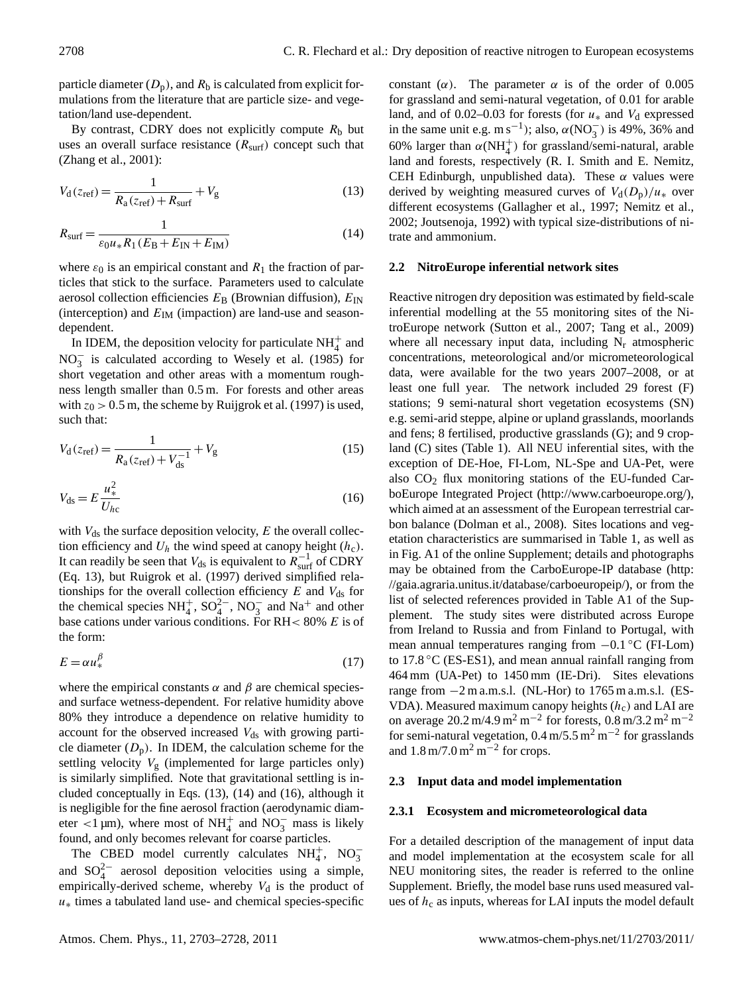particle diameter  $(D_p)$ , and  $R_b$  is calculated from explicit formulations from the literature that are particle size- and vegetation/land use-dependent.

By contrast, CDRY does not explicitly compute  $R<sub>b</sub>$  but uses an overall surface resistance  $(R<sub>surf</sub>)$  concept such that (Zhang et al., 2001):

$$
V_{\rm d}(z_{\rm ref}) = \frac{1}{R_{\rm a}(z_{\rm ref}) + R_{\rm surf}} + V_{\rm g}
$$
\n(13)

$$
R_{\text{surf}} = \frac{1}{\varepsilon_0 u_* R_1 (E_B + E_{\text{IN}} + E_{\text{IM}})}\tag{14}
$$

where  $\varepsilon_0$  is an empirical constant and  $R_1$  the fraction of particles that stick to the surface. Parameters used to calculate aerosol collection efficiencies  $E_B$  (Brownian diffusion),  $E_{IN}$ (interception) and  $E_{IM}$  (impaction) are land-use and seasondependent.

In IDEM, the deposition velocity for particulate  $NH_4^+$  and  $NO<sub>3</sub><sup>-</sup>$  is calculated according to Wesely et al. (1985) for short vegetation and other areas with a momentum roughness length smaller than 0.5 m. For forests and other areas with  $z_0 > 0.5$  m, the scheme by Ruijgrok et al. (1997) is used, such that:

$$
V_{\rm d}(z_{\rm ref}) = \frac{1}{R_{\rm a}(z_{\rm ref}) + V_{\rm ds}^{-1}} + V_{\rm g}
$$
 (15)

$$
V_{\rm ds} = E \frac{u_*^2}{U_{hc}}\tag{16}
$$

with  $V_{ds}$  the surface deposition velocity,  $E$  the overall collection efficiency and  $U_h$  the wind speed at canopy height ( $h_c$ ). It can readily be seen that  $V_{ds}$  is equivalent to  $R_{\text{surf}}^{-1}$  of CDRY (Eq. 13), but Ruigrok et al. (1997) derived simplified relationships for the overall collection efficiency  $E$  and  $V_{ds}$  for the chemical species  $NH_4^+$ ,  $SO_4^{2-}$ ,  $NO_3^-$  and  $Na^+$  and other base cations under various conditions. For RH < 80% E is of the form:

$$
E = \alpha u_*^{\beta} \tag{17}
$$

where the empirical constants  $\alpha$  and  $\beta$  are chemical speciesand surface wetness-dependent. For relative humidity above 80% they introduce a dependence on relative humidity to account for the observed increased  $V_{ds}$  with growing particle diameter  $(D_p)$ . In IDEM, the calculation scheme for the settling velocity  $V<sub>g</sub>$  (implemented for large particles only) is similarly simplified. Note that gravitational settling is included conceptually in Eqs. (13), (14) and (16), although it is negligible for the fine aerosol fraction (aerodynamic diameter <1  $\mu$ m), where most of NH<sup>+</sup> and NO<sub>3</sub><sup>-</sup> mass is likely found, and only becomes relevant for coarse particles.

The CBED model currently calculates  $NH_4^+$ ,  $NO_3^$ and  $SO_4^{2-}$  aerosol deposition velocities using a simple, empirically-derived scheme, whereby  $V_d$  is the product of  $u_*$  times a tabulated land use- and chemical species-specific constant ( $\alpha$ ). The parameter  $\alpha$  is of the order of 0.005 for grassland and semi-natural vegetation, of 0.01 for arable land, and of 0.02–0.03 for forests (for  $u_*$  and  $V_d$  expressed in the same unit e.g.  $\text{m s}^{-1}$ ); also,  $\alpha(\text{NO}_3^-)$  is 49%, 36% and 60% larger than  $\alpha(NH_4^+)$  for grassland/semi-natural, arable land and forests, respectively (R. I. Smith and E. Nemitz, CEH Edinburgh, unpublished data). These  $\alpha$  values were derived by weighting measured curves of  $V_d(D_p)/u_*$  over different ecosystems (Gallagher et al., 1997; Nemitz et al., 2002; Joutsenoja, 1992) with typical size-distributions of nitrate and ammonium.

#### **2.2 NitroEurope inferential network sites**

Reactive nitrogen dry deposition was estimated by field-scale inferential modelling at the 55 monitoring sites of the NitroEurope network (Sutton et al., 2007; Tang et al., 2009) where all necessary input data, including  $N_r$  atmospheric concentrations, meteorological and/or micrometeorological data, were available for the two years 2007–2008, or at least one full year. The network included 29 forest (F) stations; 9 semi-natural short vegetation ecosystems (SN) e.g. semi-arid steppe, alpine or upland grasslands, moorlands and fens; 8 fertilised, productive grasslands (G); and 9 cropland (C) sites (Table 1). All NEU inferential sites, with the exception of DE-Hoe, FI-Lom, NL-Spe and UA-Pet, were also  $CO<sub>2</sub>$  flux monitoring stations of the EU-funded CarboEurope Integrated Project [\(http://www.carboeurope.org/\)](http://www.carboeurope.org/), which aimed at an assessment of the European terrestrial carbon balance (Dolman et al., 2008). Sites locations and vegetation characteristics are summarised in Table 1, as well as in Fig. A1 of the online Supplement; details and photographs may be obtained from the CarboEurope-IP database [\(http:](http://gaia.agraria.unitus.it/database/carboeuropeip/) [//gaia.agraria.unitus.it/database/carboeuropeip/\)](http://gaia.agraria.unitus.it/database/carboeuropeip/), or from the list of selected references provided in Table A1 of the Supplement. The study sites were distributed across Europe from Ireland to Russia and from Finland to Portugal, with mean annual temperatures ranging from −0.1 ◦C (FI-Lom) to  $17.8 \degree$ C (ES-ES1), and mean annual rainfall ranging from 464 mm (UA-Pet) to 1450 mm (IE-Dri). Sites elevations range from −2 m a.m.s.l. (NL-Hor) to 1765 m a.m.s.l. (ES-VDA). Measured maximum canopy heights  $(h_c)$  and LAI are on average  $20.2 \text{ m}/4.9 \text{ m}^2 \text{ m}^{-2}$  for forests,  $0.8 \text{ m}/3.2 \text{ m}^2 \text{ m}^{-2}$ for semi-natural vegetation,  $0.4 \text{ m}/5.5 \text{ m}^2 \text{ m}^{-2}$  for grasslands and  $1.8 \,\mathrm{m}/7.0 \,\mathrm{m}^2 \,\mathrm{m}^{-2}$  for crops.

#### **2.3 Input data and model implementation**

## **2.3.1 Ecosystem and micrometeorological data**

For a detailed description of the management of input data and model implementation at the ecosystem scale for all NEU monitoring sites, the reader is referred to the online Supplement. Briefly, the model base runs used measured values of  $h_c$  as inputs, whereas for LAI inputs the model default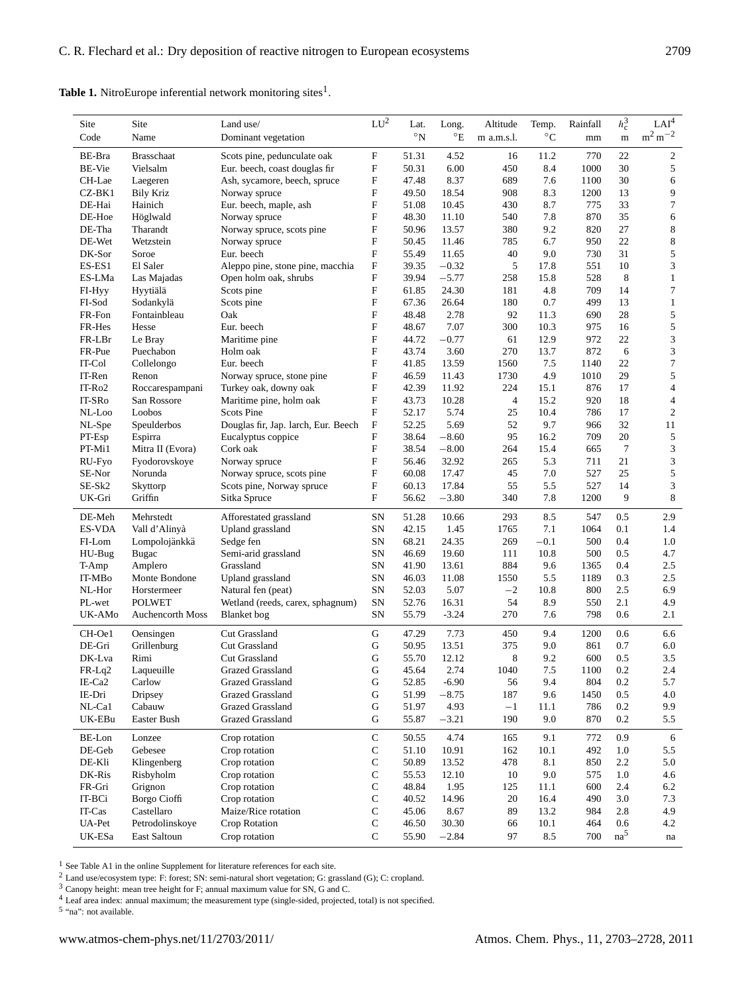| Site               | Site                    | Land use/                           | ${\rm LU}^2$  | Lat.              | Long.               | Altitude       | Temp.           | Rainfall | $h_{\rm c}^3$   | $\mathrm{LAI}^4$ |
|--------------------|-------------------------|-------------------------------------|---------------|-------------------|---------------------|----------------|-----------------|----------|-----------------|------------------|
| Code               | Name                    | Dominant vegetation                 |               | $\mathcal{O}_{N}$ | $^{\circ} \text{E}$ | m a.m.s.l.     | $\rm ^{\circ}C$ | mm       | m               | $m^2 m^{-2}$     |
|                    |                         |                                     |               |                   |                     |                |                 |          |                 |                  |
| BE-Bra             | <b>Brasschaat</b>       | Scots pine, pedunculate oak         | F             | 51.31             | 4.52                | 16             | 11.2            | 770      | 22              | $\overline{2}$   |
| BE-Vie             | Vielsalm                | Eur. beech, coast douglas fir       | F             | 50.31             | 6.00                | 450            | 8.4             | 1000     | 30              | 5                |
| CH-Lae             | Laegeren                | Ash, sycamore, beech, spruce        | F             | 47.48             | 8.37                | 689            | 7.6             | 1100     | 30              | 6                |
| CZ-BK1             | Bily Kriz               | Norway spruce                       | F             | 49.50             | 18.54               | 908            | 8.3             | 1200     | 13              | 9                |
| DE-Hai             | Hainich                 | Eur. beech, maple, ash              | F             | 51.08             | 10.45               | 430            | 8.7             | 775      | 33              | 7                |
| DE-Hoe             | Höglwald                | Norway spruce                       | F             | 48.30             | 11.10               | 540            | 7.8             | 870      | 35              | 6                |
| DE-Tha             | Tharandt                | Norway spruce, scots pine           | F             | 50.96             | 13.57               | 380            | 9.2             | 820      | 27              | $\,8\,$          |
| DE-Wet             | Wetzstein               | Norway spruce                       | F             | 50.45             | 11.46               | 785            | 6.7             | 950      | 22              | $\,$ 8 $\,$      |
| DK-Sor             | Soroe                   | Eur. beech                          | F             | 55.49             | 11.65               | 40             | 9.0             | 730      | 31              | $\sqrt{5}$       |
| ES-ES1             | El Saler                | Aleppo pine, stone pine, macchia    | F             | 39.35             | $-0.32$             | 5              | 17.8            | 551      | 10              | 3                |
| ES-LMa             | Las Majadas             | Open holm oak, shrubs               | F             | 39.94             | $-5.77$             | 258            | 15.8            | 528      | 8               | $\mathbf{1}$     |
| FI-Hyy             | Hyytiälä                | Scots pine                          | F             | 61.85             | 24.30               | 181            | 4.8             | 709      | 14              | $\tau$           |
| FI-Sod             | Sodankylä               | Scots pine                          | F             | 67.36             | 26.64               | 180            | 0.7             | 499      | 13              | $\mathbf{1}$     |
| FR-Fon             | Fontainbleau            | Oak                                 | F             | 48.48             | 2.78                | 92             | 11.3            | 690      | 28              | 5                |
| FR-Hes             | Hesse                   | Eur. beech                          | F             | 48.67             | 7.07                | 300            | 10.3            | 975      | 16              | $\sqrt{5}$       |
| FR-LBr             | Le Bray                 | Maritime pine                       | F             | 44.72             | $-0.77$             | 61             | 12.9            | 972      | 22              | 3                |
| FR-Pue             | Puechabon               | Holm oak                            | F             | 43.74             | 3.60                | 270            | 13.7            | 872      | 6               | 3                |
| IT-Col             | Collelongo              | Eur. beech                          | F             | 41.85             | 13.59               | 1560           | 7.5             | 1140     | 22              | $\boldsymbol{7}$ |
| IT-Ren             | Renon                   | Norway spruce, stone pine           | F             | 46.59             | 11.43               | 1730           | 4.9             | 1010     | 29              | 5                |
| $IT-Ro2$           | Roccarespampani         | Turkey oak, downy oak               | F             | 42.39             | 11.92               | 224            | 15.1            | 876      | 17              | 4                |
| IT-SR <sub>o</sub> | San Rossore             | Maritime pine, holm oak             | F             | 43.73             | 10.28               | $\overline{4}$ | 15.2            | 920      | 18              | 4                |
| NL-Loo             | Loobos                  | <b>Scots Pine</b>                   | F             | 52.17             | 5.74                | 25             | 10.4            | 786      | 17              | $\overline{c}$   |
| NL-Spe             | Speulderbos             | Douglas fir, Jap. larch, Eur. Beech | F             | 52.25             | 5.69                | 52             | 9.7             | 966      | 32              | 11               |
| PT-Esp             | Espirra                 | Eucalyptus coppice                  | F             | 38.64             | $-8.60$             | 95             | 16.2            | 709      | 20              | 5                |
| PT-Mi1             | Mitra II (Evora)        | Cork oak                            | F             | 38.54             | $-8.00$             | 264            | 15.4            | 665      | 7               | 3                |
| RU-Fyo             | Fyodorovskoye           | Norway spruce                       | F             | 56.46             | 32.92               | 265            | 5.3             | 711      | 21              | 3                |
| SE-Nor             | Norunda                 | Norway spruce, scots pine           | F             | 60.08             | 17.47               | 45             | 7.0             | 527      | 25              | $\sqrt{5}$       |
| SE-Sk2             | Skyttorp                | Scots pine, Norway spruce           | F             | 60.13             | 17.84               | 55             | 5.5             | 527      | 14              | 3                |
| UK-Gri             | Griffin                 | Sitka Spruce                        | F             | 56.62             | $-3.80$             | 340            | 7.8             | 1200     | 9               | $\,8\,$          |
| DE-Meh             | Mehrstedt               | Afforestated grassland              | SN            | 51.28             | 10.66               | 293            | 8.5             | 547      | 0.5             | 2.9              |
| ES-VDA             | Vall d'Alinyà           | Upland grassland                    | SN            | 42.15             | 1.45                | 1765           | 7.1             | 1064     | 0.1             | 1.4              |
| FI-Lom             | Lompolojänkkä           | Sedge fen                           | SN            | 68.21             | 24.35               | 269            | $-0.1$          | 500      | 0.4             | 1.0              |
| HU-Bug             | <b>Bugac</b>            | Semi-arid grassland                 | SN            | 46.69             | 19.60               | 111            | 10.8            | 500      | 0.5             | 4.7              |
| T-Amp              | Amplero                 | Grassland                           | <b>SN</b>     | 41.90             | 13.61               | 884            | 9.6             | 1365     | 0.4             | 2.5              |
| IT-MB <sub>o</sub> | Monte Bondone           | Upland grassland                    | <b>SN</b>     | 46.03             | 11.08               | 1550           | 5.5             | 1189     | 0.3             | 2.5              |
| NL-Hor             | Horstermeer             | Natural fen (peat)                  | SN            | 52.03             | 5.07                | $-2$           | 10.8            | 800      | 2.5             | 6.9              |
| PL-wet             | <b>POLWET</b>           | Wetland (reeds, carex, sphagnum)    | SN            | 52.76             | 16.31               | 54             | 8.9             | 550      | 2.1             | 4.9              |
| UK-AM <sub>0</sub> | <b>Auchencorth Moss</b> | <b>Blanket</b> bog                  | <b>SN</b>     | 55.79             | $-3.24$             | 270            | 7.6             | 798      | 0.6             | 2.1              |
|                    |                         |                                     |               |                   |                     |                |                 |          |                 |                  |
| CH-Oe1             | Oensingen               | Cut Grassland                       | ${\bf G}$     | 47.29             | 7.73                | 450            | 9.4             | 1200     | 0.6             | 6.6              |
| DE-Gri             | Grillenburg             | Cut Grassland                       | G             | 50.95             | 13.51               | 375            | 9.0             | 861      | 0.7             | 6.0              |
| DK-Lva             | Rimi                    | Cut Grassland                       | G             | 55.70             | 12.12               | 8              | 9.2             | 600      | 0.5             | 3.5              |
| $FR-Lq2$           | Laqueuille              | Grazed Grassland                    | G             | 45.64             | 2.74                | 1040           | 7.5             | 1100     | 0.2             | 2.4              |
| IE-Ca2             | Carlow                  | Grazed Grassland                    | ${\bf G}$     | 52.85             | $-6.90$             | 56             | 9.4             | 804      | 0.2             | 5.7              |
| IE-Dri             | Dripsey                 | Grazed Grassland                    | G             | 51.99             | $-8.75$             | 187            | 9.6             | 1450     | 0.5             | 4.0              |
| NL-Cal             | Cabauw                  | <b>Grazed Grassland</b>             | G             | 51.97             | 4.93                | $-1$           | 11.1            | 786      | 0.2             | 9.9              |
| UK-EBu             | Easter Bush             | Grazed Grassland                    | G             | 55.87             | $-3.21$             | 190            | 9.0             | 870      | 0.2             | 5.5              |
| BE-Lon             | Lonzee                  | Crop rotation                       | $\mathbf C$   | 50.55             | 4.74                | 165            | 9.1             | 772      | 0.9             | 6                |
| DE-Geb             | Gebesee                 | Crop rotation                       | $\mathbf C$   | 51.10             | 10.91               | 162            | 10.1            | 492      | 1.0             | 5.5              |
| DE-Kli             | Klingenberg             | Crop rotation                       | C             | 50.89             | 13.52               | 478            | 8.1             | 850      | 2.2             | 5.0              |
| DK-Ris             | Risbyholm               | Crop rotation                       | $\mathbf C$   | 55.53             | 12.10               | 10             | 9.0             | 575      | 1.0             | 4.6              |
| FR-Gri             | Grignon                 | Crop rotation                       | $\mathbf C$   | 48.84             | 1.95                | 125            | 11.1            | 600      | 2.4             | 6.2              |
| IT-BCi             | Borgo Cioffi            | Crop rotation                       | $\mathsf{C}$  | 40.52             | 14.96               | 20             | 16.4            | 490      | 3.0             | 7.3              |
| IT-Cas             | Castellaro              | Maize/Rice rotation                 | $\mathbf C$   | 45.06             | 8.67                | 89             | 13.2            | 984      | 2.8             | 4.9              |
| UA-Pet             | Petrodolinskove         | Crop Rotation                       | $\mathsf{C}$  | 46.50             | 30.30               | 66             | 10.1            | 464      | 0.6             | 4.2              |
| UK-ESa             | East Saltoun            | Crop rotation                       | $\mathcal{C}$ | 55.90             | $-2.84$             | 97             | 8.5             | 700      | na <sup>5</sup> |                  |
|                    |                         |                                     |               |                   |                     |                |                 |          |                 | na               |

<sup>1</sup> See Table A1 in the online Supplement for literature references for each site.

 $2$  Land use/ecosystem type: F: forest; SN: semi-natural short vegetation; G: grassland (G); C: cropland.

<sup>3</sup> Canopy height: mean tree height for F; annual maximum value for SN, G and C.

<sup>4</sup> Leaf area index: annual maximum; the measurement type (single-sided, projected, total) is not specified.

5 "na": not available.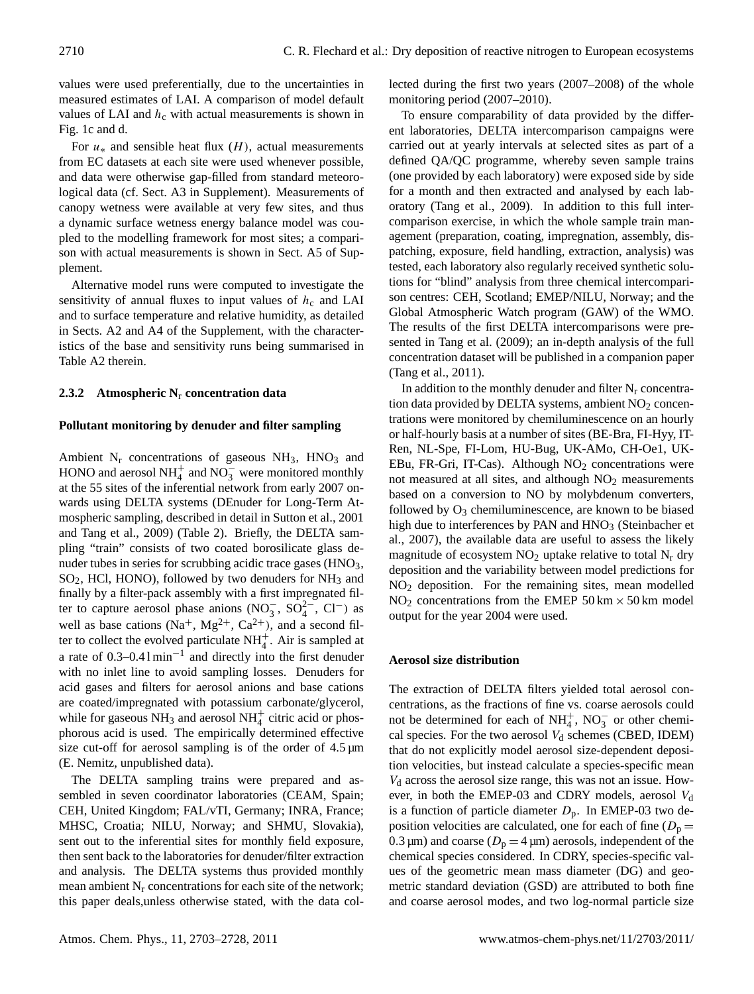values were used preferentially, due to the uncertainties in measured estimates of LAI. A comparison of model default values of LAI and  $h<sub>c</sub>$  with actual measurements is shown in Fig. 1c and d.

For  $u_*$  and sensible heat flux  $(H)$ , actual measurements from EC datasets at each site were used whenever possible, and data were otherwise gap-filled from standard meteorological data (cf. Sect. A3 in Supplement). Measurements of canopy wetness were available at very few sites, and thus a dynamic surface wetness energy balance model was coupled to the modelling framework for most sites; a comparison with actual measurements is shown in Sect. A5 of Supplement.

Alternative model runs were computed to investigate the sensitivity of annual fluxes to input values of  $h<sub>c</sub>$  and LAI and to surface temperature and relative humidity, as detailed in Sects. A2 and A4 of the Supplement, with the characteristics of the base and sensitivity runs being summarised in Table A2 therein.

## **2.3.2 Atmospheric N**<sup>r</sup> **concentration data**

## **Pollutant monitoring by denuder and filter sampling**

Ambient  $N_r$  concentrations of gaseous  $NH_3$ ,  $HNO_3$  and HONO and aerosol NH<sup> $+$ </sup> and NO<sub>3</sub> were monitored monthly at the 55 sites of the inferential network from early 2007 onwards using DELTA systems (DEnuder for Long-Term Atmospheric sampling, described in detail in Sutton et al., 2001 and Tang et al., 2009) (Table 2). Briefly, the DELTA sampling "train" consists of two coated borosilicate glass denuder tubes in series for scrubbing acidic trace gases (HNO<sub>3</sub>,  $SO<sub>2</sub>$ , HCl, HONO), followed by two denuders for NH<sub>3</sub> and finally by a filter-pack assembly with a first impregnated filter to capture aerosol phase anions (NO<sub>3</sub>, SO<sub>4</sub><sup>-</sup>, Cl<sup>-</sup>) as well as base cations  $(Na^+, Mg^{2+}, Ca^{2+})$ , and a second filter to collect the evolved particulate  $NH_4^+$ . Air is sampled at a rate of  $0.3-0.41$  min<sup>-1</sup> and directly into the first denuder with no inlet line to avoid sampling losses. Denuders for acid gases and filters for aerosol anions and base cations are coated/impregnated with potassium carbonate/glycerol, while for gaseous  $NH_3$  and aerosol  $NH<sub>4</sub><sup>+</sup>$  citric acid or phosphorous acid is used. The empirically determined effective size cut-off for aerosol sampling is of the order of  $4.5 \mu m$ (E. Nemitz, unpublished data).

The DELTA sampling trains were prepared and assembled in seven coordinator laboratories (CEAM, Spain; CEH, United Kingdom; FAL/vTI, Germany; INRA, France; MHSC, Croatia; NILU, Norway; and SHMU, Slovakia), sent out to the inferential sites for monthly field exposure, then sent back to the laboratories for denuder/filter extraction and analysis. The DELTA systems thus provided monthly mean ambient  $N_r$  concentrations for each site of the network; this paper deals,unless otherwise stated, with the data collected during the first two years (2007–2008) of the whole monitoring period (2007–2010).

To ensure comparability of data provided by the different laboratories, DELTA intercomparison campaigns were carried out at yearly intervals at selected sites as part of a defined QA/QC programme, whereby seven sample trains (one provided by each laboratory) were exposed side by side for a month and then extracted and analysed by each laboratory (Tang et al., 2009). In addition to this full intercomparison exercise, in which the whole sample train management (preparation, coating, impregnation, assembly, dispatching, exposure, field handling, extraction, analysis) was tested, each laboratory also regularly received synthetic solutions for "blind" analysis from three chemical intercomparison centres: CEH, Scotland; EMEP/NILU, Norway; and the Global Atmospheric Watch program (GAW) of the WMO. The results of the first DELTA intercomparisons were presented in Tang et al. (2009); an in-depth analysis of the full concentration dataset will be published in a companion paper (Tang et al., 2011).

In addition to the monthly denuder and filter  $N_r$  concentration data provided by DELTA systems, ambient  $NO<sub>2</sub>$  concentrations were monitored by chemiluminescence on an hourly or half-hourly basis at a number of sites (BE-Bra, FI-Hyy, IT-Ren, NL-Spe, FI-Lom, HU-Bug, UK-AMo, CH-Oe1, UK-EBu, FR-Gri, IT-Cas). Although  $NO<sub>2</sub>$  concentrations were not measured at all sites, and although  $NO<sub>2</sub>$  measurements based on a conversion to NO by molybdenum converters, followed by  $O_3$  chemiluminescence, are known to be biased high due to interferences by PAN and  $HNO<sub>3</sub>$  (Steinbacher et al., 2007), the available data are useful to assess the likely magnitude of ecosystem  $NO<sub>2</sub>$  uptake relative to total  $N<sub>r</sub>$  dry deposition and the variability between model predictions for NO<sup>2</sup> deposition. For the remaining sites, mean modelled  $NO<sub>2</sub>$  concentrations from the EMEP 50 km  $\times$  50 km model output for the year 2004 were used.

## **Aerosol size distribution**

The extraction of DELTA filters yielded total aerosol concentrations, as the fractions of fine vs. coarse aerosols could not be determined for each of  $NH_4^+$ ,  $NO_3^-$  or other chemical species. For the two aerosol  $V<sub>d</sub>$  schemes (CBED, IDEM) that do not explicitly model aerosol size-dependent deposition velocities, but instead calculate a species-specific mean  $V<sub>d</sub>$  across the aerosol size range, this was not an issue. However, in both the EMEP-03 and CDRY models, aerosol  $V<sub>d</sub>$ is a function of particle diameter  $D_p$ . In EMEP-03 two deposition velocities are calculated, one for each of fine  $(D_p =$ 0.3  $\mu$ m) and coarse ( $D_p = 4 \mu$ m) aerosols, independent of the chemical species considered. In CDRY, species-specific values of the geometric mean mass diameter (DG) and geometric standard deviation (GSD) are attributed to both fine and coarse aerosol modes, and two log-normal particle size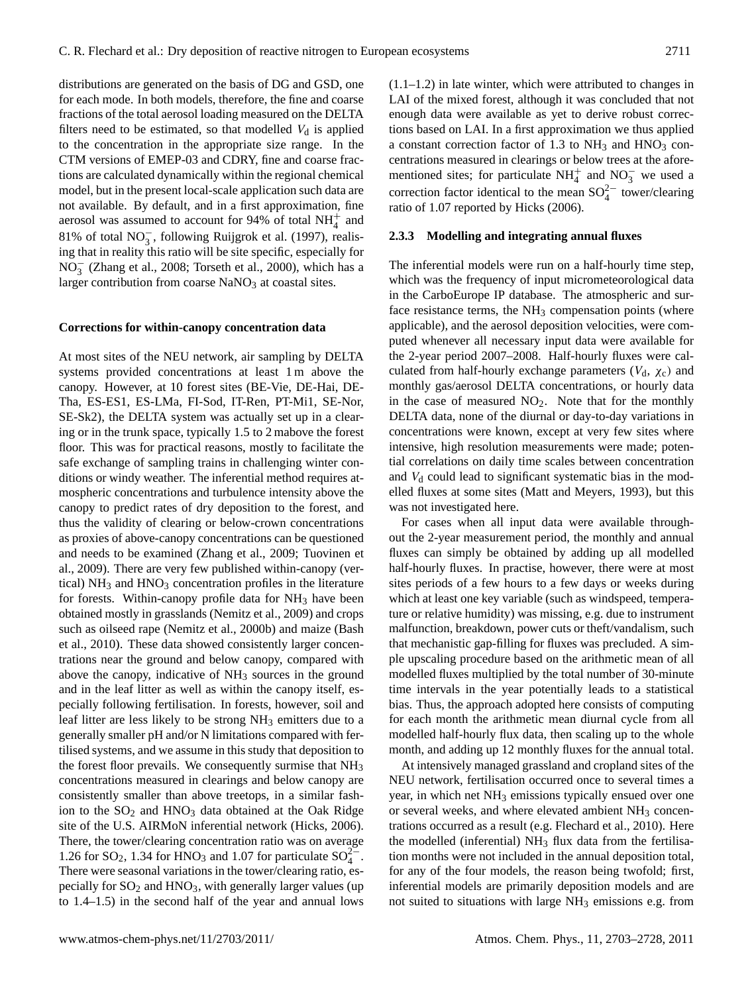distributions are generated on the basis of DG and GSD, one for each mode. In both models, therefore, the fine and coarse fractions of the total aerosol loading measured on the DELTA filters need to be estimated, so that modelled  $V_d$  is applied to the concentration in the appropriate size range. In the CTM versions of EMEP-03 and CDRY, fine and coarse fractions are calculated dynamically within the regional chemical model, but in the present local-scale application such data are not available. By default, and in a first approximation, fine aerosol was assumed to account for 94% of total  $NH_4^+$  and 81% of total NO<sub>3</sub>, following Ruijgrok et al. (1997), realising that in reality this ratio will be site specific, especially for  $NO<sub>3</sub><sup>-</sup>$  (Zhang et al., 2008; Torseth et al., 2000), which has a larger contribution from coarse  $NaNO<sub>3</sub>$  at coastal sites.

## **Corrections for within-canopy concentration data**

At most sites of the NEU network, air sampling by DELTA systems provided concentrations at least 1 m above the canopy. However, at 10 forest sites (BE-Vie, DE-Hai, DE-Tha, ES-ES1, ES-LMa, FI-Sod, IT-Ren, PT-Mi1, SE-Nor, SE-Sk2), the DELTA system was actually set up in a clearing or in the trunk space, typically 1.5 to 2 mabove the forest floor. This was for practical reasons, mostly to facilitate the safe exchange of sampling trains in challenging winter conditions or windy weather. The inferential method requires atmospheric concentrations and turbulence intensity above the canopy to predict rates of dry deposition to the forest, and thus the validity of clearing or below-crown concentrations as proxies of above-canopy concentrations can be questioned and needs to be examined (Zhang et al., 2009; Tuovinen et al., 2009). There are very few published within-canopy (vertical)  $NH<sub>3</sub>$  and  $HNO<sub>3</sub>$  concentration profiles in the literature for forests. Within-canopy profile data for  $NH_3$  have been obtained mostly in grasslands (Nemitz et al., 2009) and crops such as oilseed rape (Nemitz et al., 2000b) and maize (Bash et al., 2010). These data showed consistently larger concentrations near the ground and below canopy, compared with above the canopy, indicative of NH<sub>3</sub> sources in the ground and in the leaf litter as well as within the canopy itself, especially following fertilisation. In forests, however, soil and leaf litter are less likely to be strong  $NH<sub>3</sub>$  emitters due to a generally smaller pH and/or N limitations compared with fertilised systems, and we assume in this study that deposition to the forest floor prevails. We consequently surmise that NH<sup>3</sup> concentrations measured in clearings and below canopy are consistently smaller than above treetops, in a similar fashion to the  $SO_2$  and  $HNO_3$  data obtained at the Oak Ridge site of the U.S. AIRMoN inferential network (Hicks, 2006). There, the tower/clearing concentration ratio was on average 1.26 for SO<sub>2</sub>, 1.34 for HNO<sub>3</sub> and 1.07 for particulate  $SO_4^{2-}$ . There were seasonal variations in the tower/clearing ratio, especially for  $SO<sub>2</sub>$  and  $HNO<sub>3</sub>$ , with generally larger values (up to 1.4–1.5) in the second half of the year and annual lows (1.1–1.2) in late winter, which were attributed to changes in LAI of the mixed forest, although it was concluded that not enough data were available as yet to derive robust corrections based on LAI. In a first approximation we thus applied a constant correction factor of 1.3 to  $NH<sub>3</sub>$  and  $HNO<sub>3</sub>$  concentrations measured in clearings or below trees at the aforementioned sites; for particulate  $NH_4^+$  and  $NO_3^-$  we used a correction factor identical to the mean  $SO_4^{2-}$  tower/clearing ratio of 1.07 reported by Hicks (2006).

## **2.3.3 Modelling and integrating annual fluxes**

The inferential models were run on a half-hourly time step, which was the frequency of input micrometeorological data in the CarboEurope IP database. The atmospheric and surface resistance terms, the  $NH<sub>3</sub>$  compensation points (where applicable), and the aerosol deposition velocities, were computed whenever all necessary input data were available for the 2-year period 2007–2008. Half-hourly fluxes were calculated from half-hourly exchange parameters  $(V_d, \chi_c)$  and monthly gas/aerosol DELTA concentrations, or hourly data in the case of measured  $NO<sub>2</sub>$ . Note that for the monthly DELTA data, none of the diurnal or day-to-day variations in concentrations were known, except at very few sites where intensive, high resolution measurements were made; potential correlations on daily time scales between concentration and  $V_d$  could lead to significant systematic bias in the modelled fluxes at some sites (Matt and Meyers, 1993), but this was not investigated here.

For cases when all input data were available throughout the 2-year measurement period, the monthly and annual fluxes can simply be obtained by adding up all modelled half-hourly fluxes. In practise, however, there were at most sites periods of a few hours to a few days or weeks during which at least one key variable (such as windspeed, temperature or relative humidity) was missing, e.g. due to instrument malfunction, breakdown, power cuts or theft/vandalism, such that mechanistic gap-filling for fluxes was precluded. A simple upscaling procedure based on the arithmetic mean of all modelled fluxes multiplied by the total number of 30-minute time intervals in the year potentially leads to a statistical bias. Thus, the approach adopted here consists of computing for each month the arithmetic mean diurnal cycle from all modelled half-hourly flux data, then scaling up to the whole month, and adding up 12 monthly fluxes for the annual total.

At intensively managed grassland and cropland sites of the NEU network, fertilisation occurred once to several times a year, in which net NH<sub>3</sub> emissions typically ensued over one or several weeks, and where elevated ambient NH<sub>3</sub> concentrations occurred as a result (e.g. Flechard et al., 2010). Here the modelled (inferential)  $NH_3$  flux data from the fertilisation months were not included in the annual deposition total, for any of the four models, the reason being twofold; first, inferential models are primarily deposition models and are not suited to situations with large NH<sub>3</sub> emissions e.g. from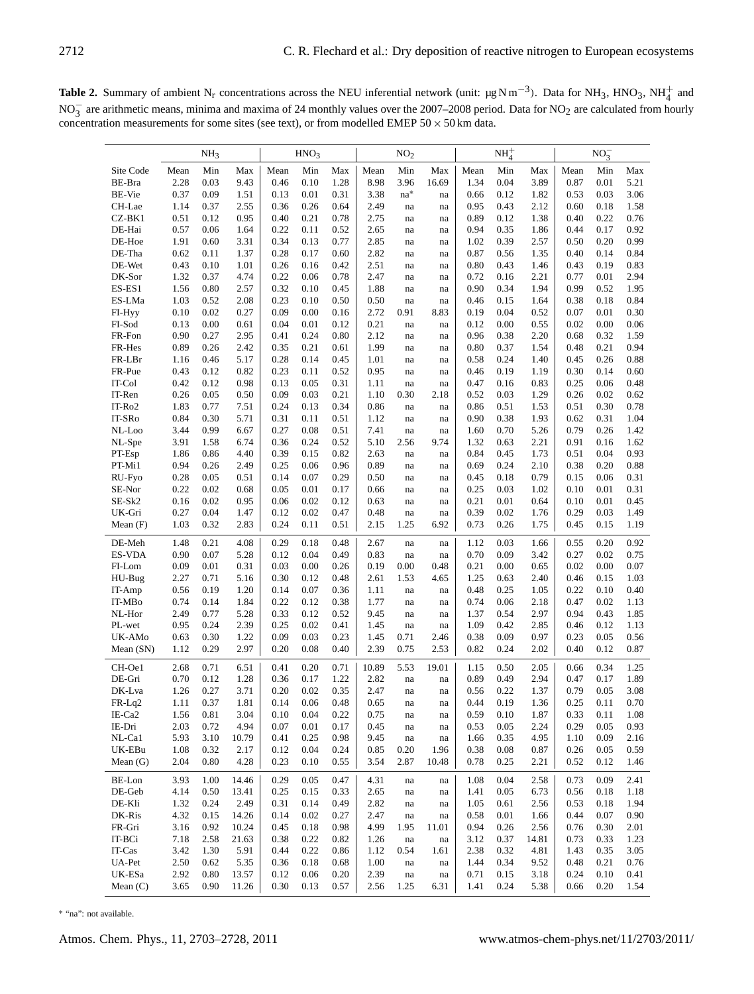**Table 2.** Summary of ambient N<sub>r</sub> concentrations across the NEU inferential network (unit:  $\mu$ g N m<sup>-3</sup>). Data for NH<sub>3</sub>, HNO<sub>3</sub>, NH<sub>4</sub><sup>+</sup> and NO<sub>3</sub> are arithmetic means, minima and maxima of 24 monthly values over the 2007–2008 period. Data for NO<sub>2</sub> are calculated from hourly concentration measurements for some sites (see text), or from modelled EMEP  $50 \times 50$  km data.

|                    |              | NH <sub>3</sub> |              |              | HNO <sub>3</sub> |              |               | NO <sub>2</sub>                            |            |              | $NH4+$       |              |              | $NO_3^-$     |              |
|--------------------|--------------|-----------------|--------------|--------------|------------------|--------------|---------------|--------------------------------------------|------------|--------------|--------------|--------------|--------------|--------------|--------------|
|                    |              |                 |              |              |                  |              |               |                                            |            |              |              |              |              |              |              |
| Site Code          | Mean         | Min             | Max          | Mean         | Min              | Max          | Mean          | Min                                        | Max        | Mean         | Min          | Max          | Mean         | Min          | Max          |
| BE-Bra             | 2.28         | 0.03            | 9.43         | 0.46         | 0.10             | 1.28         | 8.98          | 3.96                                       | 16.69      | 1.34         | 0.04         | 3.89         | 0.87         | 0.01         | 5.21         |
| <b>BE-Vie</b>      | 0.37         | 0.09            | 1.51         | 0.13         | 0.01             | 0.31         | 3.38          | $na^*$                                     | na         | 0.66         | 0.12         | 1.82         | 0.53         | 0.03         | 3.06         |
| CH-Lae             | 1.14         | 0.37            | 2.55         | 0.36<br>0.40 | 0.26             | 0.64         | 2.49          | na                                         | na         | 0.95         | 0.43         | 2.12         | 0.60         | 0.18         | 1.58         |
| CZ-BK1<br>DE-Hai   | 0.51<br>0.57 | 0.12<br>0.06    | 0.95         | 0.22         | 0.21<br>0.11     | 0.78<br>0.52 | 2.75<br>2.65  | na                                         | na         | 0.89<br>0.94 | 0.12<br>0.35 | 1.38<br>1.86 | 0.40<br>0.44 | 0.22<br>0.17 | 0.76<br>0.92 |
| DE-Hoe             | 1.91         | 0.60            | 1.64         | 0.34         | 0.13             | 0.77         | 2.85          | na                                         | na         |              | 0.39         | 2.57         | 0.50         | 0.20         | 0.99         |
| DE-Tha             | 0.62         |                 | 3.31<br>1.37 | 0.28         | 0.17             |              | 2.82          | na                                         | na         | 1.02         |              | 1.35         | 0.40         | 0.14         | 0.84         |
| DE-Wet             | 0.43         | 0.11<br>0.10    | 1.01         | 0.26         | 0.16             | 0.60<br>0.42 | 2.51          | na                                         | na         | 0.87<br>0.80 | 0.56<br>0.43 | 1.46         | 0.43         | 0.19         | 0.83         |
| DK-Sor             | 1.32         | 0.37            | 4.74         | 0.22         | 0.06             | 0.78         | 2.47          | na<br>na                                   | na<br>na   | 0.72         | 0.16         | 2.21         | 0.77         | 0.01         | 2.94         |
| ES-ES1             | 1.56         | 0.80            | 2.57         | 0.32         | 0.10             | 0.45         | 1.88          | na                                         |            | 0.90         | 0.34         | 1.94         | 0.99         | 0.52         | 1.95         |
| ES-LMa             | 1.03         | 0.52            | 2.08         | 0.23         | 0.10             | 0.50         | 0.50          | na                                         | na<br>na   | 0.46         | 0.15         | 1.64         | 0.38         | 0.18         | 0.84         |
| FI-Hyy             | 0.10         | 0.02            | 0.27         | 0.09         | 0.00             | 0.16         | 2.72          | 0.91                                       | 8.83       | 0.19         | 0.04         | 0.52         | 0.07         | 0.01         | 0.30         |
| FI-Sod             | 0.13         | 0.00            | 0.61         | 0.04         | 0.01             | 0.12         | 0.21          | na                                         | na         | 0.12         | 0.00         | 0.55         | 0.02         | 0.00         | 0.06         |
| FR-Fon             | 0.90         | 0.27            | 2.95         | 0.41         | 0.24             | 0.80         | 2.12          | na                                         | na         | 0.96         | 0.38         | 2.20         | 0.68         | 0.32         | 1.59         |
| FR-Hes             | 0.89         | 0.26            | 2.42         | 0.35         | 0.21             | 0.61         | 1.99          | na                                         | na         | 0.80         | 0.37         | 1.54         | 0.48         | 0.21         | 0.94         |
| FR-LBr             | 1.16         | 0.46            | 5.17         | 0.28         | 0.14             | 0.45         | 1.01          | na                                         | na         | 0.58         | 0.24         | 1.40         | 0.45         | 0.26         | 0.88         |
| FR-Pue             | 0.43         | 0.12            | 0.82         | 0.23         | 0.11             | 0.52         | 0.95          | na                                         | na         | 0.46         | 0.19         | 1.19         | 0.30         | 0.14         | 0.60         |
| IT-Col             | 0.42         | 0.12            | 0.98         | 0.13         | 0.05             | 0.31         | 1.11          | na                                         | na         | 0.47         | 0.16         | 0.83         | 0.25         | 0.06         | 0.48         |
| IT-Ren             | 0.26         | 0.05            | 0.50         | 0.09         | 0.03             | 0.21         | 1.10          | 0.30                                       | 2.18       | 0.52         | 0.03         | 1.29         | 0.26         | 0.02         | 0.62         |
| IT-Ro2             | 1.83         | 0.77            | 7.51         | 0.24         | 0.13             | 0.34         | 0.86          | na                                         | na         | 0.86         | 0.51         | 1.53         | 0.51         | 0.30         | 0.78         |
| IT-SR <sub>o</sub> | 0.84         | 0.30            | 5.71         | 0.31         | 0.11             | 0.51         | 1.12          | na                                         | na         | 0.90         | 0.38         | 1.93         | 0.62         | 0.31         | 1.04         |
| NL-Loo             | 3.44         | 0.99            | 6.67         | 0.27         | 0.08             | 0.51         | 7.41          | na                                         | na         | 1.60         | 0.70         | 5.26         | 0.79         | 0.26         | 1.42         |
| NL-Spe             | 3.91         | 1.58            | 6.74         | 0.36         | 0.24             | 0.52         | 5.10          | 2.56                                       | 9.74       | 1.32         | 0.63         | 2.21         | 0.91         | 0.16         | 1.62         |
| PT-Esp             | 1.86         | 0.86            | 4.40         | 0.39         | 0.15             | 0.82         | 2.63          | na                                         | na         | 0.84         | 0.45         | 1.73         | 0.51         | 0.04         | 0.93         |
| PT-Mi1             | 0.94         | 0.26            | 2.49         | 0.25         | 0.06             | 0.96         | 0.89          | na                                         | na         | 0.69         | 0.24         | 2.10         | 0.38         | 0.20         | 0.88         |
| RU-Fyo             | 0.28         | 0.05            | 0.51         | 0.14         | 0.07             | 0.29         | 0.50          | na                                         | na         | 0.45         | 0.18         | 0.79         | 0.15         | 0.06         | 0.31         |
| SE-Nor             | 0.22         | 0.02            | 0.68         | 0.05         | 0.01             | 0.17         | 0.66          | na                                         | na         | 0.25         | 0.03         | 1.02         | 0.10         | 0.01         | 0.31         |
| SE-Sk2             | 0.16         | 0.02            | 0.95         | 0.06         | 0.02             | 0.12         | 0.63          | na                                         | na         | 0.21         | 0.01         | 0.64         | 0.10         | 0.01         | 0.45         |
| UK-Gri             | 0.27         | 0.04            | 1.47         | 0.12         | 0.02             | 0.47         | 0.48          | na                                         | na         | 0.39         | 0.02         | 1.76         | 0.29         | 0.03         | 1.49         |
| Mean $(F)$         | 1.03         | 0.32            | 2.83         | 0.24         | 0.11             | 0.51         | 2.15          | 1.25                                       | 6.92       | 0.73         | 0.26         | 1.75         | 0.45         | 0.15         | 1.19         |
| DE-Meh             | 1.48         | 0.21            | 4.08         | 0.29         | 0.18             | 0.48         | 2.67          | na                                         | na         | 1.12         | 0.03         | 1.66         | 0.55         | 0.20         | 0.92         |
| <b>ES-VDA</b>      | 0.90         | 0.07            | 5.28         | 0.12         | 0.04             | 0.49         | 0.83          | na                                         | na         | 0.70         | 0.09         | 3.42         | 0.27         | 0.02         | 0.75         |
| FI-Lom             | 0.09         | 0.01            | 0.31         | 0.03         | 0.00             | 0.26         | 0.19          | 0.00                                       | 0.48       | 0.21         | 0.00         | 0.65         | 0.02         | 0.00         | 0.07         |
| HU-Bug             | 2.27         | 0.71            | 5.16         | 0.30         | 0.12             | 0.48         | 2.61          | 1.53                                       | 4.65       | 1.25         | 0.63         | 2.40         | 0.46         | 0.15         | 1.03         |
| IT-Amp             | 0.56         | 0.19            | 1.20         | 0.14         | 0.07             | 0.36         | 1.11          | na                                         | na         | 0.48         | 0.25         | 1.05         | 0.22         | 0.10         | 0.40         |
| IT-MB <sub>o</sub> | 0.74         | 0.14            | 1.84         | 0.22         | 0.12             | 0.38         | 1.77          | na                                         | na         | 0.74         | 0.06         | 2.18         | 0.47         | 0.02         | 1.13         |
| NL-Hor             | 2.49         | 0.77            | 5.28         | 0.33         | 0.12             | 0.52         | 9.45          | na                                         | na         | 1.37         | 0.54         | 2.97         | 0.94         | 0.43         | 1.85         |
| PL-wet             | 0.95         | 0.24            | 2.39         | 0.25         | 0.02             | 0.41         | 1.45          | na                                         | na         | 1.09         | 0.42         | 2.85         | 0.46         | 0.12         | 1.13         |
| UK-AM <sub>0</sub> | 0.63         | 0.30            | 1.22         | 0.09         | 0.03             | 0.23         | 1.45          | 0.71                                       | 2.46       | 0.38         | 0.09         | 0.97         | 0.23         | 0.05         | 0.56         |
| Mean (SN)          | 1.12         | 0.29            | 2.97         | 0.20         | 0.08             | 0.40         | 2.39          | 0.75                                       | 2.53       | 0.82         | 0.24         | 2.02         | 0.40         | 0.12         | 0.87         |
|                    |              |                 |              |              |                  |              |               |                                            |            |              |              |              |              |              |              |
| CH-Oe1<br>DE-Gri   | 2.68<br>0.70 | 0.71            | 6.51         | 0.41         | 0.20             | 0.71         | 10.89<br>2.82 | 5.53                                       | 19.01      | 1.15<br>0.89 | 0.50         | 2.05<br>2.94 | 0.66         | 0.34         | 1.25<br>1.89 |
|                    |              | 0.12            | 1.28         | 0.36         | 0.17             | 1.22         |               | na                                         | na         |              | 0.49         |              | 0.47         | 0.17         |              |
| DK-Lva             | 1.26<br>1.11 | 0.27<br>0.37    | 3.71<br>1.81 | 0.20<br>0.14 | 0.02<br>0.06     | 0.35<br>0.48 | 2.47<br>0.65  | na                                         | na<br>na   | 0.56<br>0.44 | 0.22<br>0.19 | 1.37<br>1.36 | 0.79<br>0.25 | 0.05<br>0.11 | 3.08<br>0.70 |
| $FR-Lq2$<br>IE-Ca2 | 1.56         | 0.81            | 3.04         | 0.10         | 0.04             | 0.22         | 0.75          | na                                         |            | 0.59         | 0.10         | 1.87         | 0.33         | 0.11         | 1.08         |
| IE-Dri             | 2.03         | 0.72            | 4.94         | 0.07         | 0.01             | 0.17         | 0.45          | na                                         | na         | 0.53         | 0.05         | 2.24         | 0.29         | 0.05         | 0.93         |
| NL-Ca1             | 5.93         | 3.10            | 10.79        | 0.41         | 0.25             | 0.98         | 9.45          | $\operatorname{na}$<br>$\operatorname{na}$ | na         | 1.66         | 0.35         | 4.95         | 1.10         | 0.09         | 2.16         |
| UK-EBu             | 1.08         | 0.32            | 2.17         | 0.12         | 0.04             | 0.24         | 0.85          | 0.20                                       | na<br>1.96 | 0.38         | 0.08         | 0.87         | 0.26         | 0.05         | 0.59         |
| Mean $(G)$         | 2.04         | 0.80            | 4.28         | 0.23         | 0.10             | 0.55         | 3.54          | 2.87                                       | 10.48      | 0.78         | 0.25         | 2.21         | 0.52         | 0.12         | 1.46         |
|                    |              |                 |              |              |                  |              |               |                                            |            |              |              |              |              |              |              |
| BE-Lon             | 3.93         | 1.00            | 14.46        | 0.29         | 0.05             | 0.47         | 4.31          | $\operatorname{na}$                        | na         | 1.08         | 0.04         | 2.58         | 0.73         | 0.09         | 2.41         |
| DE-Geb             | 4.14         | 0.50            | 13.41        | 0.25         | 0.15             | 0.33         | 2.65          | na                                         | na         | 1.41         | 0.05         | 6.73         | 0.56         | 0.18         | 1.18         |
| DE-Kli             | 1.32         | 0.24            | 2.49         | 0.31         | 0.14             | 0.49         | 2.82          | $\operatorname{na}$                        | na         | 1.05         | 0.61         | 2.56         | 0.53         | 0.18         | 1.94         |
| DK-Ris             | 4.32         | 0.15            | 14.26        | 0.14         | 0.02             | 0.27         | 2.47          | na                                         | na         | 0.58         | 0.01         | 1.66         | 0.44         | 0.07         | 0.90         |
| FR-Gri             | 3.16         | 0.92            | 10.24        | 0.45         | 0.18             | 0.98         | 4.99          | 1.95                                       | 11.01      | 0.94         | 0.26         | 2.56         | 0.76         | 0.30         | 2.01         |
| IT-BCi             | 7.18         | 2.58            | 21.63        | 0.38         | 0.22             | 0.82         | 1.26          | $\operatorname{na}$                        | na         | 3.12         | 0.37         | 14.81        | 0.73         | 0.33         | 1.23         |
| IT-Cas             | 3.42         | 1.30            | 5.91         | 0.44         | 0.22             | 0.86         | 1.12          | 0.54                                       | 1.61       | 2.38         | 0.32         | 4.81         | 1.43         | 0.35         | 3.05         |
| UA-Pet             | 2.50         | 0.62            | 5.35         | 0.36         | 0.18             | 0.68         | 1.00          | $\operatorname{na}$                        | na         | 1.44         | 0.34         | 9.52         | 0.48         | 0.21         | 0.76         |
| UK-ESa             | 2.92         | $0.80\,$        | 13.57        | 0.12         | 0.06             | 0.20         | 2.39          | $\operatorname{na}$                        | na         | 0.71         | 0.15         | 3.18         | 0.24         | 0.10         | 0.41         |
| Mean $(C)$         | 3.65         | 0.90            | 11.26        | 0.30         | 0.13             | 0.57         | 2.56          | 1.25                                       | 6.31       | 1.41         | 0.24         | 5.38         | 0.66         | 0.20         | 1.54         |

∗ "na": not available.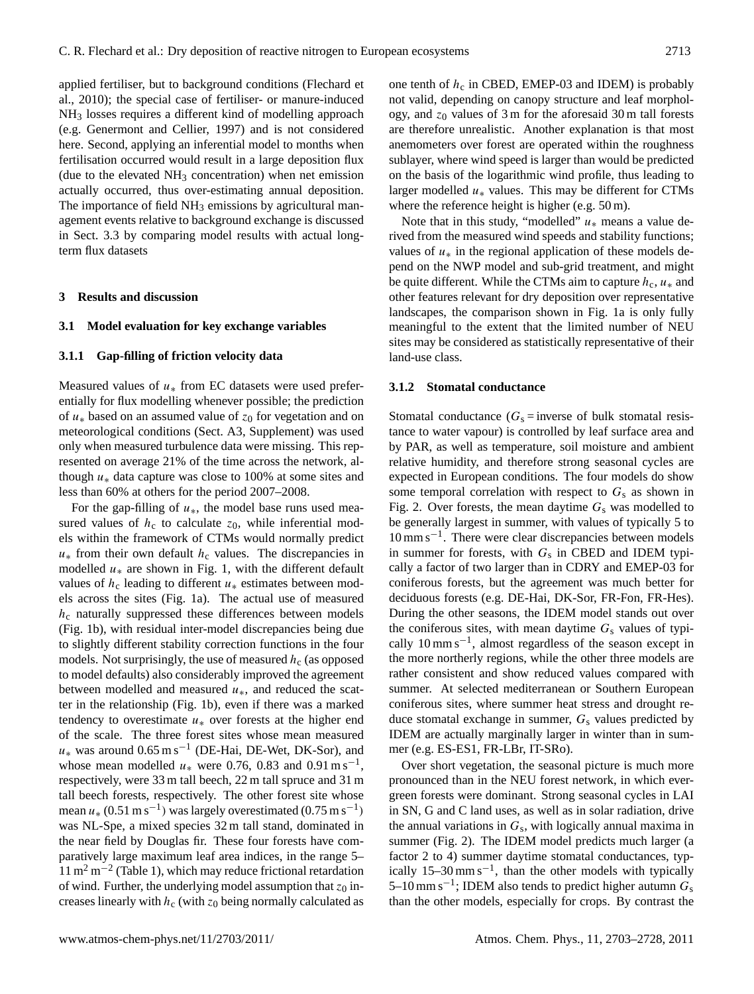applied fertiliser, but to background conditions (Flechard et al., 2010); the special case of fertiliser- or manure-induced NH<sup>3</sup> losses requires a different kind of modelling approach (e.g. Genermont and Cellier, 1997) and is not considered here. Second, applying an inferential model to months when fertilisation occurred would result in a large deposition flux (due to the elevated  $NH<sub>3</sub>$  concentration) when net emission actually occurred, thus over-estimating annual deposition. The importance of field  $NH<sub>3</sub>$  emissions by agricultural management events relative to background exchange is discussed in Sect. 3.3 by comparing model results with actual longterm flux datasets

## **3 Results and discussion**

### **3.1 Model evaluation for key exchange variables**

## **3.1.1 Gap-filling of friction velocity data**

Measured values of  $u_*$  from EC datasets were used preferentially for flux modelling whenever possible; the prediction of  $u_*$  based on an assumed value of  $z_0$  for vegetation and on meteorological conditions (Sect. A3, Supplement) was used only when measured turbulence data were missing. This represented on average 21% of the time across the network, although  $u_*$  data capture was close to 100% at some sites and less than 60% at others for the period 2007–2008.

For the gap-filling of  $u<sub>*</sub>$ , the model base runs used measured values of  $h_c$  to calculate  $z_0$ , while inferential models within the framework of CTMs would normally predict  $u_*$  from their own default  $h_c$  values. The discrepancies in modelled  $u_*$  are shown in Fig. 1, with the different default values of  $h_c$  leading to different  $u_*$  estimates between models across the sites (Fig. 1a). The actual use of measured  $h<sub>c</sub>$  naturally suppressed these differences between models (Fig. 1b), with residual inter-model discrepancies being due to slightly different stability correction functions in the four models. Not surprisingly, the use of measured  $h<sub>c</sub>$  (as opposed to model defaults) also considerably improved the agreement between modelled and measured  $u<sub>*</sub>$ , and reduced the scatter in the relationship (Fig. 1b), even if there was a marked tendency to overestimate  $u_*$  over forests at the higher end of the scale. The three forest sites whose mean measured  $u_*$  was around 0.65 m s<sup>-1</sup> (DE-Hai, DE-Wet, DK-Sor), and whose mean modelled  $u_*$  were 0.76, 0.83 and 0.91 m s<sup>-1</sup>, respectively, were 33 m tall beech, 22 m tall spruce and 31 m tall beech forests, respectively. The other forest site whose mean  $u_*(0.51 \text{ m s}^{-1})$  was largely overestimated (0.75 m s<sup>-1</sup>) was NL-Spe, a mixed species 32 m tall stand, dominated in the near field by Douglas fir. These four forests have comparatively large maximum leaf area indices, in the range 5–  $11 \text{ m}^2 \text{ m}^{-2}$  (Table 1), which may reduce frictional retardation of wind. Further, the underlying model assumption that  $z_0$  increases linearly with  $h_c$  (with  $z_0$  being normally calculated as one tenth of  $h_c$  in CBED, EMEP-03 and IDEM) is probably not valid, depending on canopy structure and leaf morphology, and  $z_0$  values of 3 m for the aforesaid 30 m tall forests are therefore unrealistic. Another explanation is that most anemometers over forest are operated within the roughness sublayer, where wind speed is larger than would be predicted on the basis of the logarithmic wind profile, thus leading to larger modelled  $u_*$  values. This may be different for CTMs where the reference height is higher (e.g. 50 m).

Note that in this study, "modelled"  $u_*$  means a value derived from the measured wind speeds and stability functions; values of  $u_*$  in the regional application of these models depend on the NWP model and sub-grid treatment, and might be quite different. While the CTMs aim to capture  $h_c$ ,  $u_*$  and other features relevant for dry deposition over representative landscapes, the comparison shown in Fig. 1a is only fully meaningful to the extent that the limited number of NEU sites may be considered as statistically representative of their land-use class.

#### **3.1.2 Stomatal conductance**

Stomatal conductance  $(G_s = \text{inverse of bulk stomatal resis-}$ tance to water vapour) is controlled by leaf surface area and by PAR, as well as temperature, soil moisture and ambient relative humidity, and therefore strong seasonal cycles are expected in European conditions. The four models do show some temporal correlation with respect to  $G_s$  as shown in Fig. 2. Over forests, the mean daytime  $G_s$  was modelled to be generally largest in summer, with values of typically 5 to 10 mm s−<sup>1</sup> . There were clear discrepancies between models in summer for forests, with  $G_s$  in CBED and IDEM typically a factor of two larger than in CDRY and EMEP-03 for coniferous forests, but the agreement was much better for deciduous forests (e.g. DE-Hai, DK-Sor, FR-Fon, FR-Hes). During the other seasons, the IDEM model stands out over the coniferous sites, with mean daytime  $G_s$  values of typically 10 mm s−<sup>1</sup> , almost regardless of the season except in the more northerly regions, while the other three models are rather consistent and show reduced values compared with summer. At selected mediterranean or Southern European coniferous sites, where summer heat stress and drought reduce stomatal exchange in summer,  $G_s$  values predicted by IDEM are actually marginally larger in winter than in summer (e.g. ES-ES1, FR-LBr, IT-SRo).

Over short vegetation, the seasonal picture is much more pronounced than in the NEU forest network, in which evergreen forests were dominant. Strong seasonal cycles in LAI in SN, G and C land uses, as well as in solar radiation, drive the annual variations in  $G_s$ , with logically annual maxima in summer (Fig. 2). The IDEM model predicts much larger (a factor 2 to 4) summer daytime stomatal conductances, typically 15–30 mm s<sup>-1</sup>, than the other models with typically 5–10 mm s<sup>-1</sup>; IDEM also tends to predict higher autumn  $G_s$ than the other models, especially for crops. By contrast the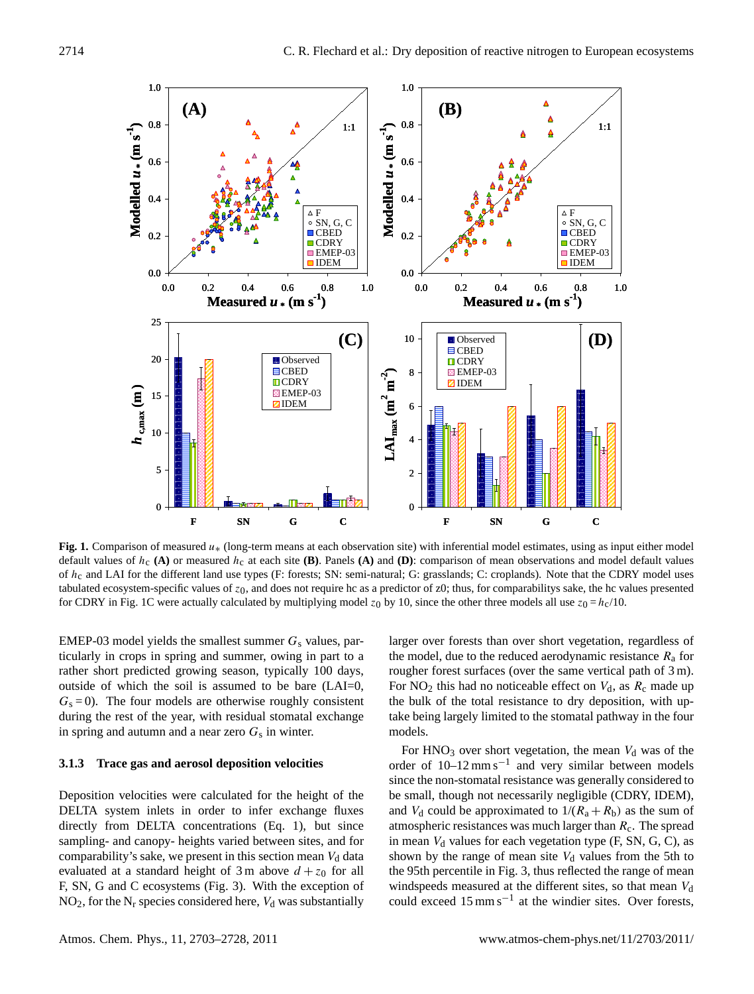

**Fig. 1.** Comparison of measured u∗ (long-term means at each observation site) with inferential model estimates, using as input either model default values of  $h_c$  (A) or measured  $h_c$  at each site (B). Panels (A) and (D): comparison of mean observations and model default values of  $h_c$  and LAI for the different land use types (F: forests; SN: semi-natural; G: grasslands; C: croplands). Note that the CDRY model uses tabulated ecosystem-specific values of  $z_0$ , and does not require hc as a predictor of  $z_0$ ; thus, for comparabilitys sake, the hc values presented for CDRY in Fig. 1C were actually calculated by multiplying model  $z_0$  by 10, since the other three models all use  $z_0 = h_c/10$ .

EMEP-03 model yields the smallest summer  $G_s$  values, particularly in crops in spring and summer, owing in part to a rather short predicted growing season, typically 100 days, outside of which the soil is assumed to be bare (LAI=0,  $G_s = 0$ ). The four models are otherwise roughly consistent during the rest of the year, with residual stomatal exchange in spring and autumn and a near zero  $G_s$  in winter.

#### **3.1.3 Trace gas and aerosol deposition velocities**

Deposition velocities were calculated for the height of the DELTA system inlets in order to infer exchange fluxes directly from DELTA concentrations (Eq. 1), but since sampling- and canopy- heights varied between sites, and for comparability's sake, we present in this section mean  $V<sub>d</sub>$  data evaluated at a standard height of 3 m above  $d + z_0$  for all F, SN, G and C ecosystems (Fig. 3). With the exception of  $NO<sub>2</sub>$ , for the N<sub>r</sub> species considered here,  $V<sub>d</sub>$  was substantially

larger over forests than over short vegetation, regardless of the model, due to the reduced aerodynamic resistance  $R_a$  for rougher forest surfaces (over the same vertical path of 3 m). For  $NO<sub>2</sub>$  this had no noticeable effect on  $V<sub>d</sub>$ , as  $R<sub>c</sub>$  made up the bulk of the total resistance to dry deposition, with uptake being largely limited to the stomatal pathway in the four models.

For  $HNO<sub>3</sub>$  over short vegetation, the mean  $V<sub>d</sub>$  was of the order of 10–12 mm s−<sup>1</sup> and very similar between models since the non-stomatal resistance was generally considered to be small, though not necessarily negligible (CDRY, IDEM), and  $V_d$  could be approximated to  $1/(R_a + R_b)$  as the sum of atmospheric resistances was much larger than  $R<sub>c</sub>$ . The spread in mean  $V_d$  values for each vegetation type (F, SN, G, C), as shown by the range of mean site  $V_d$  values from the 5th to the 95th percentile in Fig. 3, thus reflected the range of mean windspeeds measured at the different sites, so that mean  $V_d$ could exceed 15 mm s−<sup>1</sup> at the windier sites. Over forests,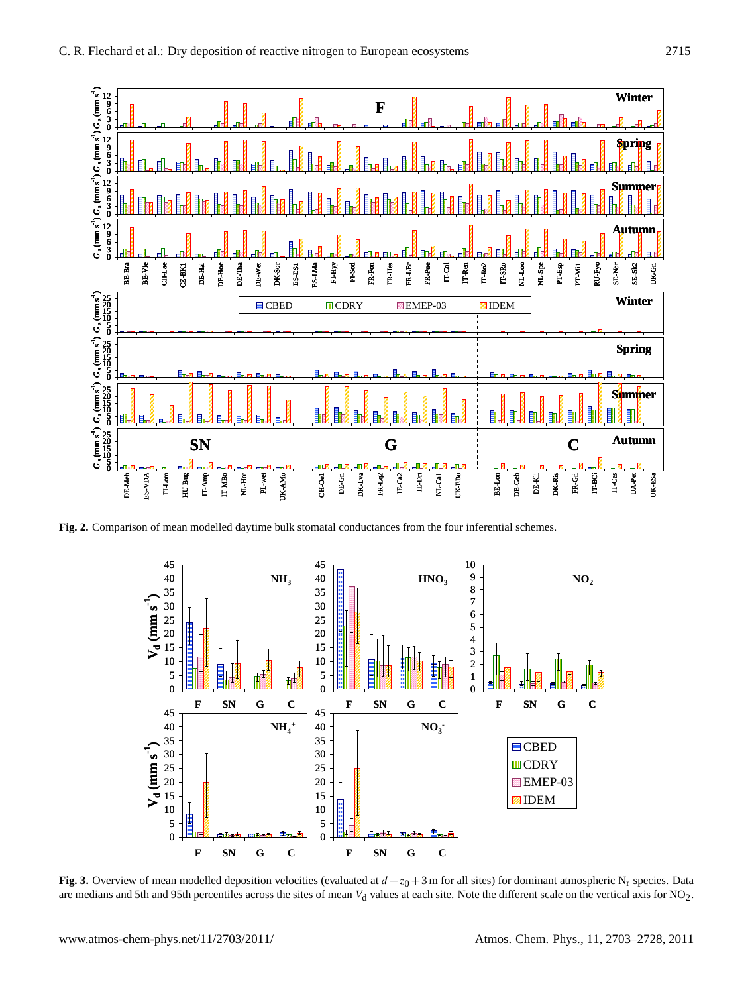

**Fig. 2.** Comparison of mean modelled daytime bulk stomatal conductances from the four inferential schemes.



**Fig. 3.** Overview of mean modelled deposition velocities (evaluated at  $d + z_0 + 3$  m for all sites) for dominant atmospheric N<sub>r</sub> species. Data are medians and 5th and 95th percentiles across the sites of mean  $V_d$  values at each site. Note the different scale on the vertical axis for NO<sub>2</sub>.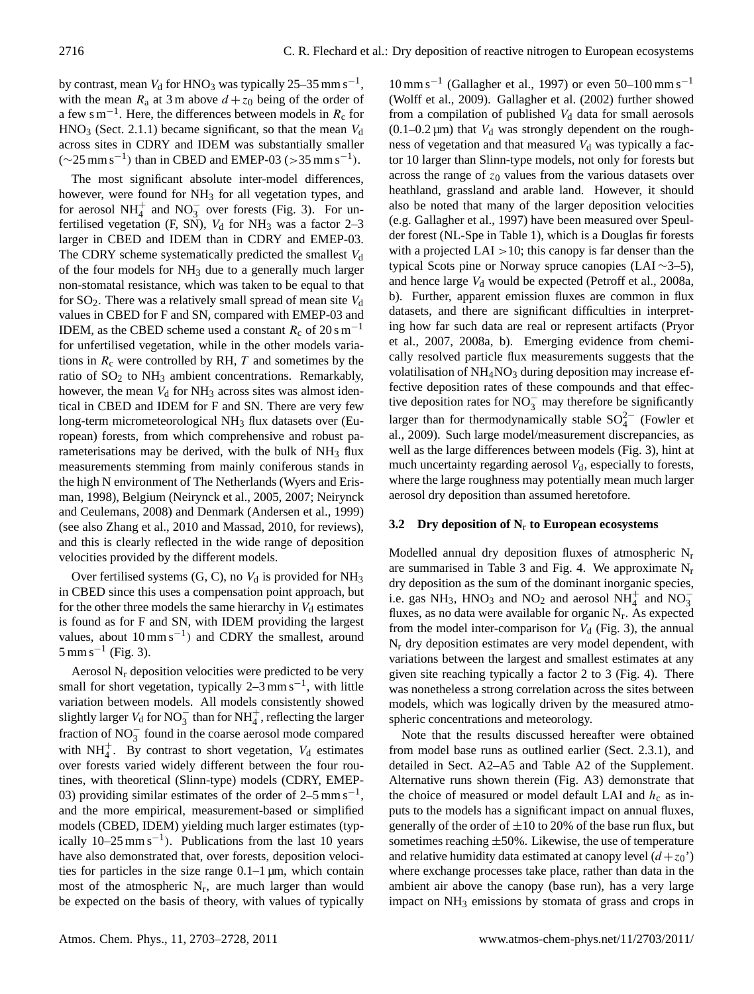by contrast, mean  $V_d$  for HNO<sub>3</sub> was typically 25–35 mm s<sup>-1</sup>, with the mean  $R_a$  at 3 m above  $d + z_0$  being of the order of a few s m<sup>-1</sup>. Here, the differences between models in  $R_c$  for  $HNO<sub>3</sub>$  (Sect. 2.1.1) became significant, so that the mean  $V<sub>d</sub>$ across sites in CDRY and IDEM was substantially smaller  $(\sim 25 \text{ mm s}^{-1})$  than in CBED and EMEP-03 (> 35 mm s<sup>-1</sup>).

The most significant absolute inter-model differences, however, were found for NH<sub>3</sub> for all vegetation types, and for aerosol  $NH_4^+$  and  $NO_3^-$  over forests (Fig. 3). For unfertilised vegetation (F, SN),  $V_d$  for NH<sub>3</sub> was a factor 2–3 larger in CBED and IDEM than in CDRY and EMEP-03. The CDRY scheme systematically predicted the smallest  $V_d$ of the four models for  $NH<sub>3</sub>$  due to a generally much larger non-stomatal resistance, which was taken to be equal to that for  $SO_2$ . There was a relatively small spread of mean site  $V_d$ values in CBED for F and SN, compared with EMEP-03 and IDEM, as the CBED scheme used a constant  $R_c$  of 20 s m<sup>-1</sup> for unfertilised vegetation, while in the other models variations in  $R_c$  were controlled by RH, T and sometimes by the ratio of SO<sub>2</sub> to NH<sub>3</sub> ambient concentrations. Remarkably, however, the mean  $V_d$  for NH<sub>3</sub> across sites was almost identical in CBED and IDEM for F and SN. There are very few long-term micrometeorological NH<sub>3</sub> flux datasets over (European) forests, from which comprehensive and robust parameterisations may be derived, with the bulk of  $NH<sub>3</sub>$  flux measurements stemming from mainly coniferous stands in the high N environment of The Netherlands (Wyers and Erisman, 1998), Belgium (Neirynck et al., 2005, 2007; Neirynck and Ceulemans, 2008) and Denmark (Andersen et al., 1999) (see also Zhang et al., 2010 and Massad, 2010, for reviews), and this is clearly reflected in the wide range of deposition velocities provided by the different models.

Over fertilised systems (G, C), no  $V_d$  is provided for NH<sub>3</sub> in CBED since this uses a compensation point approach, but for the other three models the same hierarchy in  $V_d$  estimates is found as for F and SN, with IDEM providing the largest values, about  $10 \text{ mm s}^{-1}$ ) and CDRY the smallest, around  $5 \text{ mm s}^{-1}$  (Fig. 3).

Aerosol  $N_r$  deposition velocities were predicted to be very small for short vegetation, typically  $2-3$  mm s<sup>-1</sup>, with little variation between models. All models consistently showed slightly larger  $V_d$  for  $NO_3^-$  than for  $NH_4^+$ , reflecting the larger fraction of NO<sub>3</sub> found in the coarse aerosol mode compared with  $NH_4^+$ . By contrast to short vegetation,  $V_d$  estimates over forests varied widely different between the four routines, with theoretical (Slinn-type) models (CDRY, EMEP-03) providing similar estimates of the order of  $2-5$  mm s<sup>-1</sup>, and the more empirical, measurement-based or simplified models (CBED, IDEM) yielding much larger estimates (typically  $10-25$  mm s<sup>-1</sup>). Publications from the last 10 years have also demonstrated that, over forests, deposition velocities for particles in the size range  $0.1-1 \mu m$ , which contain most of the atmospheric  $N_r$ , are much larger than would be expected on the basis of theory, with values of typically

 $10 \text{ mm s}^{-1}$  (Gallagher et al., 1997) or even 50–100 mm s<sup>-1</sup> (Wolff et al., 2009). Gallagher et al. (2002) further showed from a compilation of published  $V_d$  data for small aerosols  $(0.1-0.2 \,\mu\text{m})$  that  $V_d$  was strongly dependent on the roughness of vegetation and that measured  $V<sub>d</sub>$  was typically a factor 10 larger than Slinn-type models, not only for forests but across the range of  $z_0$  values from the various datasets over heathland, grassland and arable land. However, it should also be noted that many of the larger deposition velocities (e.g. Gallagher et al., 1997) have been measured over Speulder forest (NL-Spe in Table 1), which is a Douglas fir forests with a projected  $LAI > 10$ ; this canopy is far denser than the typical Scots pine or Norway spruce canopies (LAI ∼3–5), and hence large  $V_d$  would be expected (Petroff et al., 2008a, b). Further, apparent emission fluxes are common in flux datasets, and there are significant difficulties in interpreting how far such data are real or represent artifacts (Pryor et al., 2007, 2008a, b). Emerging evidence from chemically resolved particle flux measurements suggests that the volatilisation of  $NH<sub>4</sub>NO<sub>3</sub>$  during deposition may increase effective deposition rates of these compounds and that effective deposition rates for  $NO_3^-$  may therefore be significantly larger than for thermodynamically stable  $SO_4^{2-}$  (Fowler et al., 2009). Such large model/measurement discrepancies, as well as the large differences between models (Fig. 3), hint at much uncertainty regarding aerosol  $V<sub>d</sub>$ , especially to forests, where the large roughness may potentially mean much larger aerosol dry deposition than assumed heretofore.

## **3.2 Dry deposition of N**<sup>r</sup> **to European ecosystems**

Modelled annual dry deposition fluxes of atmospheric  $N_r$ are summarised in Table 3 and Fig. 4. We approximate  $N_r$ dry deposition as the sum of the dominant inorganic species, i.e. gas NH<sub>3</sub>, HNO<sub>3</sub> and NO<sub>2</sub> and aerosol NH<sub>4</sub><sup>+</sup> and NO<sub>3</sub> fluxes, as no data were available for organic  $N_r$ . As expected from the model inter-comparison for  $V<sub>d</sub>$  (Fig. 3), the annual  $N_r$  dry deposition estimates are very model dependent, with variations between the largest and smallest estimates at any given site reaching typically a factor 2 to 3 (Fig. 4). There was nonetheless a strong correlation across the sites between models, which was logically driven by the measured atmospheric concentrations and meteorology.

Note that the results discussed hereafter were obtained from model base runs as outlined earlier (Sect. 2.3.1), and detailed in Sect. A2–A5 and Table A2 of the Supplement. Alternative runs shown therein (Fig. A3) demonstrate that the choice of measured or model default LAI and  $h_c$  as inputs to the models has a significant impact on annual fluxes, generally of the order of  $\pm 10$  to 20% of the base run flux, but sometimes reaching  $\pm 50\%$ . Likewise, the use of temperature and relative humidity data estimated at canopy level  $(d + z_0)$ where exchange processes take place, rather than data in the ambient air above the canopy (base run), has a very large impact on NH<sub>3</sub> emissions by stomata of grass and crops in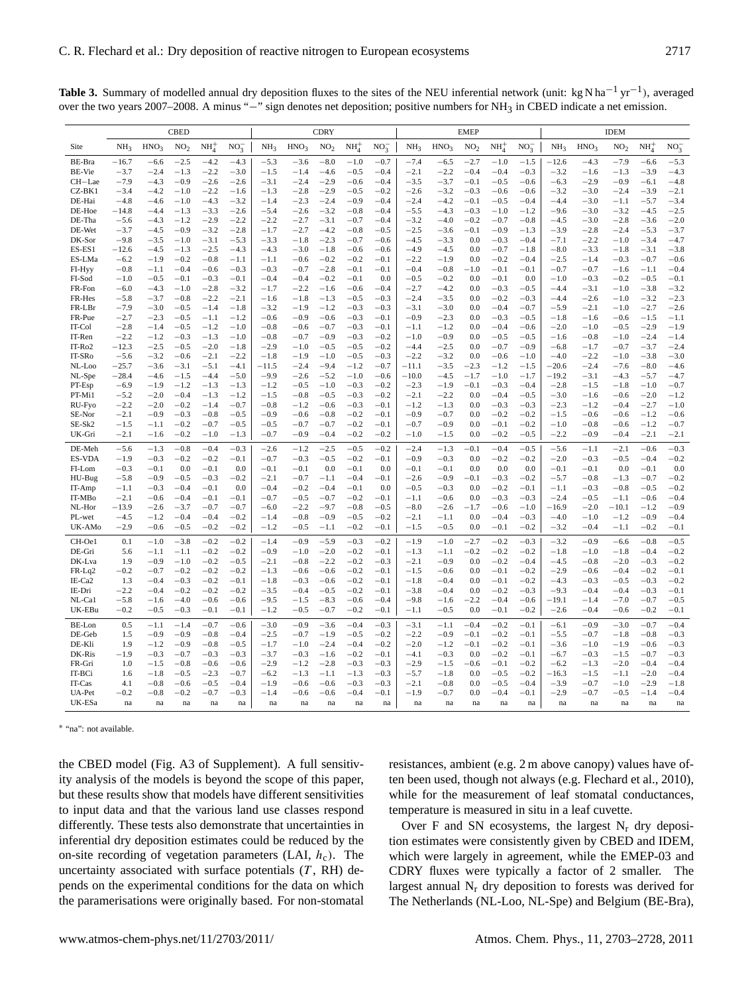|                    |                    |                  | <b>CBED</b>      |                  |                      | <b>CDRY</b>       |                      |                  | <b>EMEP</b>      |                  |                    |                  | <b>IDEM</b>      |                  |                  |                    |                  |                  |                     |                  |
|--------------------|--------------------|------------------|------------------|------------------|----------------------|-------------------|----------------------|------------------|------------------|------------------|--------------------|------------------|------------------|------------------|------------------|--------------------|------------------|------------------|---------------------|------------------|
| Site               | NH <sub>3</sub>    | HNO <sub>3</sub> | NO <sub>2</sub>  | NH <sub>4</sub>  | $NO_3^-$             | NH <sub>3</sub>   | HNO <sub>3</sub>     | NO <sub>2</sub>  | NH <sub>4</sub>  | $NO_2^-$         | NH <sub>3</sub>    | HNO <sub>3</sub> | NO <sub>2</sub>  | NH <sub>4</sub>  | $NO_3^-$         | NH <sub>3</sub>    | HNO <sub>3</sub> | NO <sub>2</sub>  | NH <sub>4</sub>     | $NO_3^-$         |
| BE-Bra             | $-16.7$            | $-6.6$           | $-2.5$           | $-4.2$           | $-4.3$               | $-5.3$            | $-3.6$               | $-8.0$           | $-1.0$           | $-0.7$           | $-7.4$             | $-6.5$           | $-2.7$           | $-1.0$           | $-1.5$           | $-12.6$            | $-4.3$           | $-7.9$           | $-6.6$              | $-5.3$           |
| BE-Vie             | $-3.7$             | $-2.4$           | $-1.3$           | $-2.2$           | $-3.0$               | $-1.5$            | $-1.4$               | $-4.6$           | $-0.5$           | $-0.4$           | $-2.1$             | $-2.2$           | $-0.4$           | $-0.4$           | $-0.3$           | $-3.2$             | $-1.6$           | $-1.3$           | $-3.9$              | $-4.3$           |
| CH-Lae             | $-7.9$             | $-4.3$           | $-0.9$           | $-2.6$           | $-2.6$               | $-3.1$            | $-2.4$               | $-2.9$           | $-0.6$           | $-0.4$           | $-3.5$             | $-3.7$           | $-0.1$           | $-0.5$           | $-0.6$           | $-6.3$             | $-2.9$           | $-0.9$           | $-6.1$              | $-4.8$           |
| CZ-BK1<br>DE-Hai   | $-3.4$<br>$-4.8$   | $-4.2$<br>$-4.6$ | $-1.0$<br>$-1.0$ | $-2.2$<br>$-4.3$ | $-1.6$<br>$-3.2$     | $-1.3$<br>$-1.4$  | $-2.8$<br>$-2.3$     | $-2.9$<br>$-2.4$ | $-0.5$<br>$-0.9$ | $-0.2$<br>$-0.4$ | $-2.6$<br>$-2.4$   | $-3.2$<br>$-4.2$ | $-0.3$<br>$-0.1$ | $-0.6$<br>$-0.5$ | $-0.6$<br>$-0.4$ | $-3.2$<br>$-4.4$   | $-3.0$<br>$-3.0$ | $-2.4$<br>$-1.1$ | $-3.9$<br>$-5.7$    | $-2.1$<br>$-3.4$ |
| DE-Hoe             | $-14.8$            | $-4.4$           | $-1.3$           | $-3.3$           | $-2.6$               | $-5.4$            | $-2.6$               | $-3.2$           | $-0.8$           | $-0.4$           | $-5.5$             | $-4.3$           | $-0.3$           | $-1.0$           | $-1.2$           | $-9.6$             | $-3.0$           | $-3.2$           | $-4.5$              | $-2.5$           |
| DE-Tha             | $-5.6$             | $-4.3$           | $-1.2$           | $-2.9$           | $-2.2$               | $-2.2$            | $-2.7$               | $-3.1$           | $-0.7$           | $-0.4$           | $-3.2$             | $-4.0$           | $-0.2$           | $-0.7$           | $-0.8$           | $-4.5$             | $-3.0$           | $-2.8$           | $-3.6$              | $-2.0$           |
| DE-Wet             | $-3.7$             | $-4.5$           | $-0.9$           | $-3.2$           | $^{-2.8}$            | $-1.7$            | $-2.7$               | $-4.2$           | $-0.8$           | $-0.5$           | $-2.5$             | $-3.6$           | $-0.1$           | $-0.9$           | $-1.3$           | $-3.9$             | $-2.8$           | $-2.4$           | $-5.3$              | $-3.7$           |
| DK-Sor             | $-9.8$             | $-3.5$           | $-1.0$           | $-3.1$           | $-5.3$               | $-3.3$            | $-1.8$               | $-2.3$           | $-0.7$           | $-0.6$           | $-4.5$             | $-3.3$           | 0.0              | $-0.3$           | $-0.4$           | $-7.1$             | $-2.2$           | $-1.0$           | $-3.4$              | $-4.7$           |
| ES-ES1             | $-12.6$            | $-4.5$           | $-1.3$           | $-2.5$           | $-4.3$               | $-4.3$            | $-3.0$               | $-1.8$           | $-0.6$           | $-0.6$           | $-4.9$             | $-4.5$           | 0.0              | $-0.7$           | $-1.8$           | $-8.0$             | $-3.3$           | $-1.8$           | $-3.1$              | $-3.8$           |
| ES-LMa             | $-6.2$             | $-1.9$           | $-0.2$           | $-0.8$           | $-1.1$               | $-1.1$            | $-0.6$               | $-0.2$           | $-0.2$           | $-0.1$           | $-2.2$             | $-1.9$           | 0.0              | $-0.2$           | $-0.4$           | $-2.5$             | $-1.4$           | $-0.3$           | $-0.7$              | $-0.6$           |
| FI-Hyy             | $-0.8$             | $-1.1$           | $-0.4$           | $-0.6$           | $-0.3$               | $-0.3$            | $-0.7$               | $-2.8$<br>$-0.2$ | $-0.1$           | $-0.1$<br>0.0    | $-0.4$             | $-0.8$           | $^{-1.0}$<br>0.0 | $-0.1$           | $-0.1$<br>0.0    | $-0.7$             | $-0.7$<br>$-0.3$ | $-1.6$           | $^{-1.1}$<br>$-0.5$ | $-0.4$<br>$-0.1$ |
| FI-Sod<br>FR-Fon   | $-1.0$<br>$-6.0$   | $-0.5$<br>$-4.3$ | $-0.1$<br>$-1.0$ | $-0.3$<br>$-2.8$ | $-0.1$<br>$-3.2$     | $-0.4$<br>$-1.7$  | $-0.4$<br>$-2.2$     | $-1.6$           | $-0.1$<br>$-0.6$ | $-0.4$           | $-0.5$<br>$-2.7$   | $-0.2$<br>$-4.2$ | 0.0              | $-0.1$<br>$-0.3$ | $-0.5$           | $-1.0$<br>$-4.4$   | $-3.1$           | $-0.2$<br>$-1.0$ | $-3.8$              | $-3.2$           |
| FR-Hes             | $-5.8$             | $-3.7$           | $-0.8$           | $-2.2$           | $-2.1$               | $-1.6$            | $-1.8$               | $-1.3$           | $-0.5$           | $-0.3$           | $-2.4$             | $-3.5$           | 0.0              | $-0.2$           | $-0.3$           | $-4.4$             | $-2.6$           | $-1.0$           | $-3.2$              | $-2.3$           |
| FR-LBr             | $-7.9$             | $-3.0$           | $-0.5$           | $-1.4$           | $-1.8$               | $-3.2$            | $-1.9$               | $-1.2$           | $-0.3$           | $-0.3$           | $-3.1$             | $-3.0$           | 0.0              | $-0.4$           | $-0.7$           | $-5.9$             | $-2.1$           | $-1.0$           | $-2.7$              | $-2.6$           |
| FR-Pue             | $-2.7$             | $-2.3$           | $-0.5$           | $-1.1$           | $-1.2$               | $-0.6$            | $-0.9$               | $-0.6$           | $-0.3$           | $-0.1$           | $-0.9$             | $-2.3$           | 0.0              | $-0.3$           | $-0.5$           | $-1.8$             | $-1.6$           | $-0.6$           | $-1.5$              | $-1.1$           |
| IT-Col             | $-2.8$             | $-1.4$           | $-0.5$           | $-1.2$           | $-1.0$               | $-0.8$            | $-0.6$               | $-0.7$           | $-0.3$           | $-0.1$           | $-1.1$             | $-1.2$           | 0.0              | $-0.4$           | $-0.6$           | $-2.0$             | $-1.0$           | $-0.5$           | $-2.9$              | $-1.9$           |
| IT-Ren             | $-2.2$             | $-1.2$           | $-0.3$           | $-1.3$           | $-1.0$               | $-0.8$            | $-0.7$               | $-0.9$           | $-0.3$           | $-0.2$           | $-1.0$             | $-0.9$           | 0.0              | $-0.5$           | $-0.5$           | $-1.6$             | $-0.8$           | $-1.0$           | $-2.4$              | $-1.4$           |
| IT-Ro2             | $-12.3$            | $-2.5$           | $-0.5$           | $-2.0$           | $-1.8$               | $-2.9$            | $-1.0$               | $-0.5$           | $-0.5$           | $-0.2$           | $-4.4$             | $-2.5$           | 0.0              | $-0.7$           | $-0.9$           | $-6.8$             | $-1.7$           | $-0.7$           | $-3.7$              | $-2.4$           |
| IT-SR <sub>o</sub> | $-5.6$             | $-3.2$           | $-0.6$           | $-2.1$           | $-2.2$               | $-1.8$            | $-1.9$               | $-1.0$           | $-0.5$           | $-0.3$           | $-2.2$             | $-3.2$           | 0.0              | $-0.6$           | $-1.0$           | $-4.0$             | $-2.2$           | $-1.0$           | $-3.8$              | $-3.0$           |
| NL-Loo<br>NL-Spe   | $-25.7$<br>$-28.4$ | $-3.6$<br>$-4.6$ | $-3.1$<br>$-1.5$ | $-5.1$<br>$-4.4$ | $-4.1$<br>$-5.0$     | $-11.5$<br>$-9.9$ | $-2.4$<br>$-2.6$     | $-9.4$<br>$-5.2$ | $-1.2$<br>$-1.0$ | $-0.7$<br>$-0.6$ | $-11.1$<br>$-10.0$ | $-3.5$<br>$-4.5$ | $-2.3$<br>$-1.7$ | $-1.2$<br>$-1.0$ | $-1.5$<br>$-1.7$ | $-20.6$<br>$-19.2$ | $-2.4$<br>$-3.1$ | $-7.6$<br>$-4.3$ | $-8.0$<br>$-5.7$    | $-4.6$<br>$-4.7$ |
| PT-Esp             | $-6.9$             | $-1.9$           | $-1.2$           | $-1.3$           | $-1.3$               | $-1.2$            | $-0.5$               | $-1.0$           | $-0.3$           | $-0.2$           | $-2.3$             | $-1.9$           | $-0.1$           | $-0.3$           | $-0.4$           | $-2.8$             | $-1.5$           | $-1.8$           | $-1.0$              | $-0.7$           |
| PT-Mi1             | $-5.2$             | $-2.0$           | $-0.4$           | $-1.3$           | $-1.2$               | $-1.5$            | $-0.8$               | $-0.5$           | $-0.3$           | $-0.2$           | $-2.1$             | $-2.2$           | 0.0              | $-0.4$           | $-0.5$           | $-3.0$             | $-1.6$           | $-0.6$           | $-2.0$              | $-1.2$           |
| RU-Fyo             | $-2.2$             | $-2.0$           | $-0.2$           | $-1.4$           | $-0.7$               | $-0.8$            | $-1.2$               | $-0.6$           | $-0.3$           | $-0.1$           | $-1.2$             | $-1.3$           | 0.0              | $-0.3$           | $-0.3$           | $-2.3$             | $-1.2$           | $-0.4$           | $-2.7$              | $-1.0$           |
| SE-Nor             | $-2.1$             | $-0.9$           | $-0.3$           | $-0.8$           | $-0.5$               | $-0.9$            | $-0.6$               | $-0.8$           | $-0.2$           | $-0.1$           | $-0.9$             | $-0.7$           | 0.0              | $-0.2$           | $-0.2$           | $-1.5$             | $-0.6$           | $-0.6$           | $-1.2$              | $-0.6$           |
| SE-Sk2             | $-1.5$             | $-1.1$           | $-0.2$           | $-0.7$           | $-0.5$               | $-0.5$            | $-0.7$               | $-0.7$           | $-0.2$           | $-0.1$           | $-0.7$             | $-0.9$           | 0.0              | $-0.1$           | $-0.2$           | $-1.0$             | $-0.8$           | $-0.6$           | $-1.2$              | $-0.7$           |
| UK-Gri             | $-2.1$             | $-1.6$           | $-0.2$           | $-1.0$           | $-1.3$               | $-0.7$            | $-0.9$               | $-0.4$           | $-0.2$           | $-0.2$           | $-1.0$             | $-1.5$           | 0.0              | $-0.2$           | $-0.5$           | $-2.2$             | $-0.9$           | $-0.4$           | $-2.1$              | $-2.1$           |
| DE-Meh             | $-5.6$             | $-1.3$           | $-0.8$           | $-0.4$           | $-0.3$               | $-2.6$            | $-1.2$               | $-2.5$           | $-0.5$           | $-0.2$           | $-2.4$             | $-1.3$           | $-0.1$           | $-0.4$           | $-0.5$           | $-5.6$             | $-1.1$           | $-2.1$           | $-0.6$              | $-0.3$           |
| ES-VDA             | $-1.9$             | $-0.3$           | $-0.2$           | $-0.2$           | $-0.1$               | $-0.7$            | $-0.3$               | $-0.5$           | $-0.2$           | $-0.1$           | $-0.9$             | $-0.3$           | 0.0              | $-0.2$           | $-0.2$           | $-2.0$             | $-0.3$           | $-0.5$           | $-0.4$              | $-0.2$           |
| FI-Lom             | $-0.3$             | $-0.1$           | 0.0              | $-0.1$           | 0.0                  | $-0.1$            | $-0.1$               | 0.0              | $-0.1$           | 0.0              | $-0.1$             | $-0.1$           | 0.0              | 0.0              | 0.0              | $-0.1$             | $-0.1$           | 0.0              | $-0.1$              | 0.0              |
| HU-Bug<br>IT-Amp   | $-5.8$<br>$-1.1$   | $-0.9$<br>$-0.3$ | $-0.5$<br>$-0.4$ | $-0.3$<br>$-0.1$ | $-0.2$<br>0.0        | $-2.1$<br>$-0.4$  | $-0.7$<br>$-0.2$     | $-1.1$<br>$-0.4$ | $-0.4$<br>$-0.1$ | $-0.1$<br>0.0    | $-2.6$<br>$-0.5$   | $-0.9$<br>$-0.3$ | $-0.1$<br>0.0    | $-0.3$<br>$-0.2$ | $-0.2$<br>$-0.1$ | $-5.7$<br>$-1.1$   | $-0.8$<br>$-0.3$ | $-1.3$<br>$-0.8$ | $-0.7$<br>$-0.5$    | $-0.2$<br>$-0.2$ |
| IT-MBo             | $-2.1$             | $-0.6$           | $-0.4$           | $-0.1$           | $-0.1$               | $-0.7$            | $-0.5$               | $-0.7$           | $-0.2$           | $-0.1$           | $-1.1$             | $-0.6$           | 0.0              | $-0.3$           | $-0.3$           | $-2.4$             | $-0.5$           | $-1.1$           | $-0.6$              | $-0.4$           |
| NL-Hor             | $-13.9$            | $-2.6$           | $-3.7$           | $-0.7$           | $-0.7$               | $-6.0$            | $-2.2$               | $-9.7$           | $-0.8$           | $-0.5$           | $-8.0$             | $-2.6$           | $-1.7$           | $-0.6$           | $-1.0$           | $-16.9$            | $-2.0$           | $-10.1$          | $-1.2$              | $-0.9$           |
| PL-wet             | $-4.5$             | $-1.2$           | $-0.4$           | $-0.4$           | $-0.2$               | $-1.4$            | $-0.8$               | $-0.9$           | $-0.5$           | $-0.2$           | $-2.1$             | $-1.1$           | 0.0              | $-0.4$           | $-0.3$           | $-4.0$             | $-1.0$           | $-1.2$           | $-0.9$              | $-0.4$           |
| UK-AMo             | $-2.9$             | $-0.6$           | $-0.5$           | $-0.2$           | $-0.2$               | $-1.2$            | $-0.5$               | $-1.1$           | $-0.2$           | $-0.1$           | $-1.5$             | $-0.5$           | 0.0              | $-0.1$           | $-0.2$           | $-3.2$             | $-0.4$           | $-1.1$           | $-0.2$              | $-0.1$           |
| CH-Oel             | 0.1                | $-1.0$           | $-3.8$           | $-0.2$           | $-0.2$               | $-1.4$            | $-0.9$               | $-5.9$           | $-0.3$           | $-0.2$           | $-1.9$             | $-1.0$           | $-2.7$           | $-0.2$           | $-0.3$           | $-3.2$             | $-0.9$           | $-6.6$           | $-0.8$              | $-0.5$           |
| DE-Gri             | 5.6                | $-1.1$           | $-1.1$           | $-0.2$           | $-0.2$               | $-0.9$            | $-1.0$               | $-2.0$           | $-0.2$           | $-0.1$           | $-1.3$             | $-1.1$           | $-0.2$           | $-0.2$           | $-0.2$           | $-1.8$             | $-1.0$           | $-1.8$           | $-0.4$              | $-0.2$           |
| DK-Lva             | 1.9                | $-0.9$           | $-1.0$           | $-0.2$           | $-0.5$               | $-2.1$            | $-0.8$               | $-2.2$           | $-0.2$           | $-0.3$           | $-2.1$             | $-0.9$           | 0.0              | $-0.2$           | $-0.4$           | $-4.5$             | $-0.8$           | $-2.0$           | $-0.3$              | $-0.2$           |
| FR-Lq2             | $-0.2$             | $-0.7$           | $-0.2$           | $-0.2$           | $-0.2$               | $-1.3$            | $-0.6$               | $-0.6$           | $-0.2$           | $-0.1$           | $-1.5$             | $-0.6$           | 0.0              | $-0.1$           | $-0.2$           | $-2.9$             | $-0.6$           | $-0.4$           | $-0.2$              | $-0.1$           |
| IE-Ca2             | 1.3<br>$-2.2$      | $-0.4$           | $-0.3$<br>$-0.2$ | $-0.2$<br>$-0.2$ | $-0.1$<br>$-0.2$     | $-1.8$            | $-0.3$               | $-0.6$<br>$-0.5$ | $-0.2$           | $-0.1$<br>$-0.1$ | $-1.8$             | $-0.4$           | 0.0<br>0.0       | $-0.1$<br>$-0.2$ | $-0.2$<br>$-0.3$ | $-4.3$<br>$-9.3$   | $-0.3$<br>$-0.4$ | $-0.5$           | $-0.3$<br>$-0.3$    | $-0.2$<br>$-0.1$ |
| IE-Dri<br>NL-Ca1   | $-5.8$             | $-0.4$<br>$-1.6$ | $-4.0$           | $-0.6$           | $-0.6$               | $-3.5$<br>$-9.5$  | $^{ -0.4}$<br>$-1.5$ | $-8.3$           | $-0.2$<br>$-0.6$ | $-0.4$           | $-3.8$<br>$-9.8$   | $-0.4$<br>$-1.6$ | $-2.2$           | $-0.4$           | $-0.6$           | $-19.1$            | $-1.4$           | $-0.4$<br>$-7.0$ | $-0.7$              | $-0.5$           |
| UK-EBu             | $-0.2$             | $-0.5$           | $-0.3$           | $-0.1$           | $-0.1$               | $-1.2$            | $-0.5$               | $-0.7$           | $-0.2$           | $-0.1$           | $-1.1$             | $-0.5$           | 0.0              | $-0.1$           | $-0.2$           | $-2.6$             | $-0.4$           | $-0.6$           | $-0.2$              | $-0.1$           |
| BE-Lon             | 0.5                | $-1.1$           | $-1.4$           | $-0.7$           | $-0.6$               | $-3.0$            | $-0.9$               | $-3.6$           | $-0.4$           | $-0.3$           | $-3.1$             | $-1.1$           | $-0.4$           | $-0.2$           | $-0.1$           | $-6.1$             | $-0.9$           | $-3.0$           | $-0.7$              | $-0.4$           |
| DE-Geb             | 1.5                | $-0.9$           | $-0.9$           | $-0.8$           | $-0.4$               | $-2.5$            | $-0.7$               | $-1.9$           | $-0.5$           | $-0.2$           | $-2.2$             | $-0.9$           | $-0.1$           | $-0.2$           | $-0.1$           | $-5.5$             | $-0.7$           | $-1.8$           | $-0.8$              | $-0.3$           |
| DE-Kli             | 1.9                | $-1.2$           | $-0.9$           | $-0.8$           | $-0.5$               | $-1.7$            | $-1.0$               | $-2.4$           | $-0.4$           | $-0.2$           | $-2.0$             | $-1.2$           | $-0.1$           | $-0.2$           | $-0.1$           | $-3.6$             | $-1.0$           | $-1.9$           | $-0.6$              | $-0.3$           |
| DK-Ris             | $-1.9$             | $-0.3$           | $-0.7$           | $-0.3$           | $-0.3$               | $-3.7$            | $-0.3$               | $-1.6$           | $-0.2$           | $-0.1$           | $-4.1$             | $-0.3$           | 0.0              | $-0.2$           | $-0.1$           | $-6.7$             | $-0.3$           | $-1.5$           | $-0.7$              | $-0.3$           |
| FR-Gri             | 1.0                | $-1.5$           | $-0.8$           | $-0.6$           | $-0.6$               | $-2.9$            | $-1.2$               | $-2.8$           | $-0.3$           | $-0.3$           | $-2.9$             | $-1.5$           | $-0.6$           | $-0.1$           | $-0.2$           | $-6.2$             | $-1.3$           | $-2.0$           | $-0.4$              | $-0.4$           |
| IT-BCi             | 1.6                | $-1.8$           | $-0.5$           | $-2.3$           | $-0.7$               | $-6.2$            | $-1.3$               | $-1.1$           | $-1.3$           | $-0.3$           | $-5.7$             | $-1.8$           | 0.0              | $-0.5$           | $-0.2$           | $-16.3$            | $-1.5$           | $-1.1$           | $-2.0$              | $-0.4$           |
| IT-Cas<br>UA-Pet   | 4.1<br>$-0.2$      | $-0.8$<br>$-0.8$ | $-0.6$<br>$-0.2$ | $-0.5$<br>$-0.7$ | $^{ -0.4}$<br>$-0.3$ | $-1.9$<br>$-1.4$  | $-0.6$<br>$-0.6$     | $-0.6$<br>$-0.6$ | $-0.3$<br>$-0.4$ | $-0.3$<br>$-0.1$ | $-2.1$<br>$-1.9$   | $-0.8$<br>$-0.7$ | 0.0<br>0.0       | $-0.5$<br>$-0.4$ | $-0.4$<br>$-0.1$ | $-3.9$<br>$-2.9$   | $-0.7$<br>$-0.7$ | $-1.0$<br>$-0.5$ | $-2.9$<br>$-1.4$    | $-1.8$<br>$-0.4$ |
| UK-ESa             | na                 | na               | na               | na               | na                   | na                | na                   | na               | na               | na               | na                 | na               | na               | na               | na               | na                 | na               | na               | na                  | na               |
|                    |                    |                  |                  |                  |                      |                   |                      |                  |                  |                  |                    |                  |                  |                  |                  |                    |                  |                  |                     |                  |

∗ "na": not available.

the CBED model (Fig. A3 of Supplement). A full sensitivity analysis of the models is beyond the scope of this paper, but these results show that models have different sensitivities to input data and that the various land use classes respond differently. These tests also demonstrate that uncertainties in inferential dry deposition estimates could be reduced by the on-site recording of vegetation parameters  $(LAI, h<sub>c</sub>)$ . The uncertainty associated with surface potentials  $(T, RH)$  depends on the experimental conditions for the data on which the paramerisations were originally based. For non-stomatal resistances, ambient (e.g. 2 m above canopy) values have often been used, though not always (e.g. Flechard et al., 2010), while for the measurement of leaf stomatal conductances, temperature is measured in situ in a leaf cuvette.

Over F and SN ecosystems, the largest  $N_r$  dry deposition estimates were consistently given by CBED and IDEM, which were largely in agreement, while the EMEP-03 and CDRY fluxes were typically a factor of 2 smaller. The largest annual  $N_r$  dry deposition to forests was derived for The Netherlands (NL-Loo, NL-Spe) and Belgium (BE-Bra),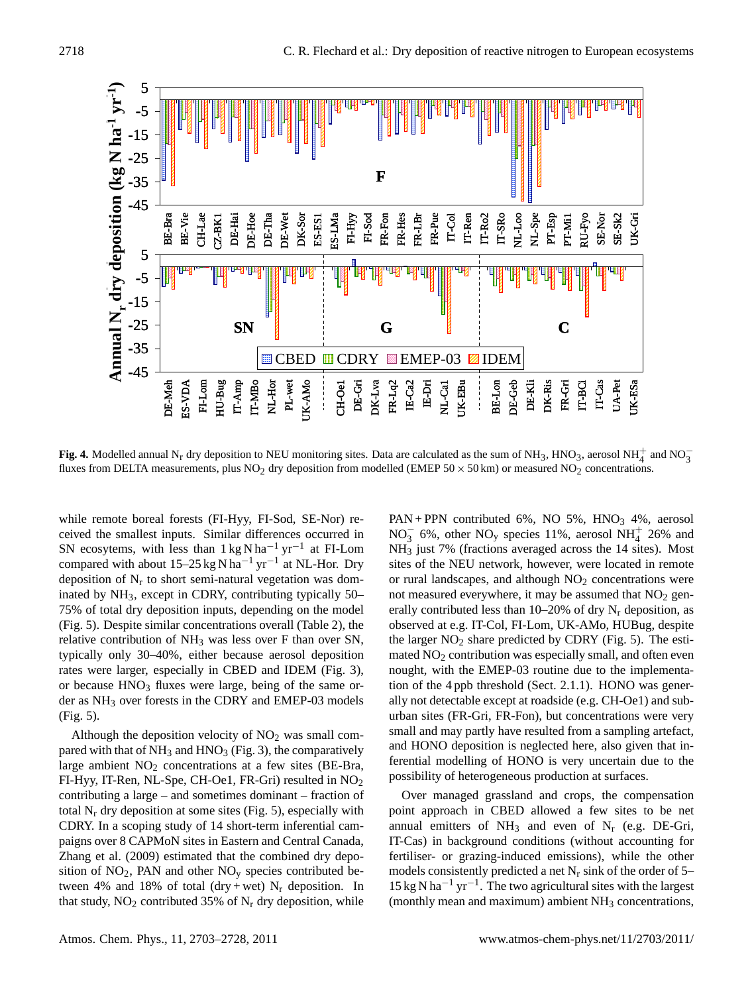

**Fig. 4.** Modelled annual N<sub>r</sub> dry deposition to NEU monitoring sites. Data are calculated as the sum of NH<sub>3</sub>, HNO<sub>3</sub>, aerosol NH<sub>4</sub><sup>+</sup> and NO<sub>3</sub><sup>-</sup> fluxes from DELTA measurements, plus  $NO<sub>2</sub>$  dry deposition from modelled (EMEP 50  $\times$  50 km) or measured NO<sub>2</sub> concentrations.

while remote boreal forests (FI-Hyy, FI-Sod, SE-Nor) received the smallest inputs. Similar differences occurred in SN ecosytems, with less than  $1 \text{ kg} \text{ N} \text{ ha}^{-1} \text{ yr}^{-1}$  at FI-Lom compared with about 15–25 kg N ha−<sup>1</sup> yr−<sup>1</sup> at NL-Hor. Dry deposition of  $N_r$  to short semi-natural vegetation was dominated by  $NH_3$ , except in CDRY, contributing typically 50– 75% of total dry deposition inputs, depending on the model (Fig. 5). Despite similar concentrations overall (Table 2), the relative contribution of NH<sub>3</sub> was less over F than over SN, typically only 30–40%, either because aerosol deposition rates were larger, especially in CBED and IDEM (Fig. 3), or because  $HNO<sub>3</sub>$  fluxes were large, being of the same order as NH<sup>3</sup> over forests in the CDRY and EMEP-03 models (Fig. 5).

Although the deposition velocity of  $NO<sub>2</sub>$  was small compared with that of  $NH_3$  and  $HNO_3$  (Fig. 3), the comparatively large ambient NO<sub>2</sub> concentrations at a few sites (BE-Bra, FI-Hyy, IT-Ren, NL-Spe, CH-Oe1, FR-Gri) resulted in NO<sup>2</sup> contributing a large – and sometimes dominant – fraction of total  $N_r$  dry deposition at some sites (Fig. 5), especially with CDRY. In a scoping study of 14 short-term inferential campaigns over 8 CAPMoN sites in Eastern and Central Canada, Zhang et al. (2009) estimated that the combined dry deposition of  $NO<sub>2</sub>$ , PAN and other  $NO<sub>v</sub>$  species contributed between 4% and 18% of total (dry + wet)  $N_r$  deposition. In that study,  $NO<sub>2</sub>$  contributed 35% of  $N<sub>r</sub>$  dry deposition, while  $PAN + PPN$  contributed 6%, NO 5%, HNO<sub>3</sub> 4%, aerosol  $NO_3^-$  6%, other  $NO_y$  species 11%, aerosol  $NH_4^+$  26% and NH<sup>3</sup> just 7% (fractions averaged across the 14 sites). Most sites of the NEU network, however, were located in remote or rural landscapes, and although  $NO<sub>2</sub>$  concentrations were not measured everywhere, it may be assumed that  $NO<sub>2</sub>$  generally contributed less than  $10-20\%$  of dry N<sub>r</sub> deposition, as observed at e.g. IT-Col, FI-Lom, UK-AMo, HUBug, despite the larger  $NO<sub>2</sub>$  share predicted by CDRY (Fig. 5). The estimated  $NO<sub>2</sub>$  contribution was especially small, and often even nought, with the EMEP-03 routine due to the implementation of the 4 ppb threshold (Sect. 2.1.1). HONO was generally not detectable except at roadside (e.g. CH-Oe1) and suburban sites (FR-Gri, FR-Fon), but concentrations were very small and may partly have resulted from a sampling artefact, and HONO deposition is neglected here, also given that inferential modelling of HONO is very uncertain due to the possibility of heterogeneous production at surfaces.

Over managed grassland and crops, the compensation point approach in CBED allowed a few sites to be net annual emitters of  $NH_3$  and even of  $N_r$  (e.g. DE-Gri, IT-Cas) in background conditions (without accounting for fertiliser- or grazing-induced emissions), while the other models consistently predicted a net  $N_r$  sink of the order of 5–  $15 \text{ kg N} \text{ ha}^{-1} \text{ yr}^{-1}$ . The two agricultural sites with the largest (monthly mean and maximum) ambient  $NH<sub>3</sub>$  concentrations,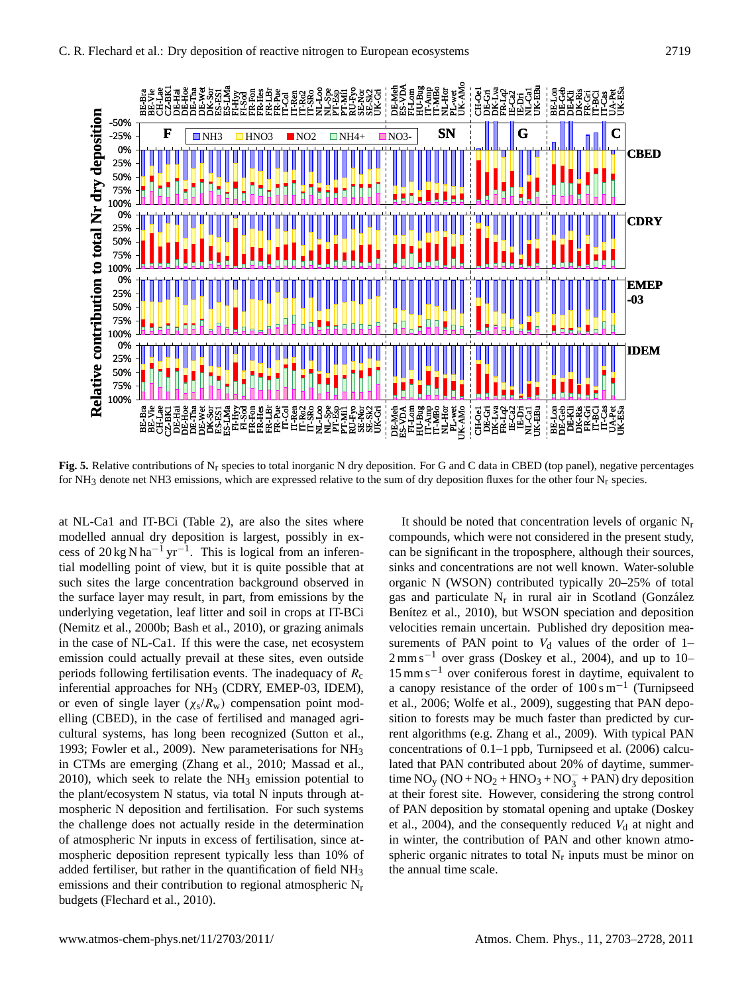

Fig. 5. Relative contributions of N<sub>r</sub> species to total inorganic N dry deposition. For G and C data in CBED (top panel), negative percentages for NH<sub>3</sub> denote net NH3 emissions, which are expressed relative to the sum of dry deposition fluxes for the other four  $N_r$  species.

at NL-Ca1 and IT-BCi (Table 2), are also the sites where modelled annual dry deposition is largest, possibly in excess of 20 kg N ha<sup>-1</sup> yr<sup>-1</sup>. This is logical from an inferential modelling point of view, but it is quite possible that at such sites the large concentration background observed in the surface layer may result, in part, from emissions by the underlying vegetation, leaf litter and soil in crops at IT-BCi (Nemitz et al., 2000b; Bash et al., 2010), or grazing animals in the case of NL-Ca1. If this were the case, net ecosystem emission could actually prevail at these sites, even outside periods following fertilisation events. The inadequacy of  $R_c$ inferential approaches for NH<sub>3</sub> (CDRY, EMEP-03, IDEM), or even of single layer  $(\chi_s/R_w)$  compensation point modelling (CBED), in the case of fertilised and managed agricultural systems, has long been recognized (Sutton et al., 1993; Fowler et al., 2009). New parameterisations for NH<sup>3</sup> in CTMs are emerging (Zhang et al., 2010; Massad et al.,  $2010$ ), which seek to relate the NH<sub>3</sub> emission potential to the plant/ecosystem N status, via total N inputs through atmospheric N deposition and fertilisation. For such systems the challenge does not actually reside in the determination of atmospheric Nr inputs in excess of fertilisation, since atmospheric deposition represent typically less than 10% of added fertiliser, but rather in the quantification of field NH<sup>3</sup> emissions and their contribution to regional atmospheric  $N_r$ budgets (Flechard et al., 2010).

It should be noted that concentration levels of organic  $N_r$ compounds, which were not considered in the present study, can be significant in the troposphere, although their sources, sinks and concentrations are not well known. Water-soluble organic N (WSON) contributed typically 20–25% of total gas and particulate  $N_r$  in rural air in Scotland (González Benítez et al., 2010), but WSON speciation and deposition velocities remain uncertain. Published dry deposition measurements of PAN point to  $V<sub>d</sub>$  values of the order of 1–  $2 \text{ mm s}^{-1}$  over grass (Doskey et al., 2004), and up to 10– 15 mm s−<sup>1</sup> over coniferous forest in daytime, equivalent to a canopy resistance of the order of  $100 \text{ s m}^{-1}$  (Turnipseed et al., 2006; Wolfe et al., 2009), suggesting that PAN deposition to forests may be much faster than predicted by current algorithms (e.g. Zhang et al., 2009). With typical PAN concentrations of 0.1–1 ppb, Turnipseed et al. (2006) calculated that PAN contributed about 20% of daytime, summertime  $NO_y (NO + NO_2 + HNO_3 + NO_3^- + PAN)$  dry deposition at their forest site. However, considering the strong control of PAN deposition by stomatal opening and uptake (Doskey et al., 2004), and the consequently reduced  $V_d$  at night and in winter, the contribution of PAN and other known atmospheric organic nitrates to total  $N_r$  inputs must be minor on the annual time scale.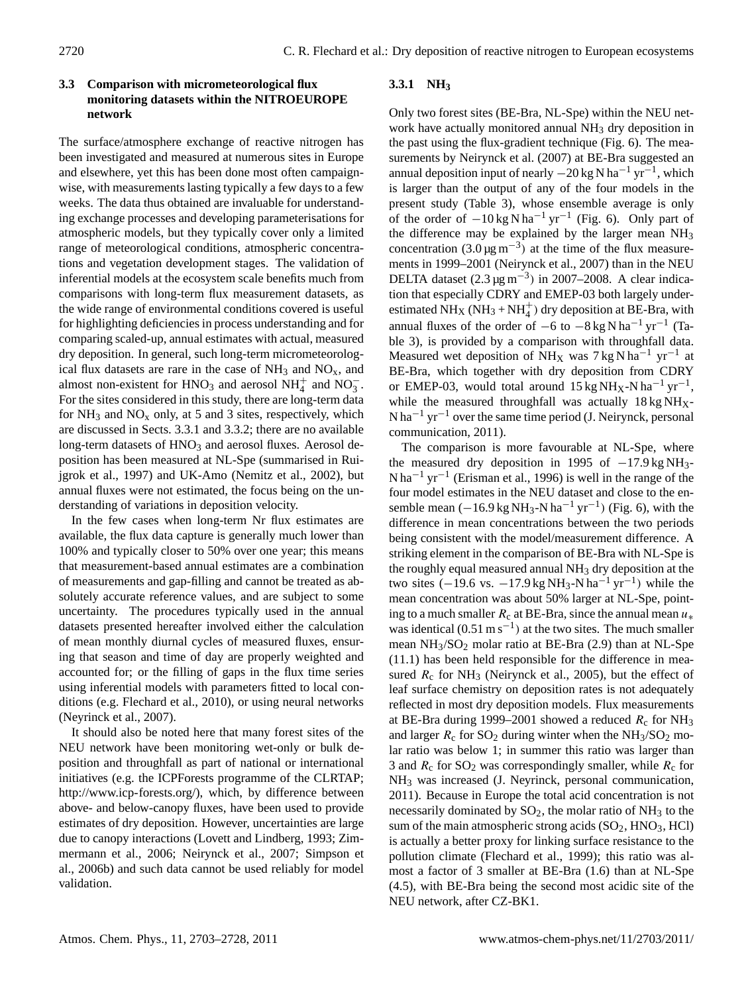# **3.3 Comparison with micrometeorological flux monitoring datasets within the NITROEUROPE network**

The surface/atmosphere exchange of reactive nitrogen has been investigated and measured at numerous sites in Europe and elsewhere, yet this has been done most often campaignwise, with measurements lasting typically a few days to a few weeks. The data thus obtained are invaluable for understanding exchange processes and developing parameterisations for atmospheric models, but they typically cover only a limited range of meteorological conditions, atmospheric concentrations and vegetation development stages. The validation of inferential models at the ecosystem scale benefits much from comparisons with long-term flux measurement datasets, as the wide range of environmental conditions covered is useful for highlighting deficiencies in process understanding and for comparing scaled-up, annual estimates with actual, measured dry deposition. In general, such long-term micrometeorological flux datasets are rare in the case of  $NH_3$  and  $NO_x$ , and almost non-existent for HNO<sub>3</sub> and aerosol NH<sup>+</sup><sub>4</sub> and NO<sub>3</sub>. For the sites considered in this study, there are long-term data for  $NH_3$  and  $NO_x$  only, at 5 and 3 sites, respectively, which are discussed in Sects. 3.3.1 and 3.3.2; there are no available long-term datasets of  $HNO<sub>3</sub>$  and aerosol fluxes. Aerosol deposition has been measured at NL-Spe (summarised in Ruijgrok et al., 1997) and UK-Amo (Nemitz et al., 2002), but annual fluxes were not estimated, the focus being on the understanding of variations in deposition velocity.

In the few cases when long-term Nr flux estimates are available, the flux data capture is generally much lower than 100% and typically closer to 50% over one year; this means that measurement-based annual estimates are a combination of measurements and gap-filling and cannot be treated as absolutely accurate reference values, and are subject to some uncertainty. The procedures typically used in the annual datasets presented hereafter involved either the calculation of mean monthly diurnal cycles of measured fluxes, ensuring that season and time of day are properly weighted and accounted for; or the filling of gaps in the flux time series using inferential models with parameters fitted to local conditions (e.g. Flechard et al., 2010), or using neural networks (Neyrinck et al., 2007).

It should also be noted here that many forest sites of the NEU network have been monitoring wet-only or bulk deposition and throughfall as part of national or international initiatives (e.g. the ICPForests programme of the CLRTAP; [http://www.icp-forests.org/\)](http://www.icp-forests.org/), which, by difference between above- and below-canopy fluxes, have been used to provide estimates of dry deposition. However, uncertainties are large due to canopy interactions (Lovett and Lindberg, 1993; Zimmermann et al., 2006; Neirynck et al., 2007; Simpson et al., 2006b) and such data cannot be used reliably for model validation.

# **3.3.1 NH<sup>3</sup>**

Only two forest sites (BE-Bra, NL-Spe) within the NEU network have actually monitored annual  $NH<sub>3</sub>$  dry deposition in the past using the flux-gradient technique (Fig. 6). The measurements by Neirynck et al. (2007) at BE-Bra suggested an annual deposition input of nearly  $-20$  kg N ha<sup>-1</sup> yr<sup>-1</sup>, which is larger than the output of any of the four models in the present study (Table 3), whose ensemble average is only of the order of  $-10 \text{ kg} \text{ N} \text{ ha}^{-1} \text{ yr}^{-1}$  (Fig. 6). Only part of the difference may be explained by the larger mean NH<sub>3</sub> concentration  $(3.0 \,\text{µg m}^{-3})$  at the time of the flux measurements in 1999–2001 (Neirynck et al., 2007) than in the NEU DELTA dataset  $(2.3 \,\text{\mu g m}^{-3})$  in 2007–2008. A clear indication that especially CDRY and EMEP-03 both largely underestimated  $NH_X (NH_3 + NH_4^+)$  dry deposition at BE-Bra, with annual fluxes of the order of  $-6$  to  $-8$  kg N ha<sup>-1</sup> yr<sup>-1</sup> (Table 3), is provided by a comparison with throughfall data. Measured wet deposition of NH<sub>X</sub> was 7 kg N ha<sup>-1</sup> yr<sup>-1</sup> at BE-Bra, which together with dry deposition from CDRY or EMEP-03, would total around  $15 \text{ kg NH}_X$ -N ha<sup>-1</sup> yr<sup>-1</sup>, while the measured throughfall was actually  $18 \text{ kg NH}_X$ - $N$  ha<sup> $-1$ </sup> yr<sup> $-1$ </sup> over the same time period (J. Neirynck, personal communication, 2011).

The comparison is more favourable at NL-Spe, where the measured dry deposition in 1995 of  $-17.9$  kg NH<sub>3</sub>-N ha−<sup>1</sup> yr−<sup>1</sup> (Erisman et al., 1996) is well in the range of the four model estimates in the NEU dataset and close to the ensemble mean  $(-16.9 \text{ kg NH}_3\text{-N} \text{ ha}^{-1} \text{ yr}^{-1})$  (Fig. 6), with the difference in mean concentrations between the two periods being consistent with the model/measurement difference. A striking element in the comparison of BE-Bra with NL-Spe is the roughly equal measured annual  $NH<sub>3</sub>$  dry deposition at the two sites  $(-19.6 \text{ vs. } -17.9 \text{ kg NH}_3\text{-N} \text{ ha}^{-1} \text{ yr}^{-1})$  while the mean concentration was about 50% larger at NL-Spe, pointing to a much smaller  $R_c$  at BE-Bra, since the annual mean  $u_*$ was identical  $(0.51 \text{ m s}^{-1})$  at the two sites. The much smaller mean  $NH<sub>3</sub>/SO<sub>2</sub>$  molar ratio at BE-Bra (2.9) than at NL-Spe (11.1) has been held responsible for the difference in measured  $R_c$  for NH<sub>3</sub> (Neirynck et al., 2005), but the effect of leaf surface chemistry on deposition rates is not adequately reflected in most dry deposition models. Flux measurements at BE-Bra during 1999–2001 showed a reduced  $R_c$  for NH<sub>3</sub> and larger  $R_c$  for SO<sub>2</sub> during winter when the NH<sub>3</sub>/SO<sub>2</sub> molar ratio was below 1; in summer this ratio was larger than 3 and  $R_c$  for SO<sub>2</sub> was correspondingly smaller, while  $R_c$  for NH<sup>3</sup> was increased (J. Neyrinck, personal communication, 2011). Because in Europe the total acid concentration is not necessarily dominated by  $SO_2$ , the molar ratio of  $NH<sub>3</sub>$  to the sum of the main atmospheric strong acids  $(SO<sub>2</sub>, HNO<sub>3</sub>, HCl)$ is actually a better proxy for linking surface resistance to the pollution climate (Flechard et al., 1999); this ratio was almost a factor of 3 smaller at BE-Bra (1.6) than at NL-Spe (4.5), with BE-Bra being the second most acidic site of the NEU network, after CZ-BK1.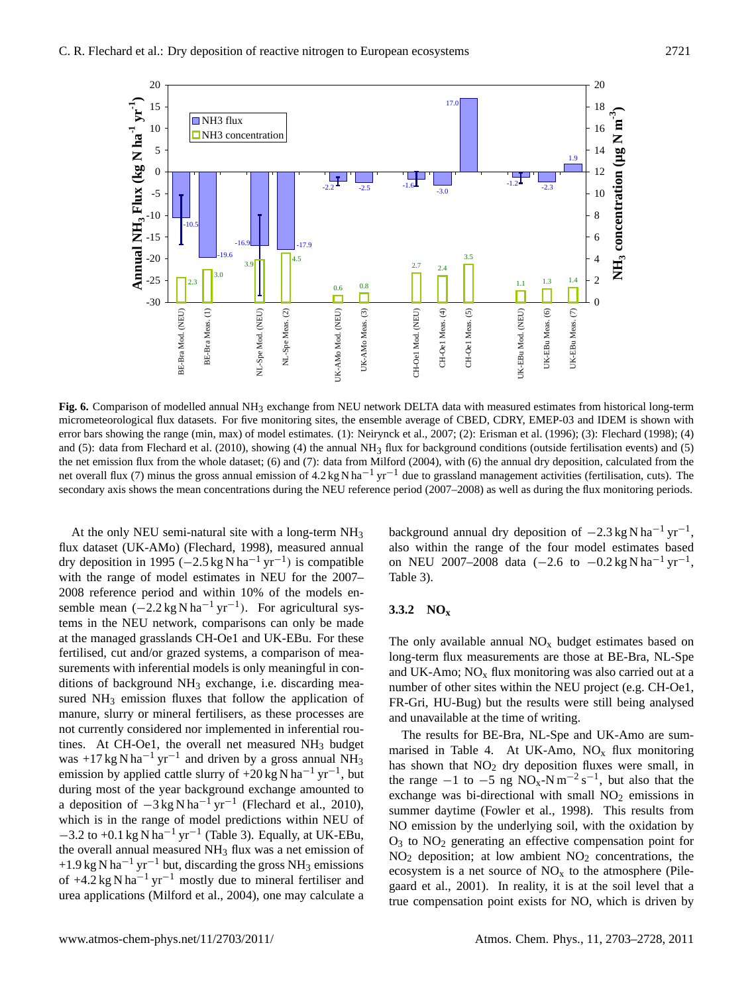

56 **Fig. 6.** Comparison of modelled annual NH3 exchange from NEU network DELTA data with measured estimates from historical long-term micrometeorological flux datasets. For five monitoring sites, the ensemble average of CBED, CDRY, EMEP-03 and IDEM is shown with error bars showing the range (min, max) of model estimates. (1): Neirynck et al., 2007; (2): Erisman et al. (1996); (3): Flechard (1998); (4) and (5): data from Flechard et al. (2010), showing (4) the annual NH<sub>3</sub> flux for background conditions (outside fertilisation events) and (5) the net emission flux from the whole dataset; (6) and (7): data from Milford (2004), with (6) the annual dry deposition, calculated from the net overall flux (7) minus the gross annual emission of  $4.2 \text{ kg N} \text{ ha}^{-1} \text{ yr}^{-1}$  due to grassland management activities (fertilisation, cuts). The secondary axis shows the mean concentrations during the NEU reference period (2007–2008) as well as during the flux monitoring periods.

At the only NEU semi-natural site with a long-term NH<sup>3</sup> flux dataset (UK-AMo) (Flechard, 1998), measured annual dry deposition in 1995 ( $-2.5$  kg N ha<sup>-1</sup> yr<sup>-1</sup>) is compatible with the range of model estimates in NEU for the 2007– 2008 reference period and within 10% of the models ensemble mean  $(-2.2 \text{ kg N ha}^{-1} \text{ yr}^{-1})$ . For agricultural systems in the NEU network, comparisons can only be made at the managed grasslands CH-Oe1 and UK-EBu. For these fertilised, cut and/or grazed systems, a comparison of measurements with inferential models is only meaningful in conditions of background  $NH<sub>3</sub>$  exchange, i.e. discarding measured  $NH_3$  emission fluxes that follow the application of manure, slurry or mineral fertilisers, as these processes are not currently considered nor implemented in inferential routines. At CH-Oe1, the overall net measured NH<sub>3</sub> budget was +17 kg N ha<sup>-1</sup> yr<sup>-1</sup> and driven by a gross annual NH<sub>3</sub> emission by applied cattle slurry of  $+20$  kg N ha<sup>-1</sup> yr<sup>-1</sup>, but during most of the year background exchange amounted to a deposition of  $-3$  kg N ha<sup>-1</sup> yr<sup>-1</sup> (Flechard et al., 2010), which is in the range of model predictions within NEU of  $-3.2$  to +0.1 kg N ha<sup>-1</sup> yr<sup>-1</sup> (Table 3). Equally, at UK-EBu, the overall annual measured  $NH<sub>3</sub>$  flux was a net emission of +1.9 kg N ha<sup>-1</sup> yr<sup>-1</sup> but, discarding the gross NH<sub>3</sub> emissions of +4.2 kg N ha<sup> $-1$ </sup> yr<sup> $-1$ </sup> mostly due to mineral fertiliser and urea applications (Milford et al., 2004), one may calculate a

background annual dry deposition of  $-2.3$  kg N ha<sup>-1</sup> yr<sup>-1</sup>, also within the range of the four model estimates based on NEU 2007–2008 data (-2.6 to  $-0.2 \text{ kg N} \text{ ha}^{-1} \text{ yr}^{-1}$ , Table 3).

## **3.3.2 NO<sup>x</sup>**

The only available annual  $NO<sub>x</sub>$  budget estimates based on long-term flux measurements are those at BE-Bra, NL-Spe and UK-Amo;  $NO<sub>x</sub>$  flux monitoring was also carried out at a number of other sites within the NEU project (e.g. CH-Oe1, FR-Gri, HU-Bug) but the results were still being analysed and unavailable at the time of writing.

The results for BE-Bra, NL-Spe and UK-Amo are summarised in Table 4. At UK-Amo,  $NO<sub>x</sub>$  flux monitoring has shown that  $NO<sub>2</sub>$  dry deposition fluxes were small, in the range  $-1$  to  $-5$  ng NO<sub>x</sub>-N m<sup>-2</sup> s<sup>-1</sup>, but also that the exchange was bi-directional with small  $NO<sub>2</sub>$  emissions in summer daytime (Fowler et al., 1998). This results from NO emission by the underlying soil, with the oxidation by  $O_3$  to  $NO_2$  generating an effective compensation point for  $NO<sub>2</sub>$  deposition; at low ambient  $NO<sub>2</sub>$  concentrations, the ecosystem is a net source of  $NO<sub>x</sub>$  to the atmosphere (Pilegaard et al., 2001). In reality, it is at the soil level that a true compensation point exists for NO, which is driven by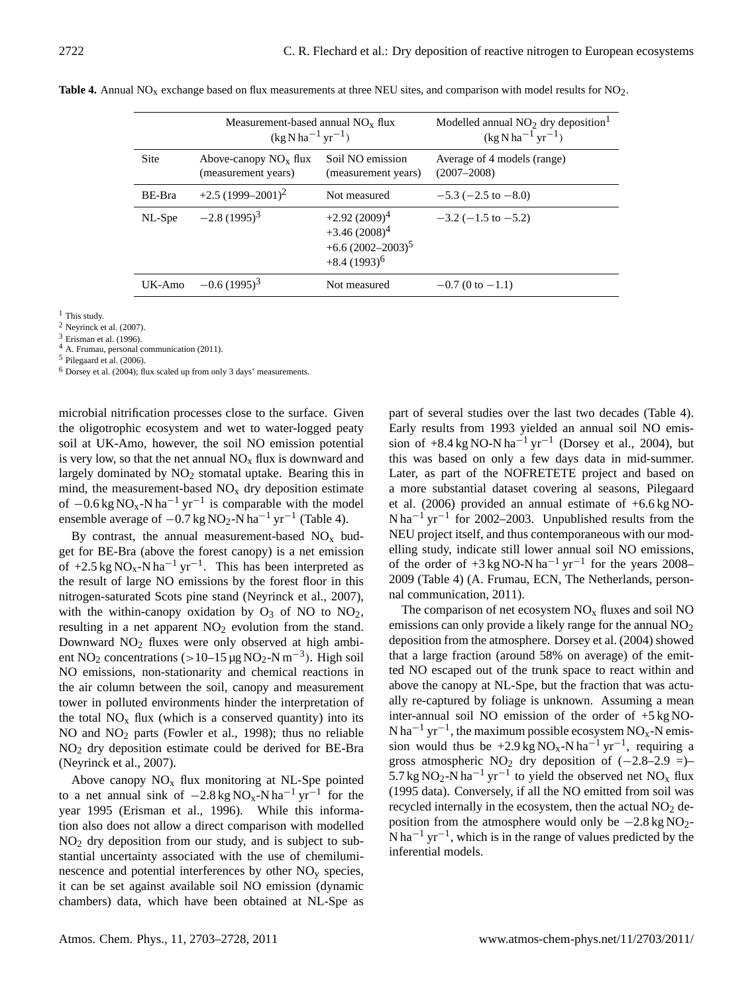|        | Measurement-based annual $NOx$ flux<br>$(kg \text{ N} \text{ ha}^{-1} \text{ yr}^{-1})$ | Modelled annual $NO2$ dry deposition <sup>1</sup><br>$(kg \text{ N} \text{ ha}^{-1} \text{ yr}^{-1})$ |                                                |
|--------|-----------------------------------------------------------------------------------------|-------------------------------------------------------------------------------------------------------|------------------------------------------------|
| Site   | Above-canopy $NO_x$ flux<br>(measurement years)                                         | Soil NO emission<br>(measurement years)                                                               | Average of 4 models (range)<br>$(2007 - 2008)$ |
| BE-Bra | $+2.5(1999-2001)^2$                                                                     | Not measured                                                                                          | $-5.3$ ( $-2.5$ to $-8.0$ )                    |
| NL-Spe | $-2.8(1995)^3$                                                                          | $+2.92(2009)^4$<br>$+3.46(2008)^4$<br>$+6.6(2002-2003)^5$<br>$+8.4(1993)^6$                           | $-3.2$ ( $-1.5$ to $-5.2$ )                    |
| UK-Amo | $-0.6(1995)^{3}$                                                                        | Not measured                                                                                          | $-0.7$ (0 to $-1.1$ )                          |

**Table 4.** Annual  $NO<sub>x</sub>$  exchange based on flux measurements at three NEU sites, and comparison with model results for  $NO<sub>2</sub>$ .

<sup>1</sup> This study.

<sup>2</sup> Neyrinck et al. (2007).

<sup>3</sup> Erisman et al. (1996).

<sup>4</sup> A. Frumau, personal communication (2011).

<sup>5</sup> Pilegaard et al. (2006).

 $6$  Dorsey et al. (2004); flux scaled up from only 3 days' measurements.

microbial nitrification processes close to the surface. Given the oligotrophic ecosystem and wet to water-logged peaty soil at UK-Amo, however, the soil NO emission potential is very low, so that the net annual  $NO<sub>x</sub>$  flux is downward and largely dominated by  $NO<sub>2</sub>$  stomatal uptake. Bearing this in mind, the measurement-based  $NO<sub>x</sub>$  dry deposition estimate of  $-0.6$  kg NO<sub>x</sub>-N ha<sup>-1</sup> yr<sup>-1</sup> is comparable with the model ensemble average of  $-0.7$  kg NO<sub>2</sub>-N ha<sup>-1</sup> yr<sup>-1</sup> (Table 4).

By contrast, the annual measurement-based  $NO<sub>x</sub>$  budget for BE-Bra (above the forest canopy) is a net emission of +2.5 kg NO<sub>x</sub>-N ha<sup>-1</sup> yr<sup>-1</sup>. This has been interpreted as the result of large NO emissions by the forest floor in this nitrogen-saturated Scots pine stand (Neyrinck et al., 2007), with the within-canopy oxidation by  $O_3$  of NO to NO<sub>2</sub>, resulting in a net apparent  $NO<sub>2</sub>$  evolution from the stand. Downward NO<sub>2</sub> fluxes were only observed at high ambient NO<sub>2</sub> concentrations (>10–15 µg NO<sub>2</sub>-N m<sup>-3</sup>). High soil NO emissions, non-stationarity and chemical reactions in the air column between the soil, canopy and measurement tower in polluted environments hinder the interpretation of the total  $NO<sub>x</sub>$  flux (which is a conserved quantity) into its NO and NO<sup>2</sup> parts (Fowler et al., 1998); thus no reliable  $NO<sub>2</sub>$  dry deposition estimate could be derived for BE-Bra (Neyrinck et al., 2007).

Above canopy  $NO<sub>x</sub>$  flux monitoring at NL-Spe pointed to a net annual sink of  $-2.8 \text{ kg NO}_x$ -N ha<sup>-1</sup> yr<sup>-1</sup> for the year 1995 (Erisman et al., 1996). While this information also does not allow a direct comparison with modelled  $NO<sub>2</sub>$  dry deposition from our study, and is subject to substantial uncertainty associated with the use of chemiluminescence and potential interferences by other  $NO<sub>v</sub>$  species, it can be set against available soil NO emission (dynamic chambers) data, which have been obtained at NL-Spe as part of several studies over the last two decades (Table 4). Early results from 1993 yielded an annual soil NO emission of  $+8.4 \text{ kg}$  NO-N ha<sup>-1</sup> yr<sup>-1</sup> (Dorsey et al., 2004), but this was based on only a few days data in mid-summer. Later, as part of the NOFRETETE project and based on a more substantial dataset covering al seasons, Pilegaard et al. (2006) provided an annual estimate of +6.6 kg NO-N ha<sup>-1</sup> yr<sup>-1</sup> for 2002–2003. Unpublished results from the NEU project itself, and thus contemporaneous with our modelling study, indicate still lower annual soil NO emissions, of the order of  $+3$  kg NO-N ha<sup>-1</sup> yr<sup>-1</sup> for the years 2008– 2009 (Table 4) (A. Frumau, ECN, The Netherlands, personnal communication, 2011).

The comparison of net ecosystem  $NO<sub>x</sub>$  fluxes and soil NO emissions can only provide a likely range for the annual  $NO<sub>2</sub>$ deposition from the atmosphere. Dorsey et al. (2004) showed that a large fraction (around 58% on average) of the emitted NO escaped out of the trunk space to react within and above the canopy at NL-Spe, but the fraction that was actually re-captured by foliage is unknown. Assuming a mean inter-annual soil NO emission of the order of +5 kg NO-N ha<sup>-1</sup> yr<sup>-1</sup>, the maximum possible ecosystem NO<sub>x</sub>-N emission would thus be +2.9 kg NO<sub>x</sub>-N ha<sup>-1</sup> yr<sup>-1</sup>, requiring a gross atmospheric NO<sub>2</sub> dry deposition of  $(-2.8-2.9)$  =)– 5.7 kg NO<sub>2</sub>-N ha<sup>-1</sup> yr<sup>-1</sup> to yield the observed net NO<sub>x</sub> flux (1995 data). Conversely, if all the NO emitted from soil was recycled internally in the ecosystem, then the actual  $NO<sub>2</sub>$  deposition from the atmosphere would only be  $-2.8$  kg NO<sub>2</sub>- $N$  ha<sup>-1</sup> yr<sup>-1</sup>, which is in the range of values predicted by the inferential models.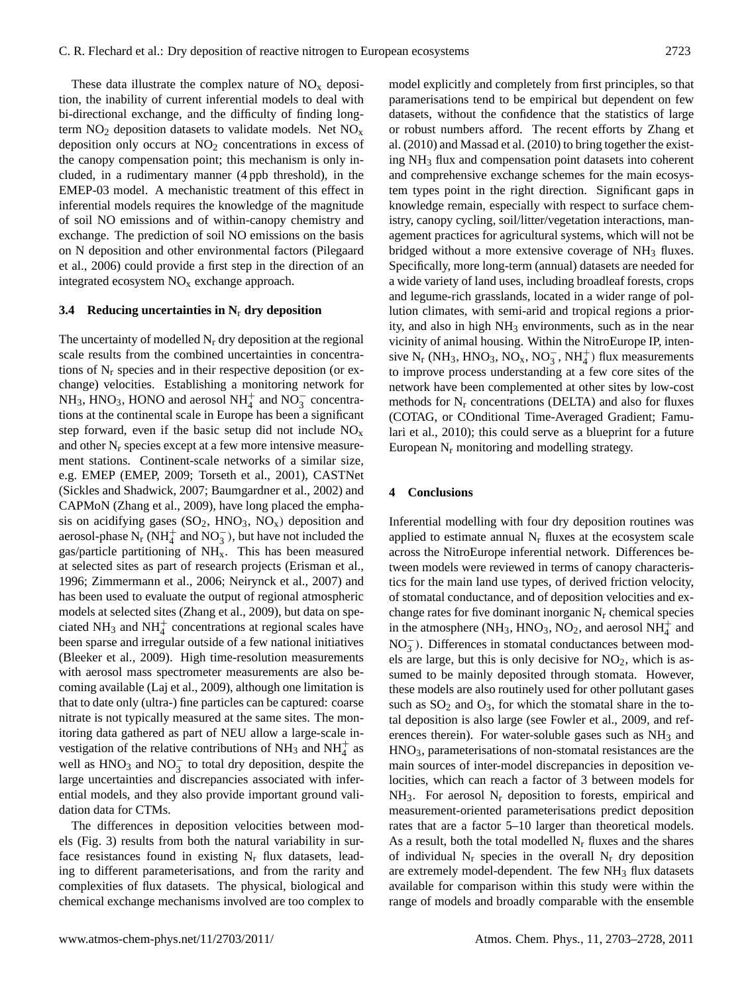These data illustrate the complex nature of  $NO<sub>x</sub>$  deposition, the inability of current inferential models to deal with bi-directional exchange, and the difficulty of finding longterm  $NO<sub>2</sub>$  deposition datasets to validate models. Net  $NO<sub>x</sub>$ deposition only occurs at  $NO<sub>2</sub>$  concentrations in excess of the canopy compensation point; this mechanism is only included, in a rudimentary manner (4 ppb threshold), in the EMEP-03 model. A mechanistic treatment of this effect in inferential models requires the knowledge of the magnitude of soil NO emissions and of within-canopy chemistry and exchange. The prediction of soil NO emissions on the basis on N deposition and other environmental factors (Pilegaard et al., 2006) could provide a first step in the direction of an integrated ecosystem  $NO<sub>x</sub>$  exchange approach.

## **3.4 Reducing uncertainties in N**<sup>r</sup> **dry deposition**

The uncertainty of modelled  $N_r$  dry deposition at the regional scale results from the combined uncertainties in concentrations of  $N_r$  species and in their respective deposition (or exchange) velocities. Establishing a monitoring network for  $NH_3$ , HNO<sub>3</sub>, HONO and aerosol  $NH_4^+$  and  $NO_3^-$  concentrations at the continental scale in Europe has been a significant step forward, even if the basic setup did not include  $NO<sub>x</sub>$ and other  $N_r$  species except at a few more intensive measurement stations. Continent-scale networks of a similar size, e.g. EMEP (EMEP, 2009; Torseth et al., 2001), CASTNet (Sickles and Shadwick, 2007; Baumgardner et al., 2002) and CAPMoN (Zhang et al., 2009), have long placed the emphasis on acidifying gases  $(SO_2, HNO_3, NO_x)$  deposition and aerosol-phase  $N_r$  ( $NH_4^+$  and  $NO_3^-$ ), but have not included the gas/particle partitioning of NHx. This has been measured at selected sites as part of research projects (Erisman et al., 1996; Zimmermann et al., 2006; Neirynck et al., 2007) and has been used to evaluate the output of regional atmospheric models at selected sites (Zhang et al., 2009), but data on speciated NH<sub>3</sub> and NH<sub>4</sub><sup>+</sup> concentrations at regional scales have been sparse and irregular outside of a few national initiatives (Bleeker et al., 2009). High time-resolution measurements with aerosol mass spectrometer measurements are also becoming available (Laj et al., 2009), although one limitation is that to date only (ultra-) fine particles can be captured: coarse nitrate is not typically measured at the same sites. The monitoring data gathered as part of NEU allow a large-scale investigation of the relative contributions of NH<sub>3</sub> and NH<sub>4</sub><sup>+</sup> as well as  $HNO<sub>3</sub>$  and  $NO<sub>3</sub><sup>-</sup>$  to total dry deposition, despite the large uncertainties and discrepancies associated with inferential models, and they also provide important ground validation data for CTMs.

The differences in deposition velocities between models (Fig. 3) results from both the natural variability in surface resistances found in existing  $N_r$  flux datasets, leading to different parameterisations, and from the rarity and complexities of flux datasets. The physical, biological and chemical exchange mechanisms involved are too complex to model explicitly and completely from first principles, so that paramerisations tend to be empirical but dependent on few datasets, without the confidence that the statistics of large or robust numbers afford. The recent efforts by Zhang et al. (2010) and Massad et al. (2010) to bring together the existing NH<sup>3</sup> flux and compensation point datasets into coherent and comprehensive exchange schemes for the main ecosystem types point in the right direction. Significant gaps in knowledge remain, especially with respect to surface chemistry, canopy cycling, soil/litter/vegetation interactions, management practices for agricultural systems, which will not be bridged without a more extensive coverage of  $NH<sub>3</sub>$  fluxes. Specifically, more long-term (annual) datasets are needed for a wide variety of land uses, including broadleaf forests, crops and legume-rich grasslands, located in a wider range of pollution climates, with semi-arid and tropical regions a priority, and also in high  $NH_3$  environments, such as in the near vicinity of animal housing. Within the NitroEurope IP, intensive N<sub>r</sub> (NH<sub>3</sub>, HNO<sub>3</sub>, NO<sub>x</sub>, NO<sub>3</sub>, NH<sub>4</sub><sup>+</sup>) flux measurements to improve process understanding at a few core sites of the network have been complemented at other sites by low-cost methods for  $N_r$  concentrations (DELTA) and also for fluxes (COTAG, or COnditional Time-Averaged Gradient; Famulari et al., 2010); this could serve as a blueprint for a future European  $N_r$  monitoring and modelling strategy.

## **4 Conclusions**

Inferential modelling with four dry deposition routines was applied to estimate annual  $N_r$  fluxes at the ecosystem scale across the NitroEurope inferential network. Differences between models were reviewed in terms of canopy characteristics for the main land use types, of derived friction velocity, of stomatal conductance, and of deposition velocities and exchange rates for five dominant inorganic  $N_r$  chemical species in the atmosphere (NH<sub>3</sub>, HNO<sub>3</sub>, NO<sub>2</sub>, and aerosol NH<sub>4</sub><sup>+</sup> and NO<sub>3</sub>). Differences in stomatal conductances between models are large, but this is only decisive for  $NO<sub>2</sub>$ , which is assumed to be mainly deposited through stomata. However, these models are also routinely used for other pollutant gases such as  $SO_2$  and  $O_3$ , for which the stomatal share in the total deposition is also large (see Fowler et al., 2009, and references therein). For water-soluble gases such as  $NH<sub>3</sub>$  and  $HNO<sub>3</sub>$ , parameterisations of non-stomatal resistances are the main sources of inter-model discrepancies in deposition velocities, which can reach a factor of 3 between models for  $NH<sub>3</sub>$ . For aerosol  $N<sub>r</sub>$  deposition to forests, empirical and measurement-oriented parameterisations predict deposition rates that are a factor 5–10 larger than theoretical models. As a result, both the total modelled  $N_r$  fluxes and the shares of individual  $N_r$  species in the overall  $N_r$  dry deposition are extremely model-dependent. The few  $NH<sub>3</sub>$  flux datasets available for comparison within this study were within the range of models and broadly comparable with the ensemble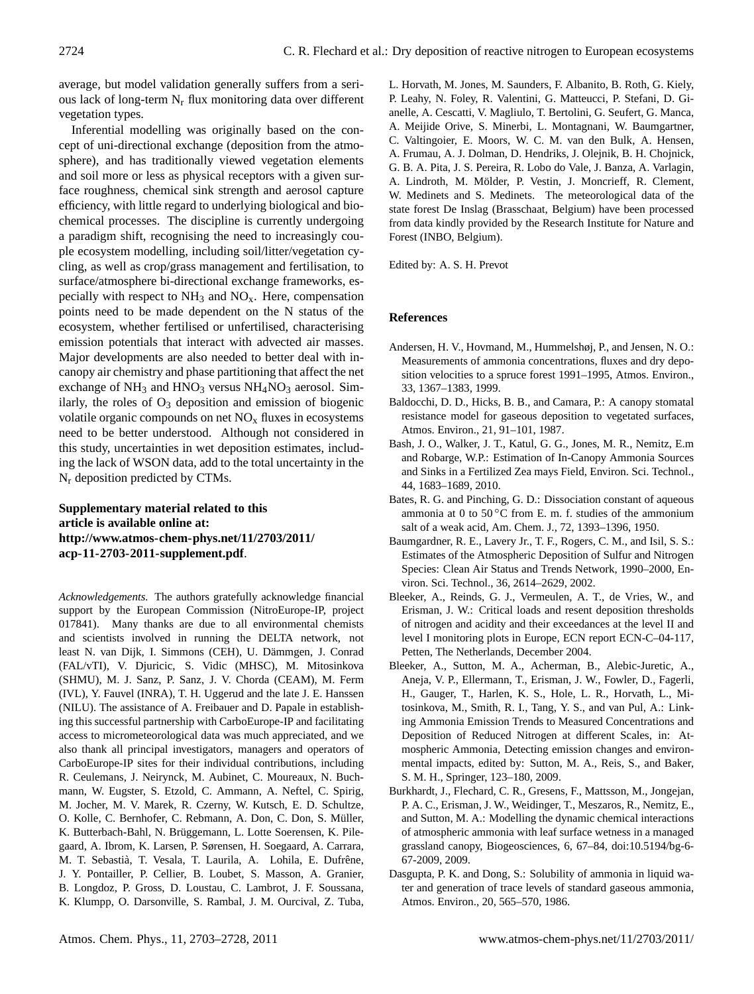average, but model validation generally suffers from a serious lack of long-term  $N_r$  flux monitoring data over different vegetation types.

Inferential modelling was originally based on the concept of uni-directional exchange (deposition from the atmosphere), and has traditionally viewed vegetation elements and soil more or less as physical receptors with a given surface roughness, chemical sink strength and aerosol capture efficiency, with little regard to underlying biological and biochemical processes. The discipline is currently undergoing a paradigm shift, recognising the need to increasingly couple ecosystem modelling, including soil/litter/vegetation cycling, as well as crop/grass management and fertilisation, to surface/atmosphere bi-directional exchange frameworks, especially with respect to  $NH_3$  and  $NO<sub>x</sub>$ . Here, compensation points need to be made dependent on the N status of the ecosystem, whether fertilised or unfertilised, characterising emission potentials that interact with advected air masses. Major developments are also needed to better deal with incanopy air chemistry and phase partitioning that affect the net exchange of  $NH_3$  and  $HNO_3$  versus  $NH_4NO_3$  aerosol. Similarly, the roles of  $O_3$  deposition and emission of biogenic volatile organic compounds on net  $NO<sub>x</sub>$  fluxes in ecosystems need to be better understood. Although not considered in this study, uncertainties in wet deposition estimates, including the lack of WSON data, add to the total uncertainty in the N<sup>r</sup> deposition predicted by CTMs.

# **Supplementary material related to this article is available online at: [http://www.atmos-chem-phys.net/11/2703/2011/](http://www.atmos-chem-phys.net/11/2703/2011/acp-11-2703-2011-supplement.pdf) [acp-11-2703-2011-supplement.pdf](http://www.atmos-chem-phys.net/11/2703/2011/acp-11-2703-2011-supplement.pdf)**.

*Acknowledgements.* The authors gratefully acknowledge financial support by the European Commission (NitroEurope-IP, project 017841). Many thanks are due to all environmental chemists and scientists involved in running the DELTA network, not least N. van Dijk, I. Simmons (CEH), U. Dämmgen, J. Conrad (FAL/vTI), V. Djuricic, S. Vidic (MHSC), M. Mitosinkova (SHMU), M. J. Sanz, P. Sanz, J. V. Chorda (CEAM), M. Ferm (IVL), Y. Fauvel (INRA), T. H. Uggerud and the late J. E. Hanssen (NILU). The assistance of A. Freibauer and D. Papale in establishing this successful partnership with CarboEurope-IP and facilitating access to micrometeorological data was much appreciated, and we also thank all principal investigators, managers and operators of CarboEurope-IP sites for their individual contributions, including R. Ceulemans, J. Neirynck, M. Aubinet, C. Moureaux, N. Buchmann, W. Eugster, S. Etzold, C. Ammann, A. Neftel, C. Spirig, M. Jocher, M. V. Marek, R. Czerny, W. Kutsch, E. D. Schultze, O. Kolle, C. Bernhofer, C. Rebmann, A. Don, C. Don, S. Müller, K. Butterbach-Bahl, N. Brüggemann, L. Lotte Soerensen, K. Pilegaard, A. Ibrom, K. Larsen, P. Sørensen, H. Soegaard, A. Carrara, M. T. Sebastià, T. Vesala, T. Laurila, A. Lohila, E. Dufrêne, J. Y. Pontailler, P. Cellier, B. Loubet, S. Masson, A. Granier, B. Longdoz, P. Gross, D. Loustau, C. Lambrot, J. F. Soussana, K. Klumpp, O. Darsonville, S. Rambal, J. M. Ourcival, Z. Tuba,

L. Horvath, M. Jones, M. Saunders, F. Albanito, B. Roth, G. Kiely, P. Leahy, N. Foley, R. Valentini, G. Matteucci, P. Stefani, D. Gianelle, A. Cescatti, V. Magliulo, T. Bertolini, G. Seufert, G. Manca, A. Meijide Orive, S. Minerbi, L. Montagnani, W. Baumgartner, C. Valtingoier, E. Moors, W. C. M. van den Bulk, A. Hensen, A. Frumau, A. J. Dolman, D. Hendriks, J. Olejnik, B. H. Chojnick, G. B. A. Pita, J. S. Pereira, R. Lobo do Vale, J. Banza, A. Varlagin, A. Lindroth, M. Mölder, P. Vestin, J. Moncrieff, R. Clement, W. Medinets and S. Medinets. The meteorological data of the state forest De Inslag (Brasschaat, Belgium) have been processed from data kindly provided by the Research Institute for Nature and Forest (INBO, Belgium).

Edited by: A. S. H. Prevot

## **References**

- Andersen, H. V., Hovmand, M., Hummelshøj, P., and Jensen, N. O.: Measurements of ammonia concentrations, fluxes and dry deposition velocities to a spruce forest 1991–1995, Atmos. Environ., 33, 1367–1383, 1999.
- Baldocchi, D. D., Hicks, B. B., and Camara, P.: A canopy stomatal resistance model for gaseous deposition to vegetated surfaces, Atmos. Environ., 21, 91–101, 1987.
- Bash, J. O., Walker, J. T., Katul, G. G., Jones, M. R., Nemitz, E.m and Robarge, W.P.: Estimation of In-Canopy Ammonia Sources and Sinks in a Fertilized Zea mays Field, Environ. Sci. Technol., 44, 1683–1689, 2010.
- Bates, R. G. and Pinching, G. D.: Dissociation constant of aqueous ammonia at 0 to 50 $\degree$ C from E. m. f. studies of the ammonium salt of a weak acid, Am. Chem. J., 72, 1393–1396, 1950.
- Baumgardner, R. E., Lavery Jr., T. F., Rogers, C. M., and Isil, S. S.: Estimates of the Atmospheric Deposition of Sulfur and Nitrogen Species: Clean Air Status and Trends Network, 1990–2000, Environ. Sci. Technol., 36, 2614–2629, 2002.
- Bleeker, A., Reinds, G. J., Vermeulen, A. T., de Vries, W., and Erisman, J. W.: Critical loads and resent deposition thresholds of nitrogen and acidity and their exceedances at the level II and level I monitoring plots in Europe, ECN report ECN-C–04-117, Petten, The Netherlands, December 2004.
- Bleeker, A., Sutton, M. A., Acherman, B., Alebic-Juretic, A., Aneja, V. P., Ellermann, T., Erisman, J. W., Fowler, D., Fagerli, H., Gauger, T., Harlen, K. S., Hole, L. R., Horvath, L., Mitosinkova, M., Smith, R. I., Tang, Y. S., and van Pul, A.: Linking Ammonia Emission Trends to Measured Concentrations and Deposition of Reduced Nitrogen at different Scales, in: Atmospheric Ammonia, Detecting emission changes and environmental impacts, edited by: Sutton, M. A., Reis, S., and Baker, S. M. H., Springer, 123–180, 2009.
- Burkhardt, J., Flechard, C. R., Gresens, F., Mattsson, M., Jongejan, P. A. C., Erisman, J. W., Weidinger, T., Meszaros, R., Nemitz, E., and Sutton, M. A.: Modelling the dynamic chemical interactions of atmospheric ammonia with leaf surface wetness in a managed grassland canopy, Biogeosciences, 6, 67–84, [doi:10.5194/bg-6-](http://dx.doi.org/10.5194/bg-6-67-2009) [67-2009,](http://dx.doi.org/10.5194/bg-6-67-2009) 2009.
- Dasgupta, P. K. and Dong, S.: Solubility of ammonia in liquid water and generation of trace levels of standard gaseous ammonia, Atmos. Environ., 20, 565–570, 1986.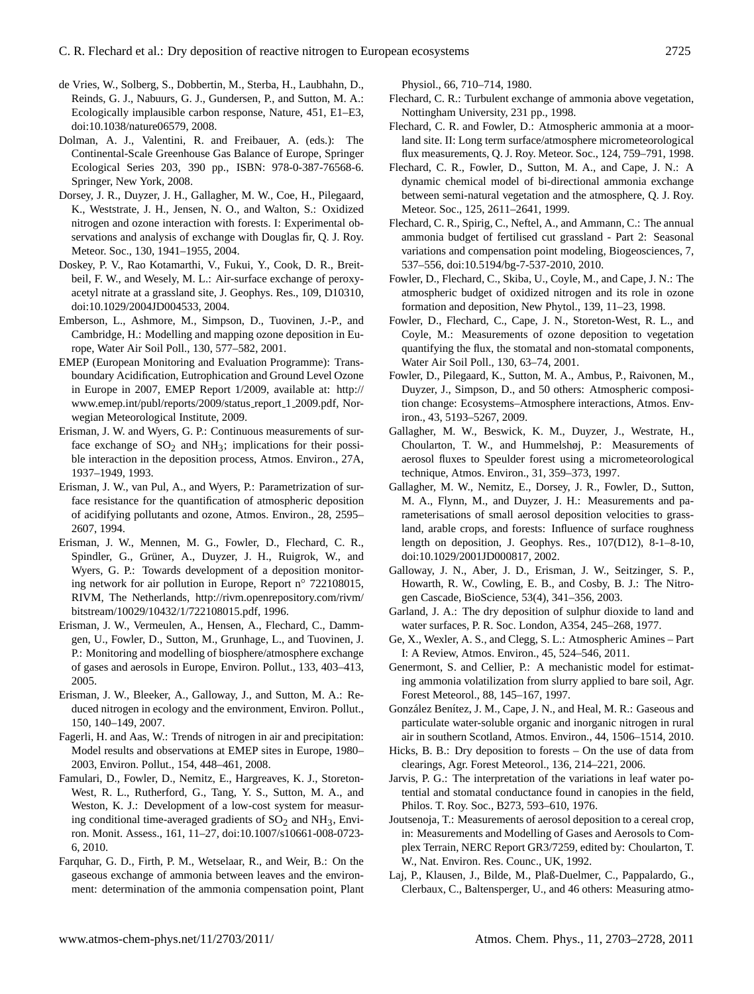- de Vries, W., Solberg, S., Dobbertin, M., Sterba, H., Laubhahn, D., Reinds, G. J., Nabuurs, G. J., Gundersen, P., and Sutton, M. A.: Ecologically implausible carbon response, Nature, 451, E1–E3, doi:10.1038/nature06579, 2008.
- Dolman, A. J., Valentini, R. and Freibauer, A. (eds.): The Continental-Scale Greenhouse Gas Balance of Europe, Springer Ecological Series 203, 390 pp., ISBN: 978-0-387-76568-6. Springer, New York, 2008.
- Dorsey, J. R., Duyzer, J. H., Gallagher, M. W., Coe, H., Pilegaard, K., Weststrate, J. H., Jensen, N. O., and Walton, S.: Oxidized nitrogen and ozone interaction with forests. I: Experimental observations and analysis of exchange with Douglas fir, Q. J. Roy. Meteor. Soc., 130, 1941–1955, 2004.
- Doskey, P. V., Rao Kotamarthi, V., Fukui, Y., Cook, D. R., Breitbeil, F. W., and Wesely, M. L.: Air-surface exchange of peroxyacetyl nitrate at a grassland site, J. Geophys. Res., 109, D10310, [doi:10.1029/2004JD004533,](http://dx.doi.org/10.1029/2004JD004533) 2004.
- Emberson, L., Ashmore, M., Simpson, D., Tuovinen, J.-P., and Cambridge, H.: Modelling and mapping ozone deposition in Europe, Water Air Soil Poll., 130, 577–582, 2001.
- EMEP (European Monitoring and Evaluation Programme): Transboundary Acidification, Eutrophication and Ground Level Ozone in Europe in 2007, EMEP Report 1/2009, available at: [http://](http://www.emep.int/publ/reports/2009/status_report_1_2009.pdf) [www.emep.int/publ/reports/2009/status](http://www.emep.int/publ/reports/2009/status_report_1_2009.pdf) report 1 2009.pdf, Norwegian Meteorological Institute, 2009.
- Erisman, J. W. and Wyers, G. P.: Continuous measurements of surface exchange of  $SO_2$  and  $NH_3$ ; implications for their possible interaction in the deposition process, Atmos. Environ., 27A, 1937–1949, 1993.
- Erisman, J. W., van Pul, A., and Wyers, P.: Parametrization of surface resistance for the quantification of atmospheric deposition of acidifying pollutants and ozone, Atmos. Environ., 28, 2595– 2607, 1994.
- Erisman, J. W., Mennen, M. G., Fowler, D., Flechard, C. R., Spindler, G., Grüner, A., Duyzer, J. H., Ruigrok, W., and Wyers, G. P.: Towards development of a deposition monitoring network for air pollution in Europe, Report n◦ 722108015, RIVM, The Netherlands, [http://rivm.openrepository.com/rivm/](http://rivm.openrepository.com/rivm/bitstream/10029/10432/1/722108015.pdf) [bitstream/10029/10432/1/722108015.pdf,](http://rivm.openrepository.com/rivm/bitstream/10029/10432/1/722108015.pdf) 1996.
- Erisman, J. W., Vermeulen, A., Hensen, A., Flechard, C., Dammgen, U., Fowler, D., Sutton, M., Grunhage, L., and Tuovinen, J. P.: Monitoring and modelling of biosphere/atmosphere exchange of gases and aerosols in Europe, Environ. Pollut., 133, 403–413, 2005.
- Erisman, J. W., Bleeker, A., Galloway, J., and Sutton, M. A.: Reduced nitrogen in ecology and the environment, Environ. Pollut., 150, 140–149, 2007.
- Fagerli, H. and Aas, W.: Trends of nitrogen in air and precipitation: Model results and observations at EMEP sites in Europe, 1980– 2003, Environ. Pollut., 154, 448–461, 2008.
- Famulari, D., Fowler, D., Nemitz, E., Hargreaves, K. J., Storeton-West, R. L., Rutherford, G., Tang, Y. S., Sutton, M. A., and Weston, K. J.: Development of a low-cost system for measuring conditional time-averaged gradients of  $SO<sub>2</sub>$  and  $NH<sub>3</sub>$ , Environ. Monit. Assess., 161, 11–27, [doi:10.1007/s10661-008-0723-](http://dx.doi.org/10.1007/s10661-008-0723-6) [6,](http://dx.doi.org/10.1007/s10661-008-0723-6) 2010.
- Farquhar, G. D., Firth, P. M., Wetselaar, R., and Weir, B.: On the gaseous exchange of ammonia between leaves and the environment: determination of the ammonia compensation point, Plant

Physiol., 66, 710–714, 1980.

- Flechard, C. R.: Turbulent exchange of ammonia above vegetation, Nottingham University, 231 pp., 1998.
- Flechard, C. R. and Fowler, D.: Atmospheric ammonia at a moorland site. II: Long term surface/atmosphere micrometeorological flux measurements, Q. J. Roy. Meteor. Soc., 124, 759–791, 1998.
- Flechard, C. R., Fowler, D., Sutton, M. A., and Cape, J. N.: A dynamic chemical model of bi-directional ammonia exchange between semi-natural vegetation and the atmosphere, Q. J. Roy. Meteor. Soc., 125, 2611–2641, 1999.
- Flechard, C. R., Spirig, C., Neftel, A., and Ammann, C.: The annual ammonia budget of fertilised cut grassland - Part 2: Seasonal variations and compensation point modeling, Biogeosciences, 7, 537–556, [doi:10.5194/bg-7-537-2010,](http://dx.doi.org/10.5194/bg-7-537-2010) 2010.
- Fowler, D., Flechard, C., Skiba, U., Coyle, M., and Cape, J. N.: The atmospheric budget of oxidized nitrogen and its role in ozone formation and deposition, New Phytol., 139, 11–23, 1998.
- Fowler, D., Flechard, C., Cape, J. N., Storeton-West, R. L., and Coyle, M.: Measurements of ozone deposition to vegetation quantifying the flux, the stomatal and non-stomatal components, Water Air Soil Poll., 130, 63–74, 2001.
- Fowler, D., Pilegaard, K., Sutton, M. A., Ambus, P., Raivonen, M., Duyzer, J., Simpson, D., and 50 others: Atmospheric composition change: Ecosystems–Atmosphere interactions, Atmos. Environ., 43, 5193–5267, 2009.
- Gallagher, M. W., Beswick, K. M., Duyzer, J., Westrate, H., Choularton, T. W., and Hummelshøj, P.: Measurements of aerosol fluxes to Speulder forest using a micrometeorological technique, Atmos. Environ., 31, 359–373, 1997.
- Gallagher, M. W., Nemitz, E., Dorsey, J. R., Fowler, D., Sutton, M. A., Flynn, M., and Duyzer, J. H.: Measurements and parameterisations of small aerosol deposition velocities to grassland, arable crops, and forests: Influence of surface roughness length on deposition, J. Geophys. Res., 107(D12), 8-1–8-10, [doi:10.1029/2001JD000817,](http://dx.doi.org/10.1029/2001JD000817) 2002.
- Galloway, J. N., Aber, J. D., Erisman, J. W., Seitzinger, S. P., Howarth, R. W., Cowling, E. B., and Cosby, B. J.: The Nitrogen Cascade, BioScience, 53(4), 341–356, 2003.
- Garland, J. A.: The dry deposition of sulphur dioxide to land and water surfaces, P. R. Soc. London, A354, 245–268, 1977.
- Ge, X., Wexler, A. S., and Clegg, S. L.: Atmospheric Amines Part I: A Review, Atmos. Environ., 45, 524–546, 2011.
- Genermont, S. and Cellier, P.: A mechanistic model for estimating ammonia volatilization from slurry applied to bare soil, Agr. Forest Meteorol., 88, 145–167, 1997.
- González Benítez, J. M., Cape, J. N., and Heal, M. R.: Gaseous and particulate water-soluble organic and inorganic nitrogen in rural air in southern Scotland, Atmos. Environ., 44, 1506–1514, 2010.
- Hicks, B. B.: Dry deposition to forests On the use of data from clearings, Agr. Forest Meteorol., 136, 214–221, 2006.
- Jarvis, P. G.: The interpretation of the variations in leaf water potential and stomatal conductance found in canopies in the field, Philos. T. Roy. Soc., B273, 593–610, 1976.
- Joutsenoja, T.: Measurements of aerosol deposition to a cereal crop, in: Measurements and Modelling of Gases and Aerosols to Complex Terrain, NERC Report GR3/7259, edited by: Choularton, T. W., Nat. Environ. Res. Counc., UK, 1992.
- Laj, P., Klausen, J., Bilde, M., Plaß-Duelmer, C., Pappalardo, G., Clerbaux, C., Baltensperger, U., and 46 others: Measuring atmo-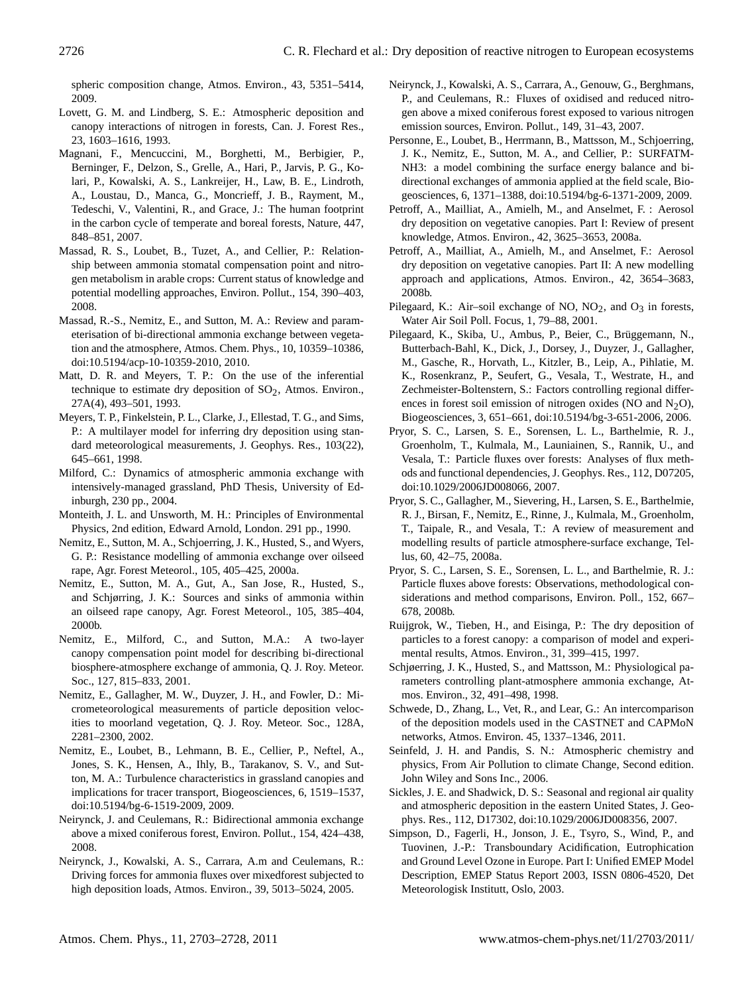spheric composition change, Atmos. Environ., 43, 5351–5414, 2009.

- Lovett, G. M. and Lindberg, S. E.: Atmospheric deposition and canopy interactions of nitrogen in forests, Can. J. Forest Res., 23, 1603–1616, 1993.
- Magnani, F., Mencuccini, M., Borghetti, M., Berbigier, P., Berninger, F., Delzon, S., Grelle, A., Hari, P., Jarvis, P. G., Kolari, P., Kowalski, A. S., Lankreijer, H., Law, B. E., Lindroth, A., Loustau, D., Manca, G., Moncrieff, J. B., Rayment, M., Tedeschi, V., Valentini, R., and Grace, J.: The human footprint in the carbon cycle of temperate and boreal forests, Nature, 447, 848–851, 2007.
- Massad, R. S., Loubet, B., Tuzet, A., and Cellier, P.: Relationship between ammonia stomatal compensation point and nitrogen metabolism in arable crops: Current status of knowledge and potential modelling approaches, Environ. Pollut., 154, 390–403, 2008.
- Massad, R.-S., Nemitz, E., and Sutton, M. A.: Review and parameterisation of bi-directional ammonia exchange between vegetation and the atmosphere, Atmos. Chem. Phys., 10, 10359–10386, [doi:10.5194/acp-10-10359-2010,](http://dx.doi.org/10.5194/acp-10-10359-2010) 2010.
- Matt, D. R. and Meyers, T. P.: On the use of the inferential technique to estimate dry deposition of  $SO_2$ , Atmos. Environ., 27A(4), 493–501, 1993.
- Meyers, T. P., Finkelstein, P. L., Clarke, J., Ellestad, T. G., and Sims, P.: A multilayer model for inferring dry deposition using standard meteorological measurements, J. Geophys. Res., 103(22), 645–661, 1998.
- Milford, C.: Dynamics of atmospheric ammonia exchange with intensively-managed grassland, PhD Thesis, University of Edinburgh, 230 pp., 2004.
- Monteith, J. L. and Unsworth, M. H.: Principles of Environmental Physics, 2nd edition, Edward Arnold, London. 291 pp., 1990.
- Nemitz, E., Sutton, M. A., Schjoerring, J. K., Husted, S., and Wyers, G. P.: Resistance modelling of ammonia exchange over oilseed rape, Agr. Forest Meteorol., 105, 405–425, 2000a.
- Nemitz, E., Sutton, M. A., Gut, A., San Jose, R., Husted, S., and Schjørring, J. K.: Sources and sinks of ammonia within an oilseed rape canopy, Agr. Forest Meteorol., 105, 385–404, 2000b.
- Nemitz, E., Milford, C., and Sutton, M.A.: A two-layer canopy compensation point model for describing bi-directional biosphere-atmosphere exchange of ammonia, Q. J. Roy. Meteor. Soc., 127, 815–833, 2001.
- Nemitz, E., Gallagher, M. W., Duyzer, J. H., and Fowler, D.: Micrometeorological measurements of particle deposition velocities to moorland vegetation, Q. J. Roy. Meteor. Soc., 128A, 2281–2300, 2002.
- Nemitz, E., Loubet, B., Lehmann, B. E., Cellier, P., Neftel, A., Jones, S. K., Hensen, A., Ihly, B., Tarakanov, S. V., and Sutton, M. A.: Turbulence characteristics in grassland canopies and implications for tracer transport, Biogeosciences, 6, 1519–1537, [doi:10.5194/bg-6-1519-2009,](http://dx.doi.org/10.5194/bg-6-1519-2009) 2009.
- Neirynck, J. and Ceulemans, R.: Bidirectional ammonia exchange above a mixed coniferous forest, Environ. Pollut., 154, 424–438, 2008.
- Neirynck, J., Kowalski, A. S., Carrara, A.m and Ceulemans, R.: Driving forces for ammonia fluxes over mixedforest subjected to high deposition loads, Atmos. Environ., 39, 5013–5024, 2005.
- Neirynck, J., Kowalski, A. S., Carrara, A., Genouw, G., Berghmans, P., and Ceulemans, R.: Fluxes of oxidised and reduced nitrogen above a mixed coniferous forest exposed to various nitrogen emission sources, Environ. Pollut., 149, 31–43, 2007.
- Personne, E., Loubet, B., Herrmann, B., Mattsson, M., Schjoerring, J. K., Nemitz, E., Sutton, M. A., and Cellier, P.: SURFATM-NH3: a model combining the surface energy balance and bidirectional exchanges of ammonia applied at the field scale, Biogeosciences, 6, 1371–1388, [doi:10.5194/bg-6-1371-2009,](http://dx.doi.org/10.5194/bg-6-1371-2009) 2009.
- Petroff, A., Mailliat, A., Amielh, M., and Anselmet, F. : Aerosol dry deposition on vegetative canopies. Part I: Review of present knowledge, Atmos. Environ., 42, 3625–3653, 2008a.
- Petroff, A., Mailliat, A., Amielh, M., and Anselmet, F.: Aerosol dry deposition on vegetative canopies. Part II: A new modelling approach and applications, Atmos. Environ., 42, 3654–3683, 2008b.
- Pilegaard, K.: Air–soil exchange of NO,  $NO<sub>2</sub>$ , and  $O<sub>3</sub>$  in forests, Water Air Soil Poll. Focus, 1, 79–88, 2001.
- Pilegaard, K., Skiba, U., Ambus, P., Beier, C., Brüggemann, N., Butterbach-Bahl, K., Dick, J., Dorsey, J., Duyzer, J., Gallagher, M., Gasche, R., Horvath, L., Kitzler, B., Leip, A., Pihlatie, M. K., Rosenkranz, P., Seufert, G., Vesala, T., Westrate, H., and Zechmeister-Boltenstern, S.: Factors controlling regional differences in forest soil emission of nitrogen oxides (NO and  $N_2O$ ), Biogeosciences, 3, 651–661, [doi:10.5194/bg-3-651-2006,](http://dx.doi.org/10.5194/bg-3-651-2006) 2006.
- Pryor, S. C., Larsen, S. E., Sorensen, L. L., Barthelmie, R. J., Groenholm, T., Kulmala, M., Launiainen, S., Rannik, U., and Vesala, T.: Particle fluxes over forests: Analyses of flux methods and functional dependencies, J. Geophys. Res., 112, D07205, [doi:10.1029/2006JD008066,](http://dx.doi:10.1029/2006JD008066) 2007.
- Pryor, S. C., Gallagher, M., Sievering, H., Larsen, S. E., Barthelmie, R. J., Birsan, F., Nemitz, E., Rinne, J., Kulmala, M., Groenholm, T., Taipale, R., and Vesala, T.: A review of measurement and modelling results of particle atmosphere-surface exchange, Tellus, 60, 42–75, 2008a.
- Pryor, S. C., Larsen, S. E., Sorensen, L. L., and Barthelmie, R. J.: Particle fluxes above forests: Observations, methodological considerations and method comparisons, Environ. Poll., 152, 667– 678, 2008b.
- Ruijgrok, W., Tieben, H., and Eisinga, P.: The dry deposition of particles to a forest canopy: a comparison of model and experimental results, Atmos. Environ., 31, 399–415, 1997.
- Schjøerring, J. K., Husted, S., and Mattsson, M.: Physiological parameters controlling plant-atmosphere ammonia exchange, Atmos. Environ., 32, 491–498, 1998.
- Schwede, D., Zhang, L., Vet, R., and Lear, G.: An intercomparison of the deposition models used in the CASTNET and CAPMoN networks, Atmos. Environ. 45, 1337–1346, 2011.
- Seinfeld, J. H. and Pandis, S. N.: Atmospheric chemistry and physics, From Air Pollution to climate Change, Second edition. John Wiley and Sons Inc., 2006.
- Sickles, J. E. and Shadwick, D. S.: Seasonal and regional air quality and atmospheric deposition in the eastern United States, J. Geophys. Res., 112, D17302, [doi:10.1029/2006JD008356,](http://dx.doi.org/10.1029/2006JD008356) 2007.
- Simpson, D., Fagerli, H., Jonson, J. E., Tsyro, S., Wind, P., and Tuovinen, J.-P.: Transboundary Acidification, Eutrophication and Ground Level Ozone in Europe. Part I: Unified EMEP Model Description, EMEP Status Report 2003, ISSN 0806-4520, Det Meteorologisk Institutt, Oslo, 2003.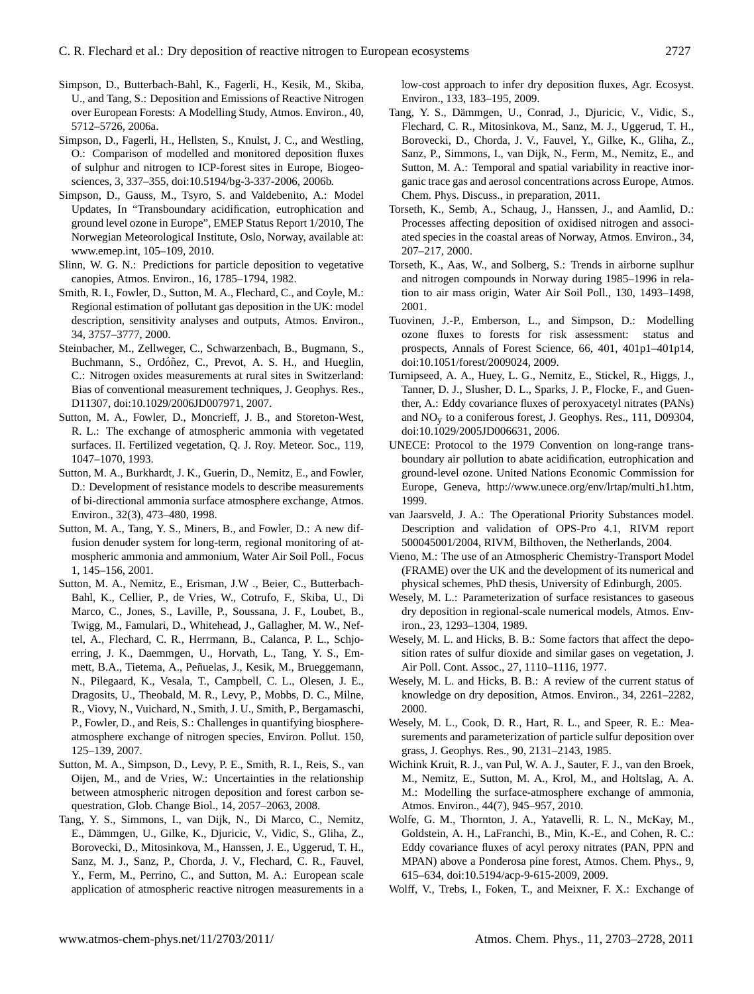- Simpson, D., Butterbach-Bahl, K., Fagerli, H., Kesik, M., Skiba, U., and Tang, S.: Deposition and Emissions of Reactive Nitrogen over European Forests: A Modelling Study, Atmos. Environ., 40, 5712–5726, 2006a.
- Simpson, D., Fagerli, H., Hellsten, S., Knulst, J. C., and Westling, O.: Comparison of modelled and monitored deposition fluxes of sulphur and nitrogen to ICP-forest sites in Europe, Biogeosciences, 3, 337–355, [doi:10.5194/bg-3-337-2006,](http://dx.doi.org/10.5194/bg-3-337-2006) 2006b.
- Simpson, D., Gauss, M., Tsyro, S. and Valdebenito, A.: Model Updates, In "Transboundary acidification, eutrophication and ground level ozone in Europe", EMEP Status Report 1/2010, The Norwegian Meteorological Institute, Oslo, Norway, available at: [www.emep.int,](www.emep.int) 105–109, 2010.
- Slinn, W. G. N.: Predictions for particle deposition to vegetative canopies, Atmos. Environ., 16, 1785–1794, 1982.
- Smith, R. I., Fowler, D., Sutton, M. A., Flechard, C., and Coyle, M.: Regional estimation of pollutant gas deposition in the UK: model description, sensitivity analyses and outputs, Atmos. Environ., 34, 3757–3777, 2000.
- Steinbacher, M., Zellweger, C., Schwarzenbach, B., Bugmann, S., Buchmann, S., Ordóñez, C., Prevot, A. S. H., and Hueglin, C.: Nitrogen oxides measurements at rural sites in Switzerland: Bias of conventional measurement techniques, J. Geophys. Res., D11307, [doi:10.1029/2006JD007971,](http://dx.doi.org/10.1029/2006JD007971) 2007.
- Sutton, M. A., Fowler, D., Moncrieff, J. B., and Storeton-West, R. L.: The exchange of atmospheric ammonia with vegetated surfaces. II. Fertilized vegetation, Q. J. Roy. Meteor. Soc., 119, 1047–1070, 1993.
- Sutton, M. A., Burkhardt, J. K., Guerin, D., Nemitz, E., and Fowler, D.: Development of resistance models to describe measurements of bi-directional ammonia surface atmosphere exchange, Atmos. Environ., 32(3), 473–480, 1998.
- Sutton, M. A., Tang, Y. S., Miners, B., and Fowler, D.: A new diffusion denuder system for long-term, regional monitoring of atmospheric ammonia and ammonium, Water Air Soil Poll., Focus 1, 145–156, 2001.
- Sutton, M. A., Nemitz, E., Erisman, J.W ., Beier, C., Butterbach-Bahl, K., Cellier, P., de Vries, W., Cotrufo, F., Skiba, U., Di Marco, C., Jones, S., Laville, P., Soussana, J. F., Loubet, B., Twigg, M., Famulari, D., Whitehead, J., Gallagher, M. W., Neftel, A., Flechard, C. R., Herrmann, B., Calanca, P. L., Schjoerring, J. K., Daemmgen, U., Horvath, L., Tang, Y. S., Emmett, B.A., Tietema, A., Peñuelas, J., Kesik, M., Brueggemann, N., Pilegaard, K., Vesala, T., Campbell, C. L., Olesen, J. E., Dragosits, U., Theobald, M. R., Levy, P., Mobbs, D. C., Milne, R., Viovy, N., Vuichard, N., Smith, J. U., Smith, P., Bergamaschi, P., Fowler, D., and Reis, S.: Challenges in quantifying biosphereatmosphere exchange of nitrogen species, Environ. Pollut. 150, 125–139, 2007.
- Sutton, M. A., Simpson, D., Levy, P. E., Smith, R. I., Reis, S., van Oijen, M., and de Vries, W.: Uncertainties in the relationship between atmospheric nitrogen deposition and forest carbon sequestration, Glob. Change Biol., 14, 2057–2063, 2008.
- Tang, Y. S., Simmons, I., van Dijk, N., Di Marco, C., Nemitz, E., Dammgen, U., Gilke, K., Djuricic, V., Vidic, S., Gliha, Z., ¨ Borovecki, D., Mitosinkova, M., Hanssen, J. E., Uggerud, T. H., Sanz, M. J., Sanz, P., Chorda, J. V., Flechard, C. R., Fauvel, Y., Ferm, M., Perrino, C., and Sutton, M. A.: European scale application of atmospheric reactive nitrogen measurements in a

low-cost approach to infer dry deposition fluxes, Agr. Ecosyst. Environ., 133, 183–195, 2009.

- Tang, Y. S., Dämmgen, U., Conrad, J., Djuricic, V., Vidic, S., Flechard, C. R., Mitosinkova, M., Sanz, M. J., Uggerud, T. H., Borovecki, D., Chorda, J. V., Fauvel, Y., Gilke, K., Gliha, Z., Sanz, P., Simmons, I., van Dijk, N., Ferm, M., Nemitz, E., and Sutton, M. A.: Temporal and spatial variability in reactive inorganic trace gas and aerosol concentrations across Europe, Atmos. Chem. Phys. Discuss., in preparation, 2011.
- Torseth, K., Semb, A., Schaug, J., Hanssen, J., and Aamlid, D.: Processes affecting deposition of oxidised nitrogen and associated species in the coastal areas of Norway, Atmos. Environ., 34, 207–217, 2000.
- Torseth, K., Aas, W., and Solberg, S.: Trends in airborne suplhur and nitrogen compounds in Norway during 1985–1996 in relation to air mass origin, Water Air Soil Poll., 130, 1493–1498, 2001.
- Tuovinen, J.-P., Emberson, L., and Simpson, D.: Modelling ozone fluxes to forests for risk assessment: status and prospects, Annals of Forest Science, 66, 401, 401p1–401p14, [doi:10.1051/forest/2009024,](http://dx.doi:10.1051/forest/2009024) 2009.
- Turnipseed, A. A., Huey, L. G., Nemitz, E., Stickel, R., Higgs, J., Tanner, D. J., Slusher, D. L., Sparks, J. P., Flocke, F., and Guenther, A.: Eddy covariance fluxes of peroxyacetyl nitrates (PANs) and NOy to a coniferous forest, J. Geophys. Res., 111, D09304, [doi:10.1029/2005JD006631,](http://dx.doi.org/10.1029/2005JD006631) 2006.
- UNECE: Protocol to the 1979 Convention on long-range transboundary air pollution to abate acidification, eutrophication and ground-level ozone. United Nations Economic Commission for Europe, Geneva, [http://www.unece.org/env/lrtap/multi](http://www.unece.org/env/lrtap/multi_h1.htm) h1.htm, 1999.
- van Jaarsveld, J. A.: The Operational Priority Substances model. Description and validation of OPS-Pro 4.1, RIVM report 500045001/2004, RIVM, Bilthoven, the Netherlands, 2004.
- Vieno, M.: The use of an Atmospheric Chemistry-Transport Model (FRAME) over the UK and the development of its numerical and physical schemes, PhD thesis, University of Edinburgh, 2005.
- Wesely, M. L.: Parameterization of surface resistances to gaseous dry deposition in regional-scale numerical models, Atmos. Environ., 23, 1293–1304, 1989.
- Wesely, M. L. and Hicks, B. B.: Some factors that affect the deposition rates of sulfur dioxide and similar gases on vegetation, J. Air Poll. Cont. Assoc., 27, 1110–1116, 1977.
- Wesely, M. L. and Hicks, B. B.: A review of the current status of knowledge on dry deposition, Atmos. Environ., 34, 2261–2282, 2000.
- Wesely, M. L., Cook, D. R., Hart, R. L., and Speer, R. E.: Measurements and parameterization of particle sulfur deposition over grass, J. Geophys. Res., 90, 2131–2143, 1985.
- Wichink Kruit, R. J., van Pul, W. A. J., Sauter, F. J., van den Broek, M., Nemitz, E., Sutton, M. A., Krol, M., and Holtslag, A. A. M.: Modelling the surface-atmosphere exchange of ammonia, Atmos. Environ., 44(7), 945–957, 2010.
- Wolfe, G. M., Thornton, J. A., Yatavelli, R. L. N., McKay, M., Goldstein, A. H., LaFranchi, B., Min, K.-E., and Cohen, R. C.: Eddy covariance fluxes of acyl peroxy nitrates (PAN, PPN and MPAN) above a Ponderosa pine forest, Atmos. Chem. Phys., 9, 615–634, [doi:10.5194/acp-9-615-2009,](http://dx.doi.org/10.5194/acp-9-615-2009) 2009.
- Wolff, V., Trebs, I., Foken, T., and Meixner, F. X.: Exchange of